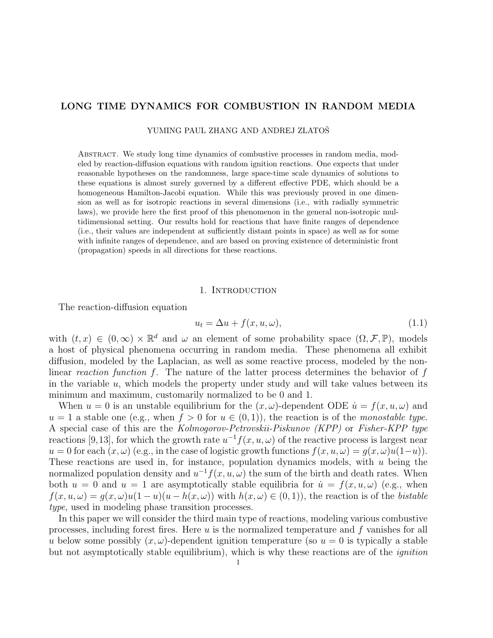# LONG TIME DYNAMICS FOR COMBUSTION IN RANDOM MEDIA

YUMING PAUL ZHANG AND ANDREJ ZLATOŠ

Abstract. We study long time dynamics of combustive processes in random media, modeled by reaction-diffusion equations with random ignition reactions. One expects that under reasonable hypotheses on the randomness, large space-time scale dynamics of solutions to these equations is almost surely governed by a different effective PDE, which should be a homogeneous Hamilton-Jacobi equation. While this was previously proved in one dimension as well as for isotropic reactions in several dimensions (i.e., with radially symmetric laws), we provide here the first proof of this phenomenon in the general non-isotropic multidimensional setting. Our results hold for reactions that have finite ranges of dependence (i.e., their values are independent at sufficiently distant points in space) as well as for some with infinite ranges of dependence, and are based on proving existence of deterministic front (propagation) speeds in all directions for these reactions.

#### 1. Introduction

The reaction-diffusion equation

$$
u_t = \Delta u + f(x, u, \omega), \tag{1.1}
$$

with  $(t, x) \in (0, \infty) \times \mathbb{R}^d$  and  $\omega$  an element of some probability space  $(\Omega, \mathcal{F}, \mathbb{P})$ , models a host of physical phenomena occurring in random media. These phenomena all exhibit diffusion, modeled by the Laplacian, as well as some reactive process, modeled by the nonlinear reaction function  $f$ . The nature of the latter process determines the behavior of  $f$ in the variable  $u$ , which models the property under study and will take values between its minimum and maximum, customarily normalized to be 0 and 1.

When  $u = 0$  is an unstable equilibrium for the  $(x, \omega)$ -dependent ODE  $\dot{u} = f(x, u, \omega)$  and  $u = 1$  a stable one (e.g., when  $f > 0$  for  $u \in (0, 1)$ ), the reaction is of the monostable type. A special case of this are the Kolmogorov-Petrovskii-Piskunov (KPP) or Fisher-KPP type reactions [9,13], for which the growth rate  $u^{-1}f(x, u, \omega)$  of the reactive process is largest near  $u = 0$  for each  $(x, \omega)$  (e.g., in the case of logistic growth functions  $f(x, u, \omega) = g(x, \omega)u(1-u)$ ). These reactions are used in, for instance, population dynamics models, with  $u$  being the normalized population density and  $u^{-1}f(x, u, \omega)$  the sum of the birth and death rates. When both  $u = 0$  and  $u = 1$  are asymptotically stable equilibria for  $\dot{u} = f(x, u, \omega)$  (e.g., when  $f(x, u, \omega) = g(x, \omega)u(1-u)(u - h(x, \omega))$  with  $h(x, \omega) \in (0, 1)$ , the reaction is of the bistable type, used in modeling phase transition processes.

In this paper we will consider the third main type of reactions, modeling various combustive processes, including forest fires. Here  $u$  is the normalized temperature and  $f$  vanishes for all u below some possibly  $(x, \omega)$ -dependent ignition temperature (so  $u = 0$  is typically a stable but not asymptotically stable equilibrium), which is why these reactions are of the ignition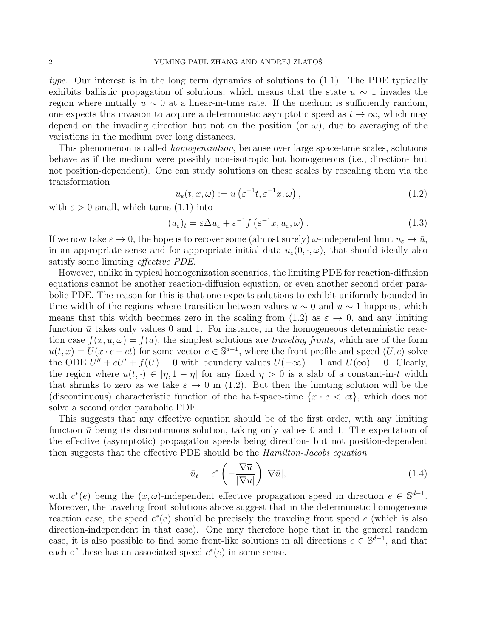type. Our interest is in the long term dynamics of solutions to (1.1). The PDE typically exhibits ballistic propagation of solutions, which means that the state  $u \sim 1$  invades the region where initially  $u \sim 0$  at a linear-in-time rate. If the medium is sufficiently random, one expects this invasion to acquire a deterministic asymptotic speed as  $t \to \infty$ , which may depend on the invading direction but not on the position (or  $\omega$ ), due to averaging of the variations in the medium over long distances.

This phenomenon is called *homogenization*, because over large space-time scales, solutions behave as if the medium were possibly non-isotropic but homogeneous (i.e., direction- but not position-dependent). One can study solutions on these scales by rescaling them via the transformation

$$
u_{\varepsilon}(t, x, \omega) := u\left(\varepsilon^{-1}t, \varepsilon^{-1}x, \omega\right),\tag{1.2}
$$

with  $\varepsilon > 0$  small, which turns (1.1) into

$$
(u_{\varepsilon})_t = \varepsilon \Delta u_{\varepsilon} + \varepsilon^{-1} f\left(\varepsilon^{-1} x, u_{\varepsilon}, \omega\right). \tag{1.3}
$$

If we now take  $\varepsilon \to 0$ , the hope is to recover some (almost surely)  $\omega$ -independent limit  $u_{\varepsilon} \to \bar{u}$ , in an appropriate sense and for appropriate initial data  $u_{\varepsilon}(0, \cdot, \omega)$ , that should ideally also satisfy some limiting effective PDE.

However, unlike in typical homogenization scenarios, the limiting PDE for reaction-diffusion equations cannot be another reaction-diffusion equation, or even another second order parabolic PDE. The reason for this is that one expects solutions to exhibit uniformly bounded in time width of the regions where transition between values  $u \sim 0$  and  $u \sim 1$  happens, which means that this width becomes zero in the scaling from (1.2) as  $\varepsilon \to 0$ , and any limiting function  $\bar{u}$  takes only values 0 and 1. For instance, in the homogeneous deterministic reaction case  $f(x, u, \omega) = f(u)$ , the simplest solutions are traveling fronts, which are of the form  $u(t,x) = U(x \cdot e - ct)$  for some vector  $e \in \mathbb{S}^{d-1}$ , where the front profile and speed  $(U, c)$  solve the ODE  $U'' + cU' + f(U) = 0$  with boundary values  $U(-\infty) = 1$  and  $U(\infty) = 0$ . Clearly, the region where  $u(t, \cdot) \in [\eta, 1 - \eta]$  for any fixed  $\eta > 0$  is a slab of a constant-in-t width that shrinks to zero as we take  $\varepsilon \to 0$  in (1.2). But then the limiting solution will be the (discontinuous) characteristic function of the half-space-time  $\{x \cdot e \le ct\}$ , which does not solve a second order parabolic PDE.

This suggests that any effective equation should be of the first order, with any limiting function  $\bar{u}$  being its discontinuous solution, taking only values 0 and 1. The expectation of the effective (asymptotic) propagation speeds being direction- but not position-dependent then suggests that the effective PDE should be the Hamilton-Jacobi equation

$$
\bar{u}_t = c^* \left( -\frac{\nabla \overline{u}}{|\nabla \overline{u}|} \right) |\nabla \overline{u}|,\tag{1.4}
$$

with  $c^*(e)$  being the  $(x, \omega)$ -independent effective propagation speed in direction  $e \in \mathbb{S}^{d-1}$ . Moreover, the traveling front solutions above suggest that in the deterministic homogeneous reaction case, the speed  $c^*(e)$  should be precisely the traveling front speed c (which is also direction-independent in that case). One may therefore hope that in the general random case, it is also possible to find some front-like solutions in all directions  $e \in \mathbb{S}^{d-1}$ , and that each of these has an associated speed  $c^*(e)$  in some sense.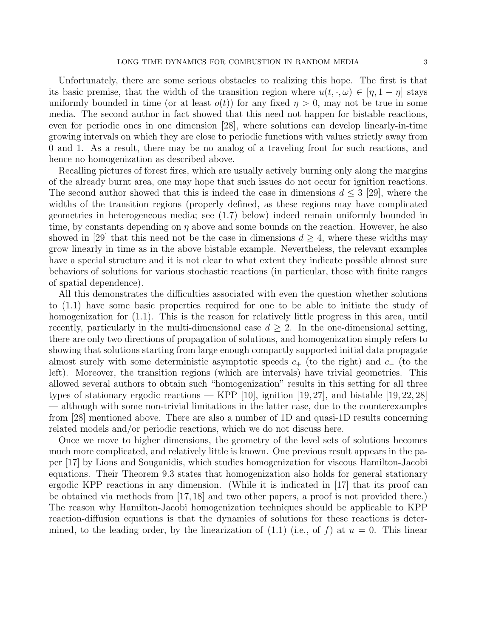Unfortunately, there are some serious obstacles to realizing this hope. The first is that its basic premise, that the width of the transition region where  $u(t, \cdot, \omega) \in [\eta, 1 - \eta]$  stays uniformly bounded in time (or at least  $o(t)$ ) for any fixed  $\eta > 0$ , may not be true in some media. The second author in fact showed that this need not happen for bistable reactions, even for periodic ones in one dimension [28], where solutions can develop linearly-in-time growing intervals on which they are close to periodic functions with values strictly away from 0 and 1. As a result, there may be no analog of a traveling front for such reactions, and hence no homogenization as described above.

Recalling pictures of forest fires, which are usually actively burning only along the margins of the already burnt area, one may hope that such issues do not occur for ignition reactions. The second author showed that this is indeed the case in dimensions  $d \leq 3$  [29], where the widths of the transition regions (properly defined, as these regions may have complicated geometries in heterogeneous media; see (1.7) below) indeed remain uniformly bounded in time, by constants depending on  $\eta$  above and some bounds on the reaction. However, he also showed in [29] that this need not be the case in dimensions  $d \geq 4$ , where these widths may grow linearly in time as in the above bistable example. Nevertheless, the relevant examples have a special structure and it is not clear to what extent they indicate possible almost sure behaviors of solutions for various stochastic reactions (in particular, those with finite ranges of spatial dependence).

All this demonstrates the difficulties associated with even the question whether solutions to (1.1) have some basic properties required for one to be able to initiate the study of homogenization for  $(1.1)$ . This is the reason for relatively little progress in this area, until recently, particularly in the multi-dimensional case  $d \geq 2$ . In the one-dimensional setting, there are only two directions of propagation of solutions, and homogenization simply refers to showing that solutions starting from large enough compactly supported initial data propagate almost surely with some deterministic asymptotic speeds  $c_{+}$  (to the right) and  $c_{-}$  (to the left). Moreover, the transition regions (which are intervals) have trivial geometries. This allowed several authors to obtain such "homogenization" results in this setting for all three types of stationary ergodic reactions — KPP [10], ignition [19, 27], and bistable [19, 22, 28] — although with some non-trivial limitations in the latter case, due to the counterexamples from [28] mentioned above. There are also a number of 1D and quasi-1D results concerning related models and/or periodic reactions, which we do not discuss here.

Once we move to higher dimensions, the geometry of the level sets of solutions becomes much more complicated, and relatively little is known. One previous result appears in the paper [17] by Lions and Souganidis, which studies homogenization for viscous Hamilton-Jacobi equations. Their Theorem 9.3 states that homogenization also holds for general stationary ergodic KPP reactions in any dimension. (While it is indicated in [17] that its proof can be obtained via methods from [17, 18] and two other papers, a proof is not provided there.) The reason why Hamilton-Jacobi homogenization techniques should be applicable to KPP reaction-diffusion equations is that the dynamics of solutions for these reactions is determined, to the leading order, by the linearization of  $(1.1)$  (i.e., of f) at  $u = 0$ . This linear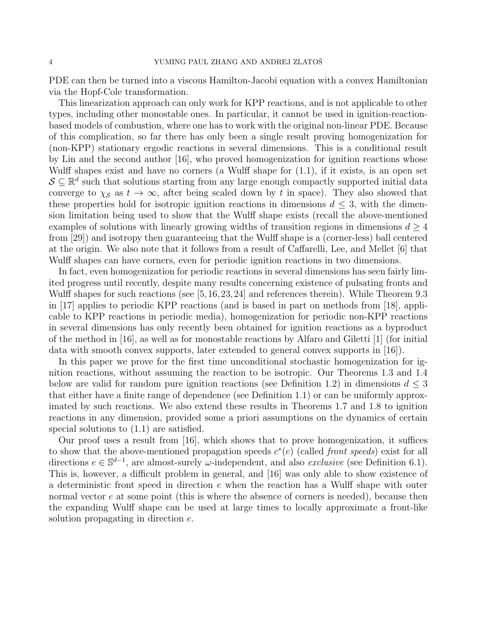PDE can then be turned into a viscous Hamilton-Jacobi equation with a convex Hamiltonian via the Hopf-Cole transformation.

This linearization approach can only work for KPP reactions, and is not applicable to other types, including other monostable ones. In particular, it cannot be used in ignition-reactionbased models of combustion, where one has to work with the original non-linear PDE. Because of this complication, so far there has only been a single result proving homogenization for (non-KPP) stationary ergodic reactions in several dimensions. This is a conditional result by Lin and the second author [16], who proved homogenization for ignition reactions whose Wulff shapes exist and have no corners (a Wulff shape for (1.1), if it exists, is an open set  $S \subseteq \mathbb{R}^d$  such that solutions starting from any large enough compactly supported initial data converge to  $\chi_{\mathcal{S}}$  as  $t \to \infty$ , after being scaled down by t in space). They also showed that these properties hold for isotropic ignition reactions in dimensions  $d \leq 3$ , with the dimension limitation being used to show that the Wulff shape exists (recall the above-mentioned examples of solutions with linearly growing widths of transition regions in dimensions  $d \geq 4$ from [29]) and isotropy then guaranteeing that the Wulff shape is a (corner-less) ball centered at the origin. We also note that it follows from a result of Caffarelli, Lee, and Mellet [6] that Wulff shapes can have corners, even for periodic ignition reactions in two dimensions.

In fact, even homogenization for periodic reactions in several dimensions has seen fairly limited progress until recently, despite many results concerning existence of pulsating fronts and Wulff shapes for such reactions (see [5,16,23,24] and references therein). While Theorem 9.3 in [17] applies to periodic KPP reactions (and is based in part on methods from [18], applicable to KPP reactions in periodic media), homogenization for periodic non-KPP reactions in several dimensions has only recently been obtained for ignition reactions as a byproduct of the method in [16], as well as for monostable reactions by Alfaro and Giletti [1] (for initial data with smooth convex supports, later extended to general convex supports in [16]).

In this paper we prove for the first time unconditional stochastic homogenization for ignition reactions, without assuming the reaction to be isotropic. Our Theorems 1.3 and 1.4 below are valid for random pure ignition reactions (see Definition 1.2) in dimensions  $d \leq 3$ that either have a finite range of dependence (see Definition 1.1) or can be uniformly approximated by such reactions. We also extend these results in Theorems 1.7 and 1.8 to ignition reactions in any dimension, provided some a priori assumptions on the dynamics of certain special solutions to (1.1) are satisfied.

Our proof uses a result from [16], which shows that to prove homogenization, it suffices to show that the above-mentioned propagation speeds  $c^*(e)$  (called front speeds) exist for all directions  $e \in \mathbb{S}^{d-1}$ , are almost-surely  $\omega$ -independent, and also *exclusive* (see Definition 6.1). This is, however, a difficult problem in general, and [16] was only able to show existence of a deterministic front speed in direction  $e$  when the reaction has a Wulff shape with outer normal vector  $e$  at some point (this is where the absence of corners is needed), because then the expanding Wulff shape can be used at large times to locally approximate a front-like solution propagating in direction e.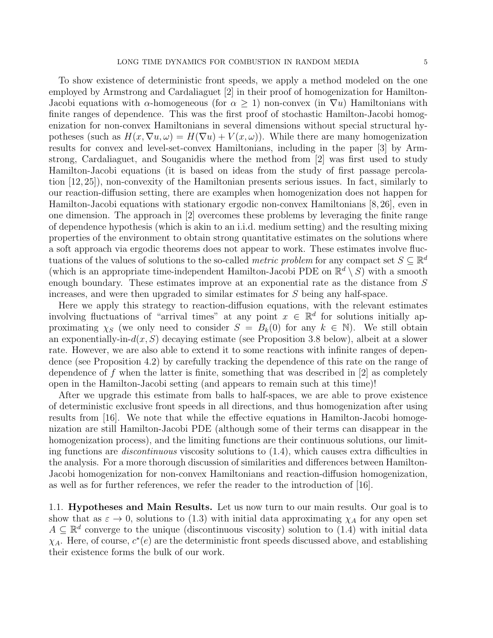To show existence of deterministic front speeds, we apply a method modeled on the one employed by Armstrong and Cardaliaguet [2] in their proof of homogenization for Hamilton-Jacobi equations with  $\alpha$ -homogeneous (for  $\alpha \geq 1$ ) non-convex (in  $\nabla u$ ) Hamiltonians with finite ranges of dependence. This was the first proof of stochastic Hamilton-Jacobi homogenization for non-convex Hamiltonians in several dimensions without special structural hypotheses (such as  $H(x, \nabla u, \omega) = H(\nabla u) + V(x, \omega)$ ). While there are many homogenization results for convex and level-set-convex Hamiltonians, including in the paper [3] by Armstrong, Cardaliaguet, and Souganidis where the method from [2] was first used to study Hamilton-Jacobi equations (it is based on ideas from the study of first passage percolation [12, 25]), non-convexity of the Hamiltonian presents serious issues. In fact, similarly to our reaction-diffusion setting, there are examples when homogenization does not happen for Hamilton-Jacobi equations with stationary ergodic non-convex Hamiltonians [8, 26], even in one dimension. The approach in [2] overcomes these problems by leveraging the finite range of dependence hypothesis (which is akin to an i.i.d. medium setting) and the resulting mixing properties of the environment to obtain strong quantitative estimates on the solutions where a soft approach via ergodic theorems does not appear to work. These estimates involve fluctuations of the values of solutions to the so-called *metric problem* for any compact set  $S \subseteq \mathbb{R}^d$ (which is an appropriate time-independent Hamilton-Jacobi PDE on  $\mathbb{R}^d \setminus S$ ) with a smooth enough boundary. These estimates improve at an exponential rate as the distance from S increases, and were then upgraded to similar estimates for S being any half-space.

Here we apply this strategy to reaction-diffusion equations, with the relevant estimates involving fluctuations of "arrival times" at any point  $x \in \mathbb{R}^d$  for solutions initially approximating  $\chi_S$  (we only need to consider  $S = B_k(0)$  for any  $k \in \mathbb{N}$ ). We still obtain an exponentially-in- $d(x, S)$  decaying estimate (see Proposition 3.8 below), albeit at a slower rate. However, we are also able to extend it to some reactions with infinite ranges of dependence (see Proposition 4.2) by carefully tracking the dependence of this rate on the range of dependence of f when the latter is finite, something that was described in  $[2]$  as completely open in the Hamilton-Jacobi setting (and appears to remain such at this time)!

After we upgrade this estimate from balls to half-spaces, we are able to prove existence of deterministic exclusive front speeds in all directions, and thus homogenization after using results from [16]. We note that while the effective equations in Hamilton-Jacobi homogenization are still Hamilton-Jacobi PDE (although some of their terms can disappear in the homogenization process), and the limiting functions are their continuous solutions, our limiting functions are discontinuous viscosity solutions to (1.4), which causes extra difficulties in the analysis. For a more thorough discussion of similarities and differences between Hamilton-Jacobi homogenization for non-convex Hamiltonians and reaction-diffusion homogenization, as well as for further references, we refer the reader to the introduction of [16].

1.1. Hypotheses and Main Results. Let us now turn to our main results. Our goal is to show that as  $\varepsilon \to 0$ , solutions to (1.3) with initial data approximating  $\chi_A$  for any open set  $A \subseteq \mathbb{R}^d$  converge to the unique (discontinuous viscosity) solution to (1.4) with initial data  $\chi_A$ . Here, of course,  $c^*(e)$  are the deterministic front speeds discussed above, and establishing their existence forms the bulk of our work.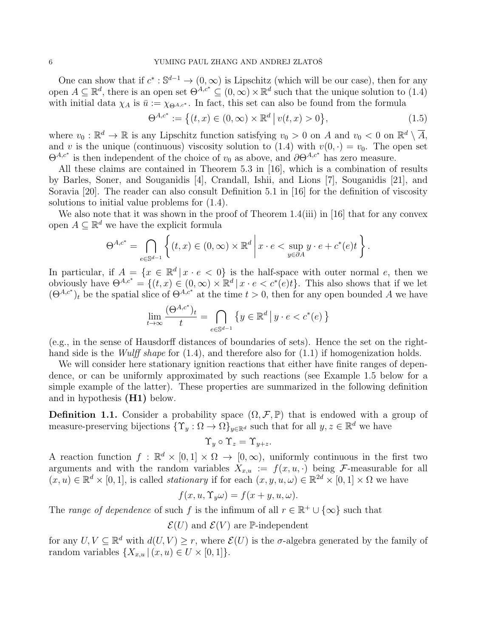One can show that if  $c^* : \mathbb{S}^{d-1} \to (0, \infty)$  is Lipschitz (which will be our case), then for any open  $A \subseteq \mathbb{R}^d$ , there is an open set  $\Theta^{A,c^*} \subseteq (0,\infty) \times \mathbb{R}^d$  such that the unique solution to  $(1.4)$ with initial data  $\chi_A$  is  $\bar{u} := \chi_{\Theta^{A,c^*}}$ . In fact, this set can also be found from the formula

$$
\Theta^{A,c^*} := \left\{ (t,x) \in (0,\infty) \times \mathbb{R}^d \, \middle| \, v(t,x) > 0 \right\},\tag{1.5}
$$

where  $v_0 : \mathbb{R}^d \to \mathbb{R}$  is any Lipschitz function satisfying  $v_0 > 0$  on A and  $v_0 < 0$  on  $\mathbb{R}^d \setminus \overline{A}$ , and v is the unique (continuous) viscosity solution to (1.4) with  $v(0, \cdot) = v_0$ . The open set  $\Theta^{A,c^*}$  is then independent of the choice of  $v_0$  as above, and  $\partial \Theta^{A,c^*}$  has zero measure.

All these claims are contained in Theorem 5.3 in [16], which is a combination of results by Barles, Soner, and Souganidis [4], Crandall, Ishii, and Lions [7], Souganidis [21], and Soravia [20]. The reader can also consult Definition 5.1 in [16] for the definition of viscosity solutions to initial value problems for (1.4).

We also note that it was shown in the proof of Theorem 1.4(iii) in [16] that for any convex open  $A \subseteq \mathbb{R}^d$  we have the explicit formula

$$
\Theta^{A,c^*} = \bigcap_{e \in \mathbb{S}^{d-1}} \left\{ (t,x) \in (0,\infty) \times \mathbb{R}^d \, \middle| \, x \cdot e < \sup_{y \in \partial A} y \cdot e + c^*(e)t \right\}.
$$

In particular, if  $A = \{x \in \mathbb{R}^d | x \cdot e < 0\}$  is the half-space with outer normal e, then we obviously have  $\Theta^{A,c^*} = \{(t,x) \in (0,\infty) \times \mathbb{R}^d \mid x \cdot e < c^*(e)t\}.$  This also shows that if we let  $(\Theta^{A,c^*})_t$  be the spatial slice of  $\Theta^{A,c^*}$  at the time  $t > 0$ , then for any open bounded A we have

$$
\lim_{t\to\infty}\frac{(\Theta^{A,c^*})_t}{t}=\bigcap_{e\in\mathbb{S}^{d-1}}\left\{y\in\mathbb{R}^d\,\big|\,y\cdot e
$$

(e.g., in the sense of Hausdorff distances of boundaries of sets). Hence the set on the righthand side is the *Wulff shape* for  $(1.4)$ , and therefore also for  $(1.1)$  if homogenization holds.

We will consider here stationary ignition reactions that either have finite ranges of dependence, or can be uniformly approximated by such reactions (see Example 1.5 below for a simple example of the latter). These properties are summarized in the following definition and in hypothesis (H1) below.

**Definition 1.1.** Consider a probability space  $(\Omega, \mathcal{F}, \mathbb{P})$  that is endowed with a group of measure-preserving bijections  $\{ \Upsilon_y : \Omega \to \Omega \}_{y \in \mathbb{R}^d}$  such that for all  $y, z \in \mathbb{R}^d$  we have

$$
\Upsilon_y \circ \Upsilon_z = \Upsilon_{y+z}.
$$

A reaction function  $f : \mathbb{R}^d \times [0,1] \times \Omega \to [0,\infty)$ , uniformly continuous in the first two arguments and with the random variables  $X_{x,u} := f(x, u, \cdot)$  being F-measurable for all  $(x, u) \in \mathbb{R}^d \times [0, 1]$ , is called *stationary* if for each  $(x, y, u, \omega) \in \mathbb{R}^{2d} \times [0, 1] \times \Omega$  we have

$$
f(x, u, \Upsilon_y \omega) = f(x + y, u, \omega).
$$

The range of dependence of such f is the infimum of all  $r \in \mathbb{R}^+ \cup \{\infty\}$  such that

 $\mathcal{E}(U)$  and  $\mathcal{E}(V)$  are P-independent

for any  $U, V \subseteq \mathbb{R}^d$  with  $d(U, V) \geq r$ , where  $\mathcal{E}(U)$  is the  $\sigma$ -algebra generated by the family of random variables  $\{X_{x,u} | (x,u) \in U \times [0,1]\}.$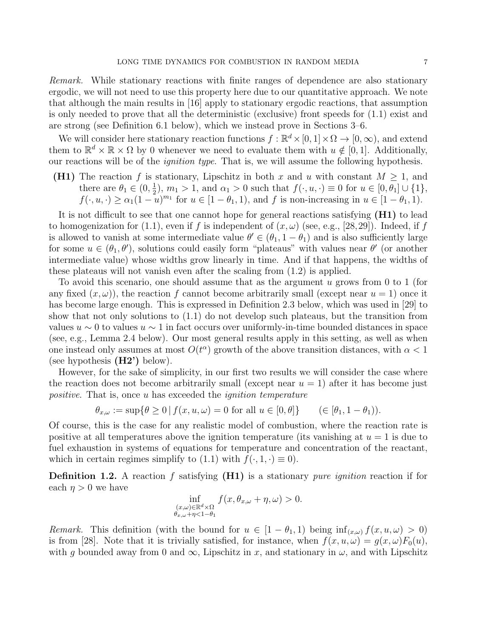Remark. While stationary reactions with finite ranges of dependence are also stationary ergodic, we will not need to use this property here due to our quantitative approach. We note that although the main results in [16] apply to stationary ergodic reactions, that assumption is only needed to prove that all the deterministic (exclusive) front speeds for (1.1) exist and are strong (see Definition 6.1 below), which we instead prove in Sections 3–6.

We will consider here stationary reaction functions  $f : \mathbb{R}^d \times [0, 1] \times \Omega \to [0, \infty)$ , and extend them to  $\mathbb{R}^d \times \mathbb{R} \times \Omega$  by 0 whenever we need to evaluate them with  $u \notin [0,1]$ . Additionally, our reactions will be of the *ignition type*. That is, we will assume the following hypothesis.

(H1) The reaction f is stationary, Lipschitz in both x and u with constant  $M \geq 1$ , and there are  $\theta_1 \in (0, \frac{1}{2})$  $\frac{1}{2}$ ,  $m_1 > 1$ , and  $\alpha_1 > 0$  such that  $f(\cdot, u, \cdot) \equiv 0$  for  $u \in [0, \theta_1] \cup \{1\}$ ,  $f(\cdot, u, \cdot) \ge \alpha_1 (1 - u)^{m_1}$  for  $u \in [1 - \theta_1, 1)$ , and f is non-increasing in  $u \in [1 - \theta_1, 1)$ .

It is not difficult to see that one cannot hope for general reactions satisfying (H1) to lead to homogenization for (1.1), even if f is independent of  $(x, \omega)$  (see, e.g., [28, 29]). Indeed, if f is allowed to vanish at some intermediate value  $\theta' \in (\theta_1, 1 - \theta_1)$  and is also sufficiently large for some  $u \in (\theta_1, \theta')$ , solutions could easily form "plateaus" with values near  $\theta'$  (or another intermediate value) whose widths grow linearly in time. And if that happens, the widths of these plateaus will not vanish even after the scaling from (1.2) is applied.

To avoid this scenario, one should assume that as the argument  $u$  grows from 0 to 1 (for any fixed  $(x, \omega)$ , the reaction f cannot become arbitrarily small (except near  $u = 1$ ) once it has become large enough. This is expressed in Definition 2.3 below, which was used in [29] to show that not only solutions to (1.1) do not develop such plateaus, but the transition from values  $u \sim 0$  to values  $u \sim 1$  in fact occurs over uniformly-in-time bounded distances in space (see, e.g., Lemma 2.4 below). Our most general results apply in this setting, as well as when one instead only assumes at most  $O(t^{\alpha})$  growth of the above transition distances, with  $\alpha < 1$ (see hypothesis  $(H2')$  below).

However, for the sake of simplicity, in our first two results we will consider the case where the reaction does not become arbitrarily small (except near  $u = 1$ ) after it has become just positive. That is, once u has exceeded the *ignition temperature* 

$$
\theta_{x,\omega} := \sup \{ \theta \ge 0 \mid f(x, u, \omega) = 0 \text{ for all } u \in [0, \theta] \} \qquad (\in [\theta_1, 1 - \theta_1]).
$$

Of course, this is the case for any realistic model of combustion, where the reaction rate is positive at all temperatures above the ignition temperature (its vanishing at  $u = 1$  is due to fuel exhaustion in systems of equations for temperature and concentration of the reactant, which in certain regimes simplify to  $(1.1)$  with  $f(\cdot, 1, \cdot) \equiv 0$ .

**Definition 1.2.** A reaction f satisfying  $(H1)$  is a stationary *pure ignition* reaction if for each  $\eta > 0$  we have

$$
\inf_{\substack{(x,\omega)\in\mathbb{R}^d\times\Omega\\ \theta_{x,\omega}+\eta<1-\theta_1}} f(x,\theta_{x,\omega}+\eta,\omega) > 0.
$$

Remark. This definition (with the bound for  $u \in [1 - \theta_1, 1)$  being  $\inf_{(x,\omega)} f(x, u, \omega) > 0$ ) is from [28]. Note that it is trivially satisfied, for instance, when  $f(x, u, \omega) = g(x, \omega) F_0(u)$ , with g bounded away from 0 and  $\infty$ , Lipschitz in x, and stationary in  $\omega$ , and with Lipschitz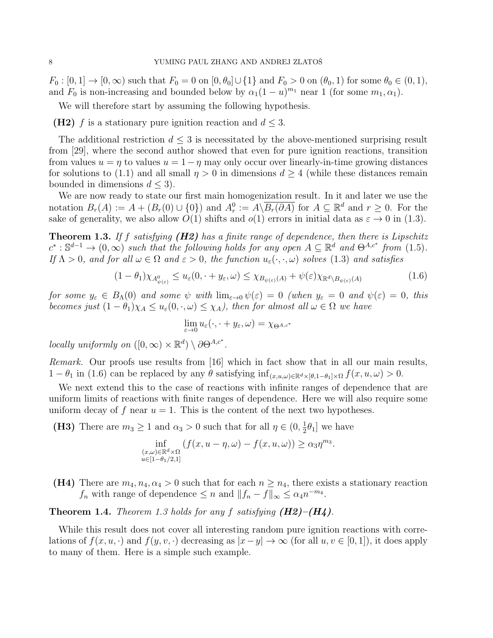$F_0 : [0, 1] \to [0, \infty)$  such that  $F_0 = 0$  on  $[0, \theta_0] \cup \{1\}$  and  $F_0 > 0$  on  $(\theta_0, 1)$  for some  $\theta_0 \in (0, 1)$ , and  $F_0$  is non-increasing and bounded below by  $\alpha_1(1-u)^{m_1}$  near 1 (for some  $m_1, \alpha_1$ ).

We will therefore start by assuming the following hypothesis.

(H2) f is a stationary pure ignition reaction and  $d \leq 3$ .

The additional restriction  $d \leq 3$  is necessitated by the above-mentioned surprising result from [29], where the second author showed that even for pure ignition reactions, transition from values  $u = \eta$  to values  $u = 1 - \eta$  may only occur over linearly-in-time growing distances for solutions to (1.1) and all small  $\eta > 0$  in dimensions  $d \geq 4$  (while these distances remain bounded in dimensions  $d \leq 3$ ).

We are now ready to state our first main homogenization result. In it and later we use the notation  $B_r(A) := A + (B_r(0) \cup \{0\})$  and  $A_r^0 := A \setminus \overline{B_r(\partial A)}$  for  $A \subseteq \mathbb{R}^d$  and  $r \geq 0$ . For the sake of generality, we also allow  $\tilde{O}(1)$  shifts and  $o(1)$  errors in initial data as  $\varepsilon \to 0$  in (1.3).

**Theorem 1.3.** If f satisfying  $(H2)$  has a finite range of dependence, then there is Lipschitz  $c^*: \mathbb{S}^{d-1} \to (0,\infty)$  such that the following holds for any open  $A \subseteq \mathbb{R}^d$  and  $\Theta^{A,c^*}$  from (1.5). If  $\Lambda > 0$ , and for all  $\omega \in \Omega$  and  $\varepsilon > 0$ , the function  $u_{\varepsilon}(\cdot, \cdot, \omega)$  solves (1.3) and satisfies

$$
(1 - \theta_1) \chi_{A^0_{\psi(\varepsilon)}} \le u_{\varepsilon}(0, \cdot + y_{\varepsilon}, \omega) \le \chi_{B_{\psi(\varepsilon)}(A)} + \psi(\varepsilon) \chi_{\mathbb{R}^d \setminus B_{\psi(\varepsilon)}(A)} \tag{1.6}
$$

for some  $y_{\varepsilon} \in B_{\Lambda}(0)$  and some  $\psi$  with  $\lim_{\varepsilon \to 0} \psi(\varepsilon) = 0$  (when  $y_{\varepsilon} = 0$  and  $\psi(\varepsilon) = 0$ , this becomes just  $(1 - \theta_1)\chi_A \leq u_\varepsilon(0, \cdot, \omega) \leq \chi_A$ , then for almost all  $\omega \in \Omega$  we have

$$
\lim_{\varepsilon \to 0} u_{\varepsilon}(\cdot, \cdot + y_{\varepsilon}, \omega) = \chi_{\Theta^{A,c^*}}
$$

locally uniformly on  $([0,\infty) \times \mathbb{R}^d) \setminus \partial \Theta^{A,c^*}.$ 

Remark. Our proofs use results from [16] which in fact show that in all our main results,  $1 - \theta_1$  in (1.6) can be replaced by any  $\theta$  satisfying  $\inf_{(x,u,\omega)\in\mathbb{R}^d\times[\theta,1-\theta_1]\times\Omega}f(x,u,\omega) > 0.$ 

We next extend this to the case of reactions with infinite ranges of dependence that are uniform limits of reactions with finite ranges of dependence. Here we will also require some uniform decay of f near  $u = 1$ . This is the content of the next two hypotheses.

(H3) There are  $m_3 \geq 1$  and  $\alpha_3 > 0$  such that for all  $\eta \in (0, \frac{1}{2})$  $(\frac{1}{2}\theta_1]$  we have

$$
\inf_{\substack{(x,\omega)\in\mathbb{R}^d\times\Omega\\u\in[1-\theta_1/2,1]}} (f(x,u-\eta,\omega)-f(x,u,\omega)) \ge \alpha_3\eta^{m_3}.
$$

(H4) There are  $m_4, n_4, \alpha_4 > 0$  such that for each  $n \geq n_4$ , there exists a stationary reaction  $f_n$  with range of dependence  $\leq n$  and  $||f_n - f||_{\infty} \leq \alpha_4 n^{-m_4}$ .

**Theorem 1.4.** Theorem 1.3 holds for any f satisfying  $(H2)$ – $(H<sub>4</sub>)$ .

While this result does not cover all interesting random pure ignition reactions with correlations of  $f(x, u, \cdot)$  and  $f(y, v, \cdot)$  decreasing as  $|x - y| \to \infty$  (for all  $u, v \in [0, 1]$ ), it does apply to many of them. Here is a simple such example.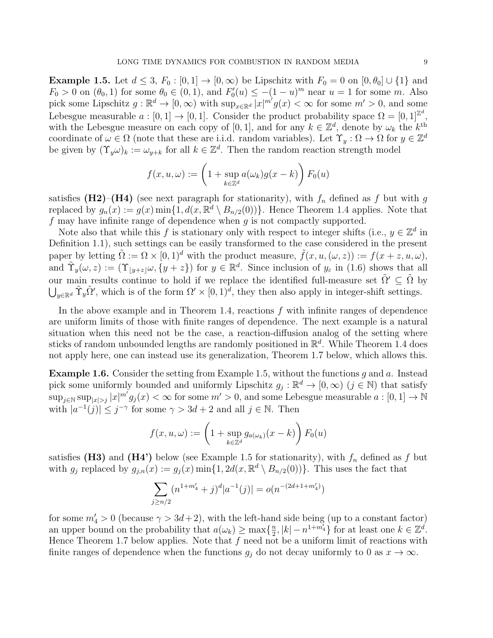**Example 1.5.** Let  $d \leq 3$ ,  $F_0 : [0, 1] \rightarrow [0, \infty)$  be Lipschitz with  $F_0 = 0$  on  $[0, \theta_0] \cup \{1\}$  and  $F_0 > 0$  on  $(\theta_0, 1)$  for some  $\theta_0 \in (0, 1)$ , and  $F'_0(u) \le -(1 - u)^m$  near  $u = 1$  for some m. Also pick some Lipschitz  $g: \mathbb{R}^d \to [0, \infty)$  with  $\sup_{x \in \mathbb{R}^d} |x|^{m'} g(x) < \infty$  for some  $m' > 0$ , and some Lebesgue measurable  $a: [0,1] \to [0,1]$ . Consider the product probability space  $\Omega = [0,1]^{Z^d}$ , with the Lebesgue measure on each copy of [0, 1], and for any  $k \in \mathbb{Z}^d$ , denote by  $\omega_k$  the  $k^{\text{th}}$ coordinate of  $\omega \in \Omega$  (note that these are i.i.d. random variables). Let  $\Upsilon_y : \Omega \to \Omega$  for  $y \in \mathbb{Z}^d$ be given by  $(\Upsilon_y \omega)_k := \omega_{y+k}$  for all  $k \in \mathbb{Z}^d$ . Then the random reaction strength model

$$
f(x, u, \omega) := \left(1 + \sup_{k \in \mathbb{Z}^d} a(\omega_k)g(x - k)\right) F_0(u)
$$

satisfies (H2)–(H4) (see next paragraph for stationarity), with  $f_n$  defined as f but with g replaced by  $g_n(x) := g(x) \min\{1, d(x, \mathbb{R}^d \setminus B_{n/2}(0))\}$ . Hence Theorem 1.4 applies. Note that f may have infinite range of dependence when  $g$  is not compactly supported.

Note also that while this f is stationary only with respect to integer shifts (i.e.,  $y \in \mathbb{Z}^d$  in Definition 1.1), such settings can be easily transformed to the case considered in the present paper by letting  $\tilde{\Omega} := \Omega \times [0, 1]^d$  with the product measure,  $\tilde{f}(x, u, (\omega, z)) := f(x + z, u, \omega)$ , and  $\tilde{\Upsilon}_y(\omega, z) := (\Upsilon_{|y+z|}\omega, \{y+z\})$  for  $y \in \mathbb{R}^d$ . Since inclusion of  $y_\varepsilon$  in (1.6) shows that all our main results continue to hold if we replace the identified full-measure set  $\tilde{\Omega}' \subseteq \tilde{\Omega}$  by  $\bigcup_{y\in\mathbb{R}^d} \tilde{\Upsilon}_y\tilde{\Omega}'$ , which is of the form  $\Omega' \times [0,1)^d$ , they then also apply in integer-shift settings.

In the above example and in Theorem 1.4, reactions  $f$  with infinite ranges of dependence are uniform limits of those with finite ranges of dependence. The next example is a natural situation when this need not be the case, a reaction-diffusion analog of the setting where sticks of random unbounded lengths are randomly positioned in  $\mathbb{R}^d$ . While Theorem 1.4 does not apply here, one can instead use its generalization, Theorem 1.7 below, which allows this.

**Example 1.6.** Consider the setting from Example 1.5, without the functions q and a. Instead pick some uniformly bounded and uniformly Lipschitz  $g_j : \mathbb{R}^d \to [0, \infty)$   $(j \in \mathbb{N})$  that satisfy  $\sup_{j\in\mathbb{N}}\sup_{|x|>j}|x|^{m'}g_j(x)<\infty$  for some  $m'>0$ , and some Lebesgue measurable  $a:[0,1]\to\mathbb{N}$ with  $|a^{-1}(j)| \leq j^{-\gamma}$  for some  $\gamma > 3d + 2$  and all  $j \in \mathbb{N}$ . Then

$$
f(x, u, \omega) := \left(1 + \sup_{k \in \mathbb{Z}^d} g_{a(\omega_k)}(x - k)\right) F_0(u)
$$

satisfies (H3) and (H4') below (see Example 1.5 for stationarity), with  $f_n$  defined as f but with  $g_j$  replaced by  $g_{j,n}(x) := g_j(x) \min\{1, 2d(x, \mathbb{R}^d \setminus B_{n/2}(0))\}$ . This uses the fact that

$$
\sum_{j \ge n/2} (n^{1+m'_4} + j)^d |a^{-1}(j)| = o(n^{-(2d+1+m'_4)})
$$

for some  $m_4' > 0$  (because  $\gamma > 3d+2$ ), with the left-hand side being (up to a constant factor) an upper bound on the probability that  $a(\omega_k) \geq \max\{\frac{n}{2}\}$  $\frac{n}{2}, |k| - n^{1+m'_4}$  for at least one  $k \in \mathbb{Z}^d$ . Hence Theorem 1.7 below applies. Note that  $f$  need not be a uniform limit of reactions with finite ranges of dependence when the functions  $g_j$  do not decay uniformly to 0 as  $x \to \infty$ .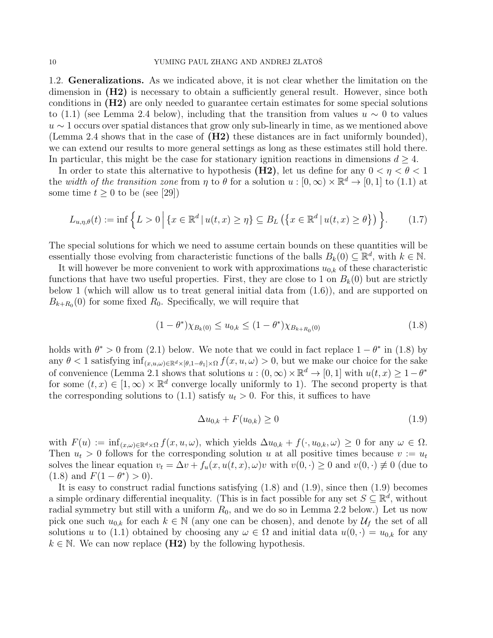1.2. Generalizations. As we indicated above, it is not clear whether the limitation on the dimension in  $(H2)$  is necessary to obtain a sufficiently general result. However, since both conditions in (H2) are only needed to guarantee certain estimates for some special solutions to (1.1) (see Lemma 2.4 below), including that the transition from values  $u \sim 0$  to values  $u \sim 1$  occurs over spatial distances that grow only sub-linearly in time, as we mentioned above (Lemma 2.4 shows that in the case of (H2) these distances are in fact uniformly bounded), we can extend our results to more general settings as long as these estimates still hold there. In particular, this might be the case for stationary ignition reactions in dimensions  $d \geq 4$ .

In order to state this alternative to hypothesis (H2), let us define for any  $0 < \eta < \theta < 1$ the width of the transition zone from  $\eta$  to  $\theta$  for a solution  $u : [0, \infty) \times \mathbb{R}^d \to [0, 1]$  to (1.1) at some time  $t \geq 0$  to be (see [29])

$$
L_{u,\eta,\theta}(t) := \inf \left\{ L > 0 \, \Big| \, \{ x \in \mathbb{R}^d \, | \, u(t,x) \ge \eta \} \subseteq B_L \left( \{ x \in \mathbb{R}^d \, | \, u(t,x) \ge \theta \} \right) \right\}.
$$
\n(1.7)

The special solutions for which we need to assume certain bounds on these quantities will be essentially those evolving from characteristic functions of the balls  $B_k(0) \subseteq \mathbb{R}^d$ , with  $k \in \mathbb{N}$ .

It will however be more convenient to work with approximations  $u_{0,k}$  of these characteristic functions that have two useful properties. First, they are close to 1 on  $B_k(0)$  but are strictly below 1 (which will allow us to treat general initial data from (1.6)), and are supported on  $B_{k+R_0}(0)$  for some fixed  $R_0$ . Specifically, we will require that

$$
(1 - \theta^*) \chi_{B_k(0)} \le u_{0,k} \le (1 - \theta^*) \chi_{B_{k+R_0}(0)}
$$
\n(1.8)

holds with  $\theta^* > 0$  from (2.1) below. We note that we could in fact replace  $1 - \theta^*$  in (1.8) by any  $\theta < 1$  satisfying  $\inf_{(x,u,\omega)\in\mathbb{R}^d\times\lbrack\theta,1-\theta_1]\times\Omega} f(x,u,\omega) > 0$ , but we make our choice for the sake of convenience (Lemma 2.1 shows that solutions  $u:(0,\infty)\times\mathbb{R}^d\to[0,1]$  with  $u(t,x)\geq 1-\theta^*$ for some  $(t, x) \in [1, \infty) \times \mathbb{R}^d$  converge locally uniformly to 1). The second property is that the corresponding solutions to (1.1) satisfy  $u_t > 0$ . For this, it suffices to have

$$
\Delta u_{0,k} + F(u_{0,k}) \ge 0 \tag{1.9}
$$

with  $F(u) := \inf_{(x,\omega)\in\mathbb{R}^d\times\Omega} f(x,u,\omega)$ , which yields  $\Delta u_{0,k} + f(\cdot, u_{0,k}, \omega) \geq 0$  for any  $\omega \in \Omega$ . Then  $u_t > 0$  follows for the corresponding solution u at all positive times because  $v := u_t$ solves the linear equation  $v_t = \Delta v + f_u(x, u(t, x), \omega)v$  with  $v(0, \cdot) \geq 0$  and  $v(0, \cdot) \neq 0$  (due to (1.8) and  $F(1 - \theta^*) > 0$ ).

It is easy to construct radial functions satisfying (1.8) and (1.9), since then (1.9) becomes a simple ordinary differential inequality. (This is in fact possible for any set  $S \subseteq \mathbb{R}^d$ , without radial symmetry but still with a uniform  $R_0$ , and we do so in Lemma 2.2 below.) Let us now pick one such  $u_{0,k}$  for each  $k \in \mathbb{N}$  (any one can be chosen), and denote by  $\mathcal{U}_f$  the set of all solutions u to (1.1) obtained by choosing any  $\omega \in \Omega$  and initial data  $u(0, \cdot) = u_{0,k}$  for any  $k \in \mathbb{N}$ . We can now replace (H2) by the following hypothesis.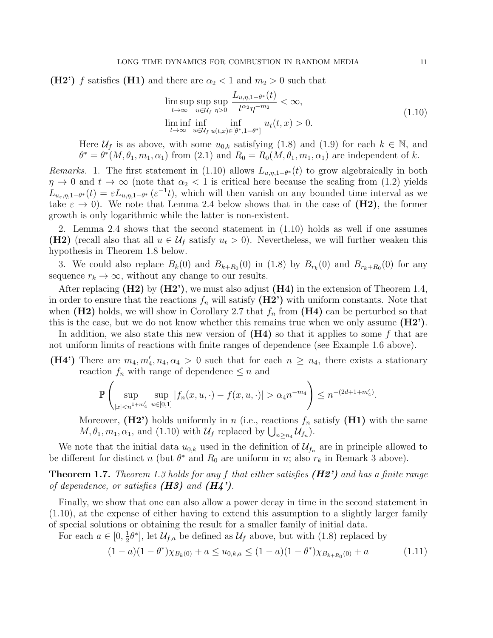(H2') f satisfies (H1) and there are  $\alpha_2 < 1$  and  $m_2 > 0$  such that

$$
\limsup_{t \to \infty} \sup_{u \in \mathcal{U}_f} \sup_{\eta > 0} \frac{L_{u,\eta,1-\theta^*}(t)}{t^{\alpha_2} \eta^{-m_2}} < \infty,
$$
\n
$$
\liminf_{t \to \infty} \inf_{u \in \mathcal{U}_f} \inf_{u(t,x) \in [\theta^*, 1-\theta^*]} u_t(t,x) > 0.
$$
\n
$$
(1.10)
$$

Here  $\mathcal{U}_f$  is as above, with some  $u_{0,k}$  satisfying (1.8) and (1.9) for each  $k \in \mathbb{N}$ , and  $\theta^* = \theta^*(M, \theta_1, m_1, \alpha_1)$  from (2.1) and  $R_0 = R_0(M, \theta_1, m_1, \alpha_1)$  are independent of k.

*Remarks.* 1. The first statement in (1.10) allows  $L_{u,\eta,1-\theta^*}(t)$  to grow algebraically in both  $\eta \to 0$  and  $t \to \infty$  (note that  $\alpha_2 < 1$  is critical here because the scaling from (1.2) yields  $L_{u_{\varepsilon},\eta,1-\theta^*}(t) = \varepsilon L_{u,\eta,1-\theta^*}(\varepsilon^{-1}t)$ , which will then vanish on any bounded time interval as we take  $\varepsilon \to 0$ ). We note that Lemma 2.4 below shows that in the case of (H2), the former growth is only logarithmic while the latter is non-existent.

2. Lemma 2.4 shows that the second statement in (1.10) holds as well if one assumes (H2) (recall also that all  $u \in \mathcal{U}_f$  satisfy  $u_t > 0$ ). Nevertheless, we will further weaken this hypothesis in Theorem 1.8 below.

3. We could also replace  $B_k(0)$  and  $B_{k+R_0}(0)$  in (1.8) by  $B_{r_k}(0)$  and  $B_{r_k+R_0}(0)$  for any sequence  $r_k \to \infty$ , without any change to our results.

After replacing  $(H2)$  by  $(H2')$ , we must also adjust  $(H4)$  in the extension of Theorem 1.4, in order to ensure that the reactions  $f_n$  will satisfy  $(H2')$  with uniform constants. Note that when (H2) holds, we will show in Corollary 2.7 that  $f_n$  from (H4) can be perturbed so that this is the case, but we do not know whether this remains true when we only assume  $(H2')$ .

In addition, we also state this new version of  $(H4)$  so that it applies to some f that are not uniform limits of reactions with finite ranges of dependence (see Example 1.6 above).

(H4') There are  $m_4, m'_4, n_4, \alpha_4 > 0$  such that for each  $n \geq n_4$ , there exists a stationary reaction  $f_n$  with range of dependence  $\leq n$  and

$$
\mathbb{P}\left(\sup_{|x|\alpha_4 n^{-m_4}\right)\leq n^{-(2d+1+m'_4)}.
$$

Moreover,  $(H2')$  holds uniformly in n (i.e., reactions  $f_n$  satisfy  $(H1)$  with the same  $M, \theta_1, m_1, \alpha_1$ , and (1.10) with  $\mathcal{U}_f$  replaced by  $\bigcup_{n \geq n_4} \mathcal{U}_{f_n}$ ).

We note that the initial data  $u_{0,k}$  used in the definition of  $\mathcal{U}_{f_n}$  are in principle allowed to be different for distinct n (but  $\theta^*$  and  $R_0$  are uniform in n; also  $r_k$  in Remark 3 above).

**Theorem 1.7.** Theorem 1.3 holds for any f that either satisfies  $(H2')$  and has a finite range of dependence, or satisfies  $(H3)$  and  $(H4')$ .

Finally, we show that one can also allow a power decay in time in the second statement in (1.10), at the expense of either having to extend this assumption to a slightly larger family of special solutions or obtaining the result for a smaller family of initial data.

For each  $a \in [0, \frac{1}{2}]$  $\frac{1}{2}\theta^*$ , let  $\mathcal{U}_{f,a}$  be defined as  $\mathcal{U}_f$  above, but with  $(1.8)$  replaced by

$$
(1-a)(1-\theta^*)\chi_{B_k(0)} + a \le u_{0,k,a} \le (1-a)(1-\theta^*)\chi_{B_{k+R_0}(0)} + a \tag{1.11}
$$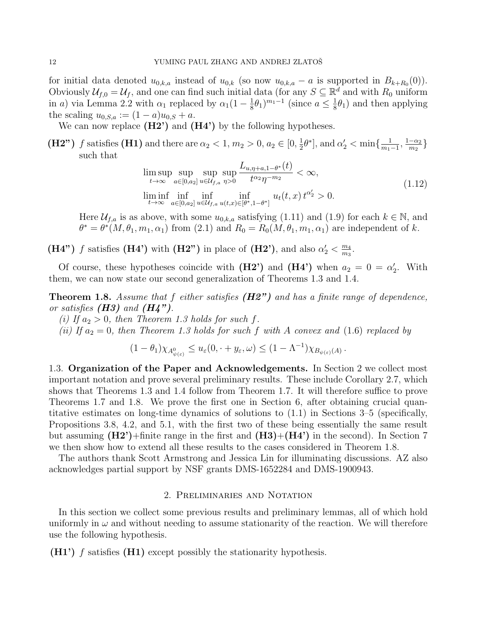for initial data denoted  $u_{0,k,a}$  instead of  $u_{0,k}$  (so now  $u_{0,k,a} - a$  is supported in  $B_{k+R_0}(0)$ ). Obviously  $\mathcal{U}_{f,0} = \mathcal{U}_f$ , and one can find such initial data (for any  $S \subseteq \mathbb{R}^d$  and with  $R_0$  uniform in a) via Lemma 2.2 with  $\alpha_1$  replaced by  $\alpha_1(1-\frac{1}{8})$  $(\frac{1}{8}\theta_1)^{m_1-1}$  (since  $a \leq \frac{1}{8}$ )  $\frac{1}{8}\theta_1$ ) and then applying the scaling  $u_{0,S,a} := (1-a)u_{0,S} + a$ .

We can now replace  $(H2')$  and  $(H4')$  by the following hypotheses.

(H2") f satisfies (H1) and there are  $\alpha_2 < 1$ ,  $m_2 > 0$ ,  $a_2 \in [0, \frac{1}{2}]$  $\frac{1}{2}\theta^*$ , and  $\alpha'_2 < \min\{\frac{1}{m_1}\}$  $\frac{1}{m_1-1}, \frac{1-\alpha_2}{m_2}$  $\frac{-\alpha_2}{m_2}\}$ such that

$$
\limsup_{t \to \infty} \sup_{a \in [0,a_2]} \sup_{u \in \mathcal{U}_{f,a}} \sup_{\eta > 0} \frac{L_{u,\eta+a,1-\theta^*}(t)}{t^{\alpha_2} \eta^{-m_2}} < \infty,
$$
\n
$$
\liminf_{t \to \infty} \inf_{a \in [0,a_2]} \inf_{u \in \mathcal{U}_{f,a}} \inf_{u(t,x) \in [\theta^*,1-\theta^*]} u_t(t,x) \, t^{\alpha_2'} > 0.
$$
\n
$$
(1.12)
$$

Here  $\mathcal{U}_{f,a}$  is as above, with some  $u_{0,k,a}$  satisfying (1.11) and (1.9) for each  $k \in \mathbb{N}$ , and  $\theta^* = \theta^*(M, \theta_1, m_1, \alpha_1)$  from (2.1) and  $R_0 = R_0(M, \theta_1, m_1, \alpha_1)$  are independent of k.

(H4") f satisfies (H4") with (H2") in place of (H2"), and also  $\alpha_2' < \frac{m_4}{m_3}$  $\frac{m_4}{m_3}$ .

Of course, these hypotheses coincide with  $(H2')$  and  $(H4')$  when  $a_2 = 0 = \alpha'_2$ . With them, we can now state our second generalization of Theorems 1.3 and 1.4.

**Theorem 1.8.** Assume that f either satisfies  $(H2")$  and has a finite range of dependence, or satisfies  $(H3)$  and  $(H4")$ .

(i) If  $a_2 > 0$ , then Theorem 1.3 holds for such f.

(ii) If  $a_2 = 0$ , then Theorem 1.3 holds for such f with A convex and (1.6) replaced by

$$
(1 - \theta_1) \chi_{A^0_{\psi(\varepsilon)}} \leq u_{\varepsilon}(0, \cdot + y_{\varepsilon}, \omega) \leq (1 - \Lambda^{-1}) \chi_{B_{\psi(\varepsilon)}(A)}.
$$

1.3. Organization of the Paper and Acknowledgements. In Section 2 we collect most important notation and prove several preliminary results. These include Corollary 2.7, which shows that Theorems 1.3 and 1.4 follow from Theorem 1.7. It will therefore suffice to prove Theorems 1.7 and 1.8. We prove the first one in Section 6, after obtaining crucial quantitative estimates on long-time dynamics of solutions to (1.1) in Sections 3–5 (specifically, Propositions 3.8, 4.2, and 5.1, with the first two of these being essentially the same result but assuming  $(H2')$ +finite range in the first and  $(H3)+(H4')$  in the second). In Section 7 we then show how to extend all these results to the cases considered in Theorem 1.8.

The authors thank Scott Armstrong and Jessica Lin for illuminating discussions. AZ also acknowledges partial support by NSF grants DMS-1652284 and DMS-1900943.

### 2. Preliminaries and Notation

In this section we collect some previous results and preliminary lemmas, all of which hold uniformly in  $\omega$  and without needing to assume stationarity of the reaction. We will therefore use the following hypothesis.

 $(H1')$  f satisfies  $(H1)$  except possibly the stationarity hypothesis.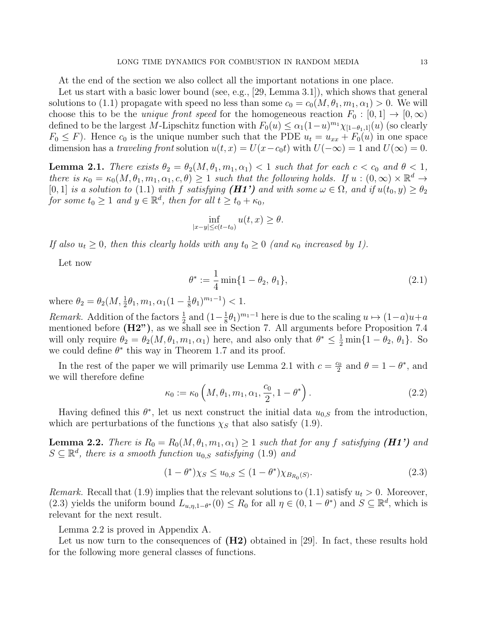At the end of the section we also collect all the important notations in one place.

Let us start with a basic lower bound (see, e.g., [29, Lemma 3.1]), which shows that general solutions to (1.1) propagate with speed no less than some  $c_0 = c_0(M, \theta_1, m_1, \alpha_1) > 0$ . We will choose this to be the *unique front speed* for the homogeneous reaction  $F_0 : [0,1] \to [0,\infty)$ defined to be the largest M-Lipschitz function with  $F_0(u) \leq \alpha_1(1-u)^{m_1}\chi_{[1-\theta_1,1]}(u)$  (so clearly  $F_0 \leq F$ ). Hence  $c_0$  is the unique number such that the PDE  $u_t = u_{xx} + F_0(u)$  in one space dimension has a traveling front solution  $u(t, x) = U(x - c_0t)$  with  $U(-\infty) = 1$  and  $U(\infty) = 0$ .

**Lemma 2.1.** There exists  $\theta_2 = \theta_2(M, \theta_1, m_1, \alpha_1) < 1$  such that for each  $c < c_0$  and  $\theta < 1$ , there is  $\kappa_0 = \kappa_0(M, \theta_1, m_1, \alpha_1, c, \theta) \geq 1$  such that the following holds. If  $u : (0, \infty) \times \mathbb{R}^d \to$ [0, 1] is a solution to (1.1) with f satisfying  $(H1')$  and with some  $\omega \in \Omega$ , and if  $u(t_0, y) \ge \theta_2$ for some  $t_0 \geq 1$  and  $y \in \mathbb{R}^d$ , then for all  $t \geq t_0 + \kappa_0$ ,

$$
\inf_{|x-y|\leq c(t-t_0)} u(t,x) \geq \theta.
$$

If also  $u_t \geq 0$ , then this clearly holds with any  $t_0 \geq 0$  (and  $\kappa_0$  increased by 1).

Let now

$$
\theta^* := \frac{1}{4} \min\{1 - \theta_2, \theta_1\},\tag{2.1}
$$

where  $\theta_2 = \theta_2(M, \frac{1}{2}\theta_1, m_1, \alpha_1(1 - \frac{1}{8})$  $(\frac{1}{8}\theta_1)^{m_1-1})$  < 1.

*Remark.* Addition of the factors  $\frac{1}{2}$  and  $\left(1-\frac{1}{8}\right)$  $(\frac{1}{8}\theta_1)^{m_1-1}$  here is due to the scaling  $u \mapsto (1-a)u+a$ mentioned before (H2"), as we shall see in Section 7. All arguments before Proposition 7.4 will only require  $\theta_2 = \theta_2(M, \theta_1, m_1, \alpha_1)$  here, and also only that  $\theta^* \leq \frac{1}{2} \min\{1 - \theta_2, \theta_1\}$ . So we could define  $\theta^*$  this way in Theorem 1.7 and its proof.

In the rest of the paper we will primarily use Lemma 2.1 with  $c = \frac{c_0}{2}$  $\frac{c_0}{2}$  and  $\theta = 1 - \theta^*$ , and we will therefore define

$$
\kappa_0 := \kappa_0 \left( M, \theta_1, m_1, \alpha_1, \frac{c_0}{2}, 1 - \theta^* \right). \tag{2.2}
$$

Having defined this  $\theta^*$ , let us next construct the initial data  $u_{0,S}$  from the introduction, which are perturbations of the functions  $\chi_S$  that also satisfy (1.9).

**Lemma 2.2.** There is  $R_0 = R_0(M, \theta_1, m_1, \alpha_1) \geq 1$  such that for any f satisfying (*H1'*) and  $S \subseteq \mathbb{R}^d$ , there is a smooth function  $u_{0,S}$  satisfying (1.9) and

$$
(1 - \theta^*) \chi_S \le u_{0,S} \le (1 - \theta^*) \chi_{B_{R_0}(S)}.
$$
\n(2.3)

Remark. Recall that (1.9) implies that the relevant solutions to (1.1) satisfy  $u_t > 0$ . Moreover, (2.3) yields the uniform bound  $L_{u,\eta,1-\theta^*}(0) \leq R_0$  for all  $\eta \in (0,1-\theta^*)$  and  $S \subseteq \mathbb{R}^d$ , which is relevant for the next result.

Lemma 2.2 is proved in Appendix A.

Let us now turn to the consequences of  $(H2)$  obtained in [29]. In fact, these results hold for the following more general classes of functions.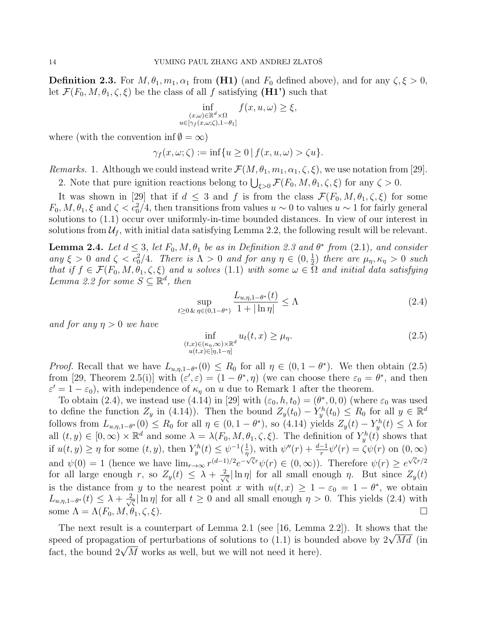**Definition 2.3.** For  $M, \theta_1, m_1, \alpha_1$  from (H1) (and  $F_0$  defined above), and for any  $\zeta, \xi > 0$ , let  $\mathcal{F}(F_0, M, \theta_1, \zeta, \xi)$  be the class of all f satisfying  $(H1')$  such that

$$
\inf_{\substack{(x,\omega)\in\mathbb{R}^d\times\Omega\\u\in[\gamma_f(x,\omega;\zeta),1-\theta_1]}} f(x,u,\omega) \ge \xi,
$$

where (with the convention inf  $\emptyset = \infty$ )

$$
\gamma_f(x,\omega;\zeta) := \inf\{u \ge 0 \,|\, f(x,u,\omega) > \zeta u\}.
$$

Remarks. 1. Although we could instead write  $\mathcal{F}(M, \theta_1, m_1, \alpha_1, \zeta, \xi)$ , we use notation from [29].

2. Note that pure ignition reactions belong to  $\bigcup_{\xi>0} \mathcal{F}(F_0, M, \theta_1, \zeta, \xi)$  for any  $\zeta > 0$ .

It was shown in [29] that if  $d \leq 3$  and f is from the class  $\mathcal{F}(F_0, M, \theta_1, \zeta, \xi)$  for some  $F_0, M, \theta_1, \xi$  and  $\zeta < c_0^2/4$ , then transitions from values  $u \sim 0$  to values  $u \sim 1$  for fairly general solutions to (1.1) occur over uniformly-in-time bounded distances. In view of our interest in solutions from  $\mathcal{U}_f$ , with initial data satisfying Lemma 2.2, the following result will be relevant.

**Lemma 2.4.** Let  $d \leq 3$ , let  $F_0, M, \theta_1$  be as in Definition 2.3 and  $\theta^*$  from (2.1), and consider any  $\xi > 0$  and  $\zeta < c_0^2/4$ . There is  $\Lambda > 0$  and for any  $\eta \in (0, \frac{1}{2})$  $(\frac{1}{2})$  there are  $\mu_{\eta}, \kappa_{\eta} > 0$  such that if  $f \in \mathcal{F}(F_0, M, \theta_1, \zeta, \xi)$  and u solves (1.1) with some  $\omega \in \Omega$  and initial data satisfying Lemma 2.2 for some  $S \subseteq \mathbb{R}^d$ , then

$$
\sup_{t \ge 0 \& \eta \in (0, 1 - \theta^*)} \frac{L_{u, \eta, 1 - \theta^*}(t)}{1 + |\ln \eta|} \le \Lambda \tag{2.4}
$$

and for any  $\eta > 0$  we have

$$
\inf_{\substack{(t,x)\in(\kappa_{\eta},\infty)\times\mathbb{R}^d\\u(t,x)\in[\eta,1-\eta]}}u_t(t,x)\geq\mu_{\eta}.\tag{2.5}
$$

*Proof.* Recall that we have  $L_{u,\eta,1-\theta^*}(0) \leq R_0$  for all  $\eta \in (0,1-\theta^*)$ . We then obtain  $(2.5)$ from [29, Theorem 2.5(i)] with  $(\varepsilon', \varepsilon) = (1 - \theta^*, \eta)$  (we can choose there  $\varepsilon_0 = \theta^*$ , and then  $\varepsilon' = 1 - \varepsilon_0$ , with independence of  $\kappa_{\eta}$  on u due to Remark 1 after the theorem.

To obtain (2.4), we instead use (4.14) in [29] with  $(\varepsilon_0, h, t_0) = (\theta^*, 0, 0)$  (where  $\varepsilon_0$  was used to define the function  $Z_y$  in (4.14)). Then the bound  $Z_y(t_0) - Y_y^h(t_0) \le R_0$  for all  $y \in \mathbb{R}^d$ follows from  $L_{u,\eta,1-\theta^*}(0) \leq R_0$  for all  $\eta \in (0,1-\theta^*)$ , so  $(4.14)$  yields  $Z_y(t) - Y_y^h(t) \leq \lambda$  for all  $(t, y) \in [0, \infty) \times \mathbb{R}^d$  and some  $\lambda = \lambda(F_0, M, \theta_1, \zeta, \xi)$ . The definition of  $Y_y^h(t)$  shows that if  $u(t, y) \geq \eta$  for some  $(t, y)$ , then  $Y_y^h(t) \leq \psi^{-1}(\frac{1}{\eta})$  $\frac{1}{\eta}$ , with  $\psi''(r) + \frac{d-1}{r}\psi'(r) = \zeta\psi(r)$  on  $(0,\infty)$ and  $\psi(0) = 1$  (hence we have  $\lim_{r \to \infty} r^{(d-1)/2} e^{-\sqrt{\zeta}r} \psi(r) \in (0, \infty)$ ). Therefore  $\psi(r) \geq e^{\sqrt{\zeta}r/2}$ for all large enough r, so  $Z_y(t) \leq \lambda + \frac{2}{\sqrt{2}}$  $\frac{1}{\zeta} \ln \eta$  for all small enough  $\eta$ . But since  $Z_y(t)$ is the distance from y to the nearest point x with  $u(t,x) \geq 1 - \varepsilon_0 = 1 - \theta^*$ , we obtain  $L_{u,\eta,1-\theta^*}(t) \leq \lambda + \frac{2}{\sqrt{2}}$  $\frac{1}{\zeta} \ln \eta$  for all  $t \geq 0$  and all small enough  $\eta > 0$ . This yields (2.4) with some  $\Lambda = \Lambda(F_0, M, \theta_1, \zeta, \xi)$ .

The next result is a counterpart of Lemma 2.1 (see [16, Lemma 2.2]). It shows that the The next result is a counterpart of Lemma 2.1 (see [10, Lemma 2.2]). It shows that the speed of propagation of perturbations of solutions to (1.1) is bounded above by  $2\sqrt{Md}$  (in speed or propagation or perturbations or solutions to  $(1.1)$  is bourded it here).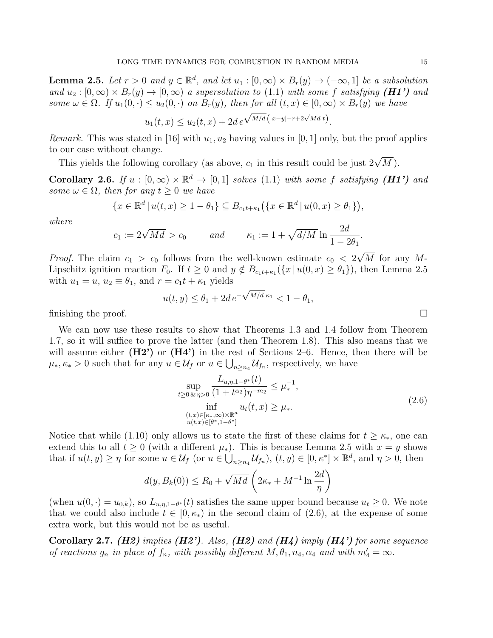**Lemma 2.5.** Let  $r > 0$  and  $y \in \mathbb{R}^d$ , and let  $u_1 : [0, \infty) \times B_r(y) \to (-\infty, 1]$  be a subsolution and  $u_2 : [0, \infty) \times B_r(y) \to [0, \infty)$  a supersolution to (1.1) with some f satisfying (H1') and some  $\omega \in \Omega$ . If  $u_1(0, \cdot) \le u_2(0, \cdot)$  on  $B_r(y)$ , then for all  $(t, x) \in [0, \infty) \times B_r(y)$  we have √

$$
u_1(t,x) \le u_2(t,x) + 2d e^{\sqrt{M/d} (|x-y| - r + 2\sqrt{Md} t)}.
$$

*Remark.* This was stated in [16] with  $u_1, u_2$  having values in [0, 1] only, but the proof applies to our case without change.

This yields the following corollary (as above,  $c_1$  in this result could be just  $2\sqrt{M}$ ).

Corollary 2.6. If  $u : [0, \infty) \times \mathbb{R}^d \to [0, 1]$  solves (1.1) with some f satisfying (H1') and some  $\omega \in \Omega$ , then for any  $t \geq 0$  we have

$$
\{x \in \mathbb{R}^d \, | \, u(t, x) \ge 1 - \theta_1\} \subseteq B_{c_1 t + \kappa_1} (\{x \in \mathbb{R}^d \, | \, u(0, x) \ge \theta_1\}),
$$

where

$$
c_1 := 2\sqrt{Md} > c_0 \quad and \quad \kappa_1 := 1 + \sqrt{d/M} \ln \frac{2d}{1 - 2\theta_1}.
$$

*Proof.* The claim  $c_1 > c_0$  follows from the well-known estimate  $c_0 < 2$ √  $M$  for any  $M$ -Lipschitz ignition reaction  $F_0$ . If  $t \ge 0$  and  $y \notin B_{c_1t+\kappa_1}(\{x \mid u(0,x) \ge \theta_1\})$ , then Lemma 2.5 with  $u_1 = u$ ,  $u_2 \equiv \theta_1$ , and  $r = c_1 t + \kappa_1$  yields √

$$
u(t, y) \le \theta_1 + 2d e^{-\sqrt{M/d} \kappa_1} < 1 - \theta_1,
$$

finishing the proof.

We can now use these results to show that Theorems 1.3 and 1.4 follow from Theorem 1.7, so it will suffice to prove the latter (and then Theorem 1.8). This also means that we will assume either  $(H2')$  or  $(H4')$  in the rest of Sections 2–6. Hence, then there will be  $\mu_*, \kappa_* > 0$  such that for any  $u \in \mathcal{U}_f$  or  $u \in \bigcup_{n \geq n_4} \mathcal{U}_{f_n}$ , respectively, we have

$$
\sup_{t \ge 0 \& \eta > 0} \frac{L_{u,\eta,1-\theta^*}(t)}{(1+t^{\alpha_2})\eta^{-m_2}} \le \mu_*^{-1},
$$
\n
$$
\inf_{\substack{(t,x) \in [\kappa_*,\infty) \times \mathbb{R}^d \\ u(t,x) \in [\theta^*,1-\theta^*]}} u_t(t,x) \ge \mu_*.
$$
\n
$$
(2.6)
$$

Notice that while (1.10) only allows us to state the first of these claims for  $t \geq \kappa_{*}$ , one can extend this to all  $t \geq 0$  (with a different  $\mu_{*}$ ). This is because Lemma 2.5 with  $x = y$  shows that if  $u(t, y) \geq \eta$  for some  $u \in \mathcal{U}_f$  (or  $u \in \bigcup_{n \geq n_4} \mathcal{U}_{f_n}$ ),  $(t, y) \in [0, \kappa^*] \times \mathbb{R}^d$ , and  $\eta > 0$ , then

$$
d(y, B_k(0)) \le R_0 + \sqrt{Md} \left(2\kappa_* + M^{-1} \ln \frac{2d}{\eta}\right)
$$

(when  $u(0, \cdot) = u_{0,k}$ ), so  $L_{u,\eta,1-\theta^*}(t)$  satisfies the same upper bound because  $u_t \geq 0$ . We note that we could also include  $t \in [0, \kappa_*)$  in the second claim of  $(2.6)$ , at the expense of some extra work, but this would not be as useful.

Corollary 2.7. (H2) implies (H2'). Also, (H2) and (H4) imply (H4') for some sequence of reactions  $g_n$  in place of  $f_n$ , with possibly different  $M, \theta_1, n_4, \alpha_4$  and with  $m'_4 = \infty$ .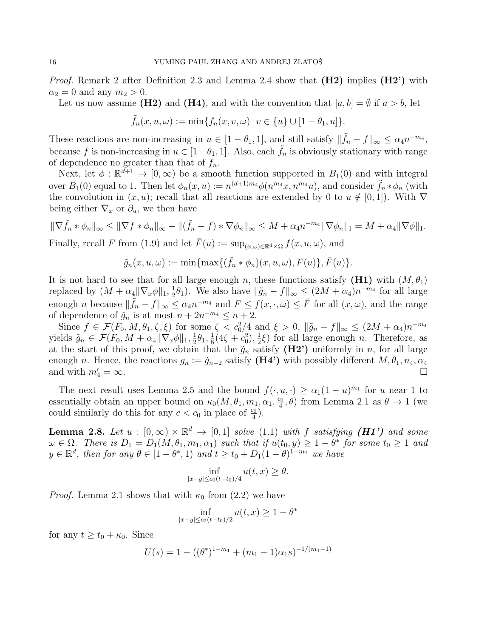*Proof.* Remark 2 after Definition 2.3 and Lemma 2.4 show that  $(H2)$  implies  $(H2')$  with  $\alpha_2 = 0$  and any  $m_2 > 0$ .

Let us now assume (H2) and (H4), and with the convention that  $[a, b] = \emptyset$  if  $a > b$ , let

$$
\tilde{f}_n(x,u,\omega):=\min\{f_n(x,v,\omega)\,|\,v\in\{u\}\cup[1-\theta_1,u]\}.
$$

These reactions are non-increasing in  $u \in [1 - \theta_1, 1]$ , and still satisfy  $\|\tilde{f}_n - f\|_{\infty} \le \alpha_4 n^{-m_4}$ , because f is non-increasing in  $u \in [1-\theta_1, 1]$ . Also, each  $f_n$  is obviously stationary with range of dependence no greater than that of  $f_n$ .

Next, let  $\phi : \mathbb{R}^{d+1} \to [0, \infty)$  be a smooth function supported in  $B_1(0)$  and with integral over  $B_1(0)$  equal to 1. Then let  $\phi_n(x, u) := n^{(d+1)m_4} \phi(n^{m_4}x, n^{m_4}u)$ , and consider  $\tilde{f}_n * \phi_n$  (with the convolution in  $(x, u)$ ; recall that all reactions are extended by 0 to  $u \notin [0, 1]$ ). With  $\nabla$ being either  $\nabla_x$  or  $\partial_u$ , we then have

$$
\|\nabla \tilde{f}_n * \phi_n\|_{\infty} \le \|\nabla f * \phi_n\|_{\infty} + \|(\tilde{f}_n - f) * \nabla \phi_n\|_{\infty} \le M + \alpha_4 n^{-m_4} \|\nabla \phi_n\|_1 = M + \alpha_4 \|\nabla \phi\|_1.
$$

Finally, recall F from (1.9) and let  $F(u) := \sup_{(x,\omega)\in\mathbb{R}^d\times\Omega} f(x,u,\omega)$ , and

$$
\tilde{g}_n(x, u, \omega) := \min\{\max\{(\tilde{f}_n * \phi_n)(x, u, \omega), F(u)\}, \bar{F}(u)\}.
$$

It is not hard to see that for all large enough n, these functions satisfy  $(H1)$  with  $(M, \theta_1)$ replaced by  $(M + \alpha_4 || \nabla_x \phi ||_1, \frac{1}{2})$  $\frac{1}{2}\theta_1$ ). We also have  $\|\tilde{g}_n - f\|_{\infty} \leq (2M + \alpha_4)n^{-m_4}$  for all large enough *n* because  $\|\tilde{f}_n - f\|_{\infty} \leq \alpha_4 n^{-m_4}$  and  $F \leq f(x, \cdot, \omega) \leq \bar{F}$  for all  $(x, \omega)$ , and the range of dependence of  $\tilde{g}_n$  is at most  $n + 2n^{-m_4} \leq n + 2$ .

Since  $f \in \mathcal{F}(F_0, M, \theta_1, \zeta, \xi)$  for some  $\zeta < c_0^2/4$  and  $\xi > 0$ ,  $\|\tilde{g}_n - f\|_{\infty} \leq (2M + \alpha_4)n^{-m_4}$ yields  $\tilde{g}_n \in \mathcal{F}(F_0, M + \alpha_4 \|\nabla_x \phi\|_1, \frac{1}{2})$  $\frac{1}{2}\theta_1, \frac{1}{8}$  $\frac{1}{8}(4\zeta+c_0^2),\frac{1}{2}$  $(\frac{1}{2}\xi)$  for all large enough *n*. Therefore, as at the start of this proof, we obtain that the  $\tilde{g}_n$  satisfy (H2') uniformly in n, for all large enough n. Hence, the reactions  $g_n := \tilde{g}_{n-2}$  satisfy  $(H4')$  with possibly different  $M, \theta_1, n_4, \alpha_4$ and with  $m_4' = \infty$ .  $\frac{1}{4} = \infty$ .

The next result uses Lemma 2.5 and the bound  $f(\cdot, u, \cdot) \ge \alpha_1(1-u)^{m_1}$  for u near 1 to essentially obtain an upper bound on  $\kappa_0(M, \theta_1, m_1, \alpha_1, \frac{c_0}{4})$  $(\frac{20}{4}, \theta)$  from Lemma 2.1 as  $\theta \to 1$  (we could similarly do this for any  $c < c_0$  in place of  $\frac{c_0}{4}$ ).

**Lemma 2.8.** Let  $u : [0, \infty) \times \mathbb{R}^d \to [0, 1]$  solve (1.1) with f satisfying (H1') and some  $\omega \in \Omega$ . There is  $D_1 = D_1(M, \theta_1, m_1, \alpha_1)$  such that if  $u(t_0, y) \geq 1 - \theta^*$  for some  $t_0 \geq 1$  and  $y \in \mathbb{R}^d$ , then for any  $\theta \in [1-\theta^*, 1)$  and  $t \ge t_0 + D_1(1-\theta)^{1-m_1}$  we have

$$
\inf_{|x-y|\leq c_0(t-t_0)/4} u(t,x) \geq \theta.
$$

*Proof.* Lemma 2.1 shows that with  $\kappa_0$  from (2.2) we have

$$
\inf_{|x-y| \le c_0(t-t_0)/2} u(t,x) \ge 1 - \theta^*
$$

for any  $t \ge t_0 + \kappa_0$ . Since

$$
U(s) = 1 - ((\theta^*)^{1-m_1} + (m_1 - 1)\alpha_1 s)^{-1/(m_1 - 1)}
$$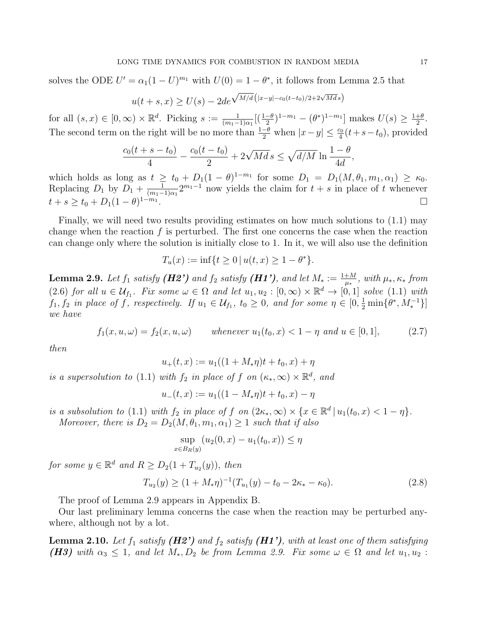solves the ODE  $U' = \alpha_1(1-U)^{m_1}$  with  $U(0) = 1 - \theta^*$ , it follows from Lemma 2.5 that

$$
u(t+s,x) \ge U(s) - 2de^{\sqrt{M/d} (|x-y| - c_0(t-t_0)/2 + 2\sqrt{Md}s)}
$$

for all  $(s, x) \in [0, \infty) \times \mathbb{R}^d$ . Picking  $s := \frac{1}{(m_1 - 1)\alpha_1} [(\frac{1-\theta}{2})^{1-m_1} - (\theta^*)^{1-m_1}]$  makes  $U(s) \ge \frac{1+\theta}{2}$  $\frac{+\theta}{2}$ . The second term on the right will be no more than  $\frac{1-\theta}{2}$  when  $|x-y| \leq \frac{c_0}{4}(t+s-t_0)$ , provided

$$
\frac{c_0(t+s-t_0)}{4} - \frac{c_0(t-t_0)}{2} + 2\sqrt{Md} s \le \sqrt{d/M} \ln \frac{1-\theta}{4d},
$$

which holds as long as  $t \geq t_0 + D_1(1-\theta)^{1-m_1}$  for some  $D_1 = D_1(M, \theta_1, m_1, \alpha_1) \geq \kappa_0$ . Replacing  $D_1$  by  $D_1 + \frac{1}{(m_1 - 1)}$  $\frac{1}{(m_1-1)\alpha_1}2^{m_1-1}$  now yields the claim for  $t + s$  in place of t whenever  $t + s \ge t_0 + D_1(1 - \theta)^{1 - m_1}$ .

Finally, we will need two results providing estimates on how much solutions to (1.1) may change when the reaction  $f$  is perturbed. The first one concerns the case when the reaction can change only where the solution is initially close to 1. In it, we will also use the definition

$$
T_u(x) := \inf\{t \ge 0 \, | \, u(t, x) \ge 1 - \theta^*\}.
$$

**Lemma 2.9.** Let  $f_1$  satisfy (H2') and  $f_2$  satisfy (H1'), and let  $M_* := \frac{1+M}{\mu_*}$ , with  $\mu_*, \kappa_*$  from (2.6) for all  $u \in \mathcal{U}_{f_1}$ . Fix some  $\omega \in \Omega$  and let  $u_1, u_2 : [0, \infty) \times \mathbb{R}^d \to [0, 1]$  solve (1.1) with  $f_1, f_2$  in place of  $\hat{f}$ , respectively. If  $u_1 \in \mathcal{U}_{f_1}$ ,  $t_0 \geq 0$ , and for some  $\eta \in [0, \frac{1}{2} \min\{\theta^*, M_*^{-1}\}]$ we have

$$
f_1(x, u, \omega) = f_2(x, u, \omega) \qquad \text{whenever } u_1(t_0, x) < 1 - \eta \text{ and } u \in [0, 1], \tag{2.7}
$$

then

$$
u_+(t,x) := u_1((1 + M_*\eta)t + t_0, x) + \eta
$$

is a supersolution to (1.1) with  $f_2$  in place of f on  $(\kappa_*, \infty) \times \mathbb{R}^d$ , and

$$
u_{-}(t,x) := u_{1}((1 - M_{*}\eta)t + t_{0}, x) - \eta
$$

is a subsolution to (1.1) with  $f_2$  in place of  $f$  on  $(2\kappa_*, \infty) \times \{x \in \mathbb{R}^d \mid u_1(t_0, x) < 1 - \eta\}.$ Moreover, there is  $D_2 = D_2(M, \theta_1, m_1, \alpha_1) \geq 1$  such that if also

$$
\sup_{x \in B_R(y)} (u_2(0, x) - u_1(t_0, x)) \le \eta
$$

for some  $y \in \mathbb{R}^d$  and  $R \ge D_2(1 + T_{u_2}(y))$ , then

$$
T_{u_2}(y) \ge (1 + M_* \eta)^{-1} (T_{u_1}(y) - t_0 - 2\kappa_* - \kappa_0). \tag{2.8}
$$

The proof of Lemma 2.9 appears in Appendix B.

Our last preliminary lemma concerns the case when the reaction may be perturbed anywhere, although not by a lot.

**Lemma 2.10.** Let  $f_1$  satisfy ( $H2'$ ) and  $f_2$  satisfy ( $H1'$ ), with at least one of them satisfying (H3) with  $\alpha_3 \leq 1$ , and let  $M_*, D_2$  be from Lemma 2.9. Fix some  $\omega \in \Omega$  and let  $u_1, u_2$ :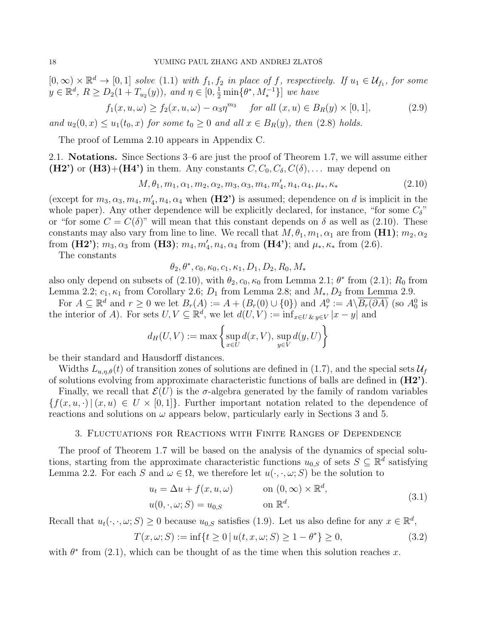$[0,\infty)\times\mathbb{R}^d\to[0,1]$  solve  $(1.1)$  with  $f_1, f_2$  in place of f, respectively. If  $u_1\in\mathcal{U}_{f_1}$ , for some  $y \in \mathbb{R}^d$ ,  $R \ge D_2(1 + T_{u_2}(y))$ , and  $\eta \in [0, \frac{1}{2} \min\{\theta^*, M_*^{-1}\}]$  we have

$$
f_1(x, u, \omega) \ge f_2(x, u, \omega) - \alpha_3 \eta^{m_3} \quad \text{for all } (x, u) \in B_R(y) \times [0, 1], \tag{2.9}
$$

and  $u_2(0, x) \le u_1(t_0, x)$  for some  $t_0 \ge 0$  and all  $x \in B_R(y)$ , then (2.8) holds.

The proof of Lemma 2.10 appears in Appendix C.

2.1. Notations. Since Sections 3–6 are just the proof of Theorem 1.7, we will assume either  $(H2')$  or  $(H3)+(H4')$  in them. Any constants  $C, C_0, C_\delta, C(\delta), \ldots$  may depend on

$$
M, \theta_1, m_1, \alpha_1, m_2, \alpha_2, m_3, \alpha_3, m_4, m'_4, n_4, \alpha_4, \mu_*, \kappa_* \tag{2.10}
$$

(except for  $m_3, \alpha_3, m_4, m'_4, n_4, \alpha_4$  when (H2') is assumed; dependence on d is implicit in the whole paper). Any other dependence will be explicitly declared, for instance, "for some  $C_{\delta}$ " or "for some  $C = C(\delta)$ " will mean that this constant depends on  $\delta$  as well as (2.10). These constants may also vary from line to line. We recall that  $M, \theta_1, m_1, \alpha_1$  are from  $(H1)$ ;  $m_2, \alpha_2$ from (H2');  $m_3, \alpha_3$  from (H3);  $m_4, m'_4, n_4, \alpha_4$  from (H4'); and  $\mu_*, \kappa_*$  from (2.6).

The constants

$$
\theta_2, \theta^*, c_0, \kappa_0, c_1, \kappa_1, D_1, D_2, R_0, M_*
$$

also only depend on subsets of (2.10), with  $\theta_2$ ,  $c_0$ ,  $\kappa_0$  from Lemma 2.1;  $\theta^*$  from (2.1);  $R_0$  from Lemma 2.2;  $c_1, \kappa_1$  from Corollary 2.6;  $D_1$  from Lemma 2.8; and  $M_*, D_2$  from Lemma 2.9.

For  $A \subseteq \mathbb{R}^d$  and  $r \geq 0$  we let  $B_r(A) := A + (B_r(0) \cup \{0\})$  and  $A_r^0 := A \setminus \overline{B_r(\partial A)}$  (so  $A_0^0$  is the interior of A). For sets  $U, V \subseteq \mathbb{R}^d$ , we let  $d(U, V) := \inf_{x \in U \& y \in V} |x - y|$  and

$$
d_H(U, V) := \max \left\{ \sup_{x \in U} d(x, V), \sup_{y \in V} d(y, U) \right\}
$$

be their standard and Hausdorff distances.

Widths  $L_{u,n,\theta}(t)$  of transition zones of solutions are defined in (1.7), and the special sets  $\mathcal{U}_f$ of solutions evolving from approximate characteristic functions of balls are defined in (H2').

Finally, we recall that  $\mathcal{E}(U)$  is the *σ*-algebra generated by the family of random variables  ${f(x, u, \cdot) | (x, u) \in U \times [0, 1]}$ . Further important notation related to the dependence of reactions and solutions on  $\omega$  appears below, particularly early in Sections 3 and 5.

### 3. Fluctuations for Reactions with Finite Ranges of Dependence

The proof of Theorem 1.7 will be based on the analysis of the dynamics of special solutions, starting from the approximate characteristic functions  $u_{0,S}$  of sets  $S \subseteq \mathbb{R}^d$  satisfying Lemma 2.2. For each S and  $\omega \in \Omega$ , we therefore let  $u(\cdot, \cdot, \omega; S)$  be the solution to

$$
u_t = \Delta u + f(x, u, \omega) \qquad \text{on } (0, \infty) \times \mathbb{R}^d,
$$
  

$$
u(0, \cdot, \omega; S) = u_{0,S} \qquad \text{on } \mathbb{R}^d.
$$
 (3.1)

Recall that  $u_t(\cdot, \cdot, \omega; S) \ge 0$  because  $u_{0,S}$  satisfies (1.9). Let us also define for any  $x \in \mathbb{R}^d$ ,

$$
T(x, \omega; S) := \inf\{t \ge 0 \mid u(t, x, \omega; S) \ge 1 - \theta^*\} \ge 0,
$$
\n(3.2)

with  $\theta^*$  from (2.1), which can be thought of as the time when this solution reaches x.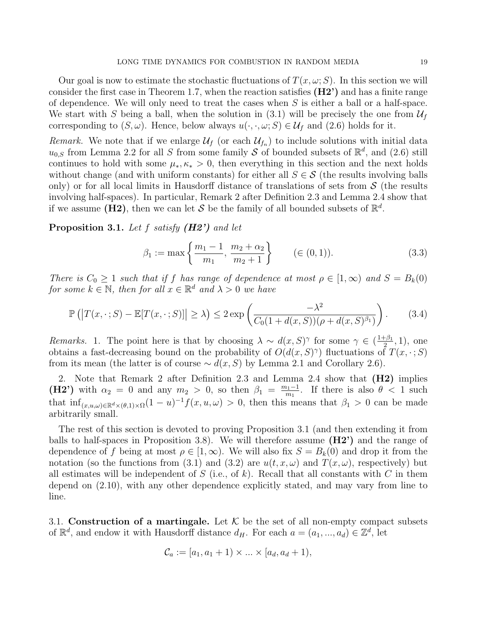Our goal is now to estimate the stochastic fluctuations of  $T(x, \omega; S)$ . In this section we will consider the first case in Theorem 1.7, when the reaction satisfies (H2') and has a finite range of dependence. We will only need to treat the cases when  $S$  is either a ball or a half-space. We start with S being a ball, when the solution in (3.1) will be precisely the one from  $\mathcal{U}_f$ corresponding to  $(S, \omega)$ . Hence, below always  $u(\cdot, \cdot, \omega; S) \in \mathcal{U}_f$  and  $(2.6)$  holds for it.

Remark. We note that if we enlarge  $\mathcal{U}_f$  (or each  $\mathcal{U}_{f_n}$ ) to include solutions with initial data  $u_{0,S}$  from Lemma 2.2 for all S from some family S of bounded subsets of  $\mathbb{R}^d$ , and (2.6) still continues to hold with some  $\mu_*, \kappa_* > 0$ , then everything in this section and the next holds without change (and with uniform constants) for either all  $S \in \mathcal{S}$  (the results involving balls only) or for all local limits in Hausdorff distance of translations of sets from  $S$  (the results involving half-spaces). In particular, Remark 2 after Definition 2.3 and Lemma 2.4 show that if we assume ( $\dot{H}2$ ), then we can let S be the family of all bounded subsets of  $\mathbb{R}^d$ .

**Proposition 3.1.** Let f satisfy  $(H2')$  and let

$$
\beta_1 := \max\left\{\frac{m_1 - 1}{m_1}, \frac{m_2 + \alpha_2}{m_2 + 1}\right\} \qquad (\in (0, 1)). \tag{3.3}
$$

There is  $C_0 \geq 1$  such that if f has range of dependence at most  $\rho \in [1,\infty)$  and  $S = B_k(0)$ for some  $k \in \mathbb{N}$ , then for all  $x \in \mathbb{R}^d$  and  $\lambda > 0$  we have

$$
\mathbb{P}\left(\left|T(x,\cdot;S) - \mathbb{E}[T(x,\cdot;S)]\right| \geq \lambda\right) \leq 2\exp\left(\frac{-\lambda^2}{C_0(1+d(x,S))(\rho+d(x,S)^{\beta_1})}\right). \tag{3.4}
$$

Remarks. 1. The point here is that by choosing  $\lambda \sim d(x, S)^\gamma$  for some  $\gamma \in (\frac{1+\beta_1}{2})$  $(\frac{5}{2}, 1)$ , one obtains a fast-decreasing bound on the probability of  $O(d(x, S)^\gamma)$  fluctuations of  $T(x, \cdot; S)$ from its mean (the latter is of course  $\sim d(x, S)$  by Lemma 2.1 and Corollary 2.6).

2. Note that Remark 2 after Definition 2.3 and Lemma 2.4 show that (H2) implies (H2') with  $\alpha_2 = 0$  and any  $m_2 > 0$ , so then  $\beta_1 = \frac{m_1-1}{m_1}$  $\frac{n_1-1}{m_1}$ . If there is also  $\theta < 1$  such that  $\inf_{(x,u,\omega)\in\mathbb{R}^d\times(\theta,1)\times\Omega}(1-u)^{-1}f(x,u,\omega)>0$ , then this means that  $\beta_1>0$  can be made arbitrarily small.

The rest of this section is devoted to proving Proposition 3.1 (and then extending it from balls to half-spaces in Proposition 3.8). We will therefore assume  $(H2')$  and the range of dependence of f being at most  $\rho \in [1,\infty)$ . We will also fix  $S = B_k(0)$  and drop it from the notation (so the functions from (3.1) and (3.2) are  $u(t, x, \omega)$  and  $T(x, \omega)$ , respectively) but all estimates will be independent of  $S$  (i.e., of  $k$ ). Recall that all constants with  $C$  in them depend on (2.10), with any other dependence explicitly stated, and may vary from line to line.

3.1. Construction of a martingale. Let  $K$  be the set of all non-empty compact subsets of  $\mathbb{R}^d$ , and endow it with Hausdorff distance  $d_H$ . For each  $a = (a_1, ..., a_d) \in \mathbb{Z}^d$ , let

$$
\mathcal{C}_a := [a_1, a_1 + 1) \times ... \times [a_d, a_d + 1),
$$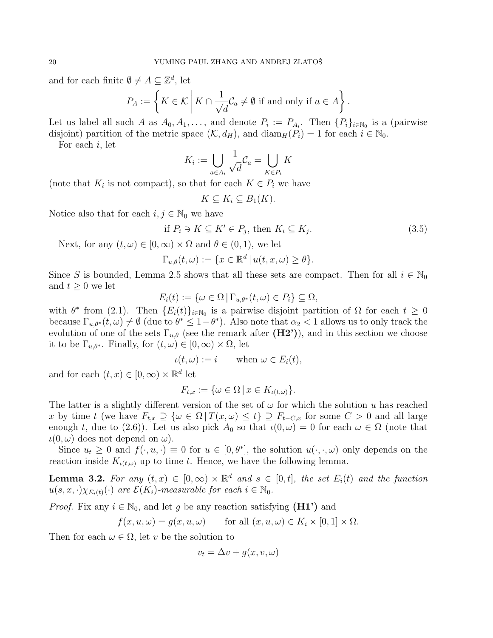and for each finite  $\emptyset \neq A \subseteq \mathbb{Z}^d$ , let

$$
P_A := \left\{ K \in \mathcal{K} \mid K \cap \frac{1}{\sqrt{d}} \mathcal{C}_a \neq \emptyset \text{ if and only if } a \in A \right\}.
$$

Let us label all such A as  $A_0, A_1, \ldots$ , and denote  $P_i := P_{A_i}$ . Then  $\{P_i\}_{i \in \mathbb{N}_0}$  is a (pairwise disjoint) partition of the metric space  $(\mathcal{K}, d_H)$ , and  $\text{diam}_H(P_i) = 1$  for each  $i \in \mathbb{N}_0$ .

For each  $i$ , let

$$
K_i:=\bigcup_{a\in A_i}\frac{1}{\sqrt{d}}\mathcal{C}_a=\bigcup_{K\in P_i}K
$$

(note that  $K_i$  is not compact), so that for each  $K \in P_i$  we have

$$
K \subseteq K_i \subseteq B_1(K).
$$

Notice also that for each  $i, j \in \mathbb{N}_0$  we have

$$
\text{if } P_i \ni K \subseteq K' \in P_j \text{, then } K_i \subseteq K_j. \tag{3.5}
$$

Next, for any  $(t, \omega) \in [0, \infty) \times \Omega$  and  $\theta \in (0, 1)$ , we let

$$
\Gamma_{u,\theta}(t,\omega) := \{ x \in \mathbb{R}^d \, | \, u(t,x,\omega) \geq \theta \}.
$$

Since S is bounded, Lemma 2.5 shows that all these sets are compact. Then for all  $i \in \mathbb{N}_0$ and  $t \geq 0$  we let

$$
E_i(t) := \{ \omega \in \Omega \mid \Gamma_{u, \theta^*}(t, \omega) \in P_i \} \subseteq \Omega,
$$

with  $\theta^*$  from (2.1). Then  $\{E_i(t)\}_{i\in\mathbb{N}_0}$  is a pairwise disjoint partition of  $\Omega$  for each  $t \geq 0$ because  $\Gamma_{u,\theta^*}(t,\omega) \neq \emptyset$  (due to  $\theta^* \leq 1-\theta^*$ ). Also note that  $\alpha_2 < 1$  allows us to only track the evolution of one of the sets  $\Gamma_{u,\theta}$  (see the remark after  $(H2')$ ), and in this section we choose it to be  $\Gamma_{u,\theta^*}$ . Finally, for  $(t,\omega) \in [0,\infty) \times \Omega$ , let

$$
\iota(t,\omega) := i \qquad \text{when } \omega \in E_i(t),
$$

and for each  $(t, x) \in [0, \infty) \times \mathbb{R}^d$  let

$$
F_{t,x} := \{ \omega \in \Omega \mid x \in K_{\iota(t,\omega)} \}.
$$

The latter is a slightly different version of the set of  $\omega$  for which the solution u has reached x by time t (we have  $F_{t,x} \supseteq {\omega \in \Omega | T(x,\omega) \leq t} \supseteq F_{t-C,x}$  for some  $C > 0$  and all large enough t, due to (2.6)). Let us also pick  $A_0$  so that  $\iota(0,\omega) = 0$  for each  $\omega \in \Omega$  (note that  $\iota(0,\omega)$  does not depend on  $\omega$ ).

Since  $u_t \geq 0$  and  $f(\cdot, u, \cdot) \equiv 0$  for  $u \in [0, \theta^*]$ , the solution  $u(\cdot, \cdot, \omega)$  only depends on the reaction inside  $K_{\iota(t,\omega)}$  up to time t. Hence, we have the following lemma.

**Lemma 3.2.** For any  $(t, x) \in [0, \infty) \times \mathbb{R}^d$  and  $s \in [0, t]$ , the set  $E_i(t)$  and the function  $u(s, x, \cdot)\chi_{E_i(t)}(\cdot)$  are  $\mathcal{E}(K_i)$ -measurable for each  $i \in \mathbb{N}_0$ .

*Proof.* Fix any  $i \in \mathbb{N}_0$ , and let g be any reaction satisfying  $(H1')$  and

$$
f(x, u, \omega) = g(x, u, \omega) \quad \text{for all } (x, u, \omega) \in K_i \times [0, 1] \times \Omega.
$$

Then for each  $\omega \in \Omega$ , let v be the solution to

$$
v_t = \Delta v + g(x, v, \omega)
$$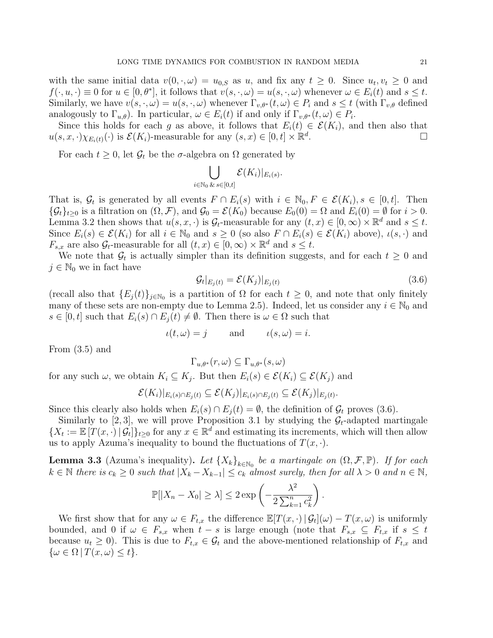with the same initial data  $v(0, \cdot, \omega) = u_{0,S}$  as u, and fix any  $t \geq 0$ . Since  $u_t, v_t \geq 0$  and  $f(\cdot, u, \cdot) \equiv 0$  for  $u \in [0, \theta^*]$ , it follows that  $v(s, \cdot, \omega) = u(s, \cdot, \omega)$  whenever  $\omega \in E_i(t)$  and  $s \leq t$ . Similarly, we have  $v(s, \cdot, \omega) = u(s, \cdot, \omega)$  whenever  $\Gamma_{v,\theta^*}(t, \omega) \in P_i$  and  $s \leq t$  (with  $\Gamma_{v,\theta}$  defined analogously to  $\Gamma_{u,\theta}$ ). In particular,  $\omega \in E_i(t)$  if and only if  $\Gamma_{v,\theta^*}(t,\omega) \in P_i$ .

Since this holds for each g as above, it follows that  $E_i(t) \in \mathcal{E}(K_i)$ , and then also that  $u(s, x, \cdot) \chi_{E_i(t)}(\cdot)$  is  $\mathcal{E}(K_i)$ -measurable for any  $(s, x) \in [0, t] \times \mathbb{R}^d$ .

For each  $t \geq 0$ , let  $\mathcal{G}_t$  be the  $\sigma$ -algebra on  $\Omega$  generated by

$$
\bigcup_{i\in\mathbb{N}_0}\bigcup_{\&\,s\in[0,t]}\mathcal{E}(K_i)|_{E_i(s)}.
$$

That is,  $\mathcal{G}_t$  is generated by all events  $F \cap E_i(s)$  with  $i \in \mathbb{N}_0, F \in \mathcal{E}(K_i), s \in [0, t]$ . Then  $\{\mathcal{G}_t\}_{t\geq0}$  is a filtration on  $(\Omega,\mathcal{F})$ , and  $\mathcal{G}_0=\mathcal{E}(K_0)$  because  $E_0(0)=\Omega$  and  $E_i(0)=\emptyset$  for  $i>0$ . Lemma 3.2 then shows that  $u(s, x, \cdot)$  is  $\mathcal{G}_t$ -measurable for any  $(t, x) \in [0, \infty) \times \mathbb{R}^d$  and  $s \leq t$ . Since  $E_i(s) \in \mathcal{E}(K_i)$  for all  $i \in \mathbb{N}_0$  and  $s \geq 0$  (so also  $F \cap E_i(s) \in \mathcal{E}(K_i)$  above),  $\iota(s, \cdot)$  and  $F_{s,x}$  are also  $\mathcal{G}_t$ -measurable for all  $(t,x) \in [0,\infty) \times \mathbb{R}^d$  and  $s \leq t$ .

We note that  $\mathcal{G}_t$  is actually simpler than its definition suggests, and for each  $t \geq 0$  and  $j \in \mathbb{N}_0$  we in fact have

$$
\mathcal{G}_t|_{E_j(t)} = \mathcal{E}(K_j)|_{E_j(t)}\tag{3.6}
$$

.

(recall also that  $\{E_j(t)\}_{j\in\mathbb{N}_0}$  is a partition of  $\Omega$  for each  $t\geq 0$ , and note that only finitely many of these sets are non-empty due to Lemma 2.5). Indeed, let us consider any  $i \in \mathbb{N}_0$  and  $s \in [0, t]$  such that  $E_i(s) \cap E_j(t) \neq \emptyset$ . Then there is  $\omega \in \Omega$  such that

$$
\iota(t,\omega) = j \quad \text{and} \quad \iota(s,\omega) = i.
$$

From (3.5) and

$$
\Gamma_{u,\theta^*}(r,\omega) \subseteq \Gamma_{u,\theta^*}(s,\omega)
$$

for any such  $\omega$ , we obtain  $K_i \subseteq K_j$ . But then  $E_i(s) \in \mathcal{E}(K_i) \subseteq \mathcal{E}(K_j)$  and

$$
\mathcal{E}(K_i)|_{E_i(s) \cap E_j(t)} \subseteq \mathcal{E}(K_j)|_{E_i(s) \cap E_j(t)} \subseteq \mathcal{E}(K_j)|_{E_j(t)}
$$

Since this clearly also holds when  $E_i(s) \cap E_i(t) = \emptyset$ , the definition of  $\mathcal{G}_t$  proves (3.6).

Similarly to [2, 3], we will prove Proposition 3.1 by studying the  $\mathcal{G}_t$ -adapted martingale  ${X_t := \mathbb{E}[T(x, \cdot) | \mathcal{G}_t]}_{t \geq 0}$  for any  $x \in \mathbb{R}^d$  and estimating its increments, which will then allow us to apply Azuma's inequality to bound the fluctuations of  $T(x, \cdot)$ .

**Lemma 3.3** (Azuma's inequality). Let  $\{X_k\}_{k\in\mathbb{N}_0}$  be a martingale on  $(\Omega, \mathcal{F}, \mathbb{P})$ . If for each  $k \in \mathbb{N}$  there is  $c_k \geq 0$  such that  $|X_k - X_{k-1}| \leq c_k$  almost surely, then for all  $\lambda > 0$  and  $n \in \mathbb{N}$ ,

$$
\mathbb{P}[|X_n - X_0| \ge \lambda] \le 2 \exp\left(-\frac{\lambda^2}{2\sum_{k=1}^n c_k^2}\right).
$$

We first show that for any  $\omega \in F_{t,x}$  the difference  $\mathbb{E}[T(x,\cdot)|\mathcal{G}_t](\omega) - T(x,\omega)$  is uniformly bounded, and 0 if  $\omega \in F_{s,x}$  when  $t-s$  is large enough (note that  $F_{s,x} \subseteq F_{t,x}$  if  $s \leq t$ because  $u_t \geq 0$ ). This is due to  $F_{t,x} \in \mathcal{G}_t$  and the above-mentioned relationship of  $F_{t,x}$  and  $\{\omega \in \Omega \mid T(x,\omega) \leq t\}.$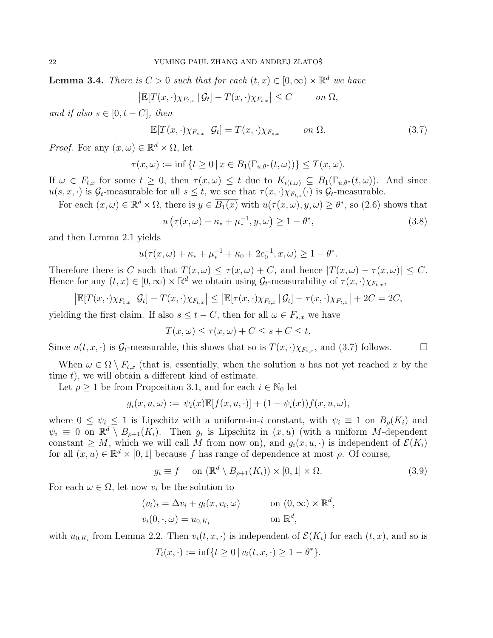**Lemma 3.4.** There is  $C > 0$  such that for each  $(t, x) \in [0, \infty) \times \mathbb{R}^d$  we have

$$
\left|\mathbb{E}[T(x,\cdot)\chi_{F_{t,x}}\,|\,\mathcal{G}_t]-T(x,\cdot)\chi_{F_{t,x}}\right|\leq C\qquad\text{on }\Omega,
$$

and if also  $s \in [0, t - C]$ , then

$$
\mathbb{E}[T(x,\cdot)\chi_{F_{s,x}}\,|\,\mathcal{G}_t] = T(x,\cdot)\chi_{F_{s,x}} \qquad on \ \Omega. \tag{3.7}
$$

*Proof.* For any  $(x, \omega) \in \mathbb{R}^d \times \Omega$ , let

$$
\tau(x,\omega) := \inf \{ t \ge 0 \, | \, x \in B_1(\Gamma_{u,\theta^*}(t,\omega)) \} \le T(x,\omega).
$$

If  $\omega \in F_{t,x}$  for some  $t \geq 0$ , then  $\tau(x,\omega) \leq t$  due to  $K_{\iota(t,\omega)} \subseteq B_1(\Gamma_{u,\theta^*}(t,\omega))$ . And since  $u(s, x, \cdot)$  is  $\mathcal{G}_t$ -measurable for all  $s \leq t$ , we see that  $\tau(x, \cdot) \chi_{F_{t,x}}(\cdot)$  is  $\mathcal{G}_t$ -measurable.

For each  $(x,\omega) \in \mathbb{R}^d \times \Omega$ , there is  $y \in \overline{B_1(x)}$  with  $u(\tau(x,\omega), y, \omega) \geq \theta^*$ , so (2.6) shows that

$$
u\left(\tau(x,\omega)+\kappa_*+\mu_*^{-1},y,\omega\right)\geq 1-\theta^*,\tag{3.8}
$$

and then Lemma 2.1 yields

$$
u(\tau(x,\omega) + \kappa_* + \mu_*^{-1} + \kappa_0 + 2c_0^{-1}, x, \omega) \ge 1 - \theta^*.
$$

Therefore there is C such that  $T(x,\omega) \leq \tau(x,\omega) + C$ , and hence  $|T(x,\omega) - \tau(x,\omega)| \leq C$ . Hence for any  $(t, x) \in [0, \infty) \times \mathbb{R}^d$  we obtain using  $\mathcal{G}_t$ -measurability of  $\tau(x, \cdot) \chi_{F_{t,x}},$ 

$$
\left| \mathbb{E}[T(x,\cdot)\chi_{F_{t,x}} | \mathcal{G}_t] - T(x,\cdot)\chi_{F_{t,x}} \right| \leq \left| \mathbb{E}[\tau(x,\cdot)\chi_{F_{t,x}} | \mathcal{G}_t] - \tau(x,\cdot)\chi_{F_{t,x}} \right| + 2C = 2C,
$$

yielding the first claim. If also  $s \leq t - C$ , then for all  $\omega \in F_{s,x}$  we have

$$
T(x,\omega) \le \tau(x,\omega) + C \le s + C \le t.
$$

Since  $u(t, x, \cdot)$  is  $\mathcal{G}_t$ -measurable, this shows that so is  $T(x, \cdot)\chi_{F_{s,x}},$  and  $(3.7)$  follows.

When  $\omega \in \Omega \setminus F_{t,x}$  (that is, essentially, when the solution u has not yet reached x by the time  $t$ ), we will obtain a different kind of estimate.

Let  $\rho \geq 1$  be from Proposition 3.1, and for each  $i \in \mathbb{N}_0$  let

$$
g_i(x, u, \omega) := \psi_i(x) \mathbb{E}[f(x, u, \cdot)] + (1 - \psi_i(x)) f(x, u, \omega),
$$

where  $0 \leq \psi_i \leq 1$  is Lipschitz with a uniform-in-i constant, with  $\psi_i \equiv 1$  on  $B_\rho(K_i)$  and  $\psi_i \equiv 0$  on  $\mathbb{R}^d \setminus B_{\rho+1}(K_i)$ . Then  $g_i$  is Lipschitz in  $(x, u)$  (with a uniform M-dependent constant  $\geq M$ , which we will call M from now on), and  $q_i(x, u, \cdot)$  is independent of  $\mathcal{E}(K_i)$ for all  $(x, u) \in \mathbb{R}^d \times [0, 1]$  because f has range of dependence at most  $\rho$ . Of course,

$$
g_i \equiv f \quad \text{on } (\mathbb{R}^d \setminus B_{\rho+1}(K_i)) \times [0,1] \times \Omega. \tag{3.9}
$$

For each  $\omega \in \Omega$ , let now  $v_i$  be the solution to

$$
(v_i)_t = \Delta v_i + g_i(x, v_i, \omega) \qquad \text{on } (0, \infty) \times \mathbb{R}^d,
$$
  

$$
v_i(0, \cdot, \omega) = u_{0,K_i} \qquad \text{on } \mathbb{R}^d,
$$

with  $u_{0,K_i}$  from Lemma 2.2. Then  $v_i(t, x, \cdot)$  is independent of  $\mathcal{E}(K_i)$  for each  $(t, x)$ , and so is

$$
T_i(x, \cdot) := \inf\{t \ge 0 \, | \, v_i(t, x, \cdot) \ge 1 - \theta^*\}.
$$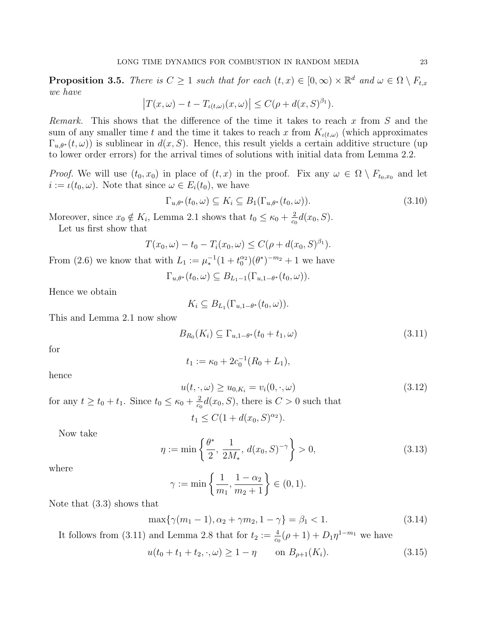**Proposition 3.5.** There is  $C \geq 1$  such that for each  $(t, x) \in [0, \infty) \times \mathbb{R}^d$  and  $\omega \in \Omega \setminus F_{t,x}$ we have

$$
\left|T(x,\omega)-t-T_{\iota(t,\omega)}(x,\omega)\right|\leq C(\rho+d(x,S)^{\beta_1}).
$$

Remark. This shows that the difference of the time it takes to reach x from  $S$  and the sum of any smaller time t and the time it takes to reach x from  $K_{\iota(t,\omega)}$  (which approximates  $\Gamma_{u,\theta^*}(t,\omega)$ ) is sublinear in  $d(x, S)$ . Hence, this result yields a certain additive structure (up to lower order errors) for the arrival times of solutions with initial data from Lemma 2.2.

*Proof.* We will use  $(t_0, x_0)$  in place of  $(t, x)$  in the proof. Fix any  $\omega \in \Omega \setminus F_{t_0, x_0}$  and let  $i := \iota(t_0, \omega)$ . Note that since  $\omega \in E_i(t_0)$ , we have

$$
\Gamma_{u,\theta^*}(t_0,\omega) \subseteq K_i \subseteq B_1(\Gamma_{u,\theta^*}(t_0,\omega)).
$$
\n(3.10)

Moreover, since  $x_0 \notin K_i$ , Lemma 2.1 shows that  $t_0 \leq \kappa_0 + \frac{2}{c}$  $\frac{2}{c_0}d(x_0, S)$ . Let us first show that

$$
T(x_0, \omega) - t_0 - T_i(x_0, \omega) \le C(\rho + d(x_0, S)^{\beta_1}).
$$

From (2.6) we know that with  $L_1 := \mu_*^{-1}(1 + t_0^{\alpha_2})(\theta^*)^{-m_2} + 1$  we have

 $\Gamma_{u,\theta^*}(t_0,\omega) \subseteq B_{L_1-1}(\Gamma_{u,1-\theta^*}(t_0,\omega)).$ 

Hence we obtain

$$
K_i \subseteq B_{L_1}(\Gamma_{u,1-\theta^*}(t_0,\omega)).
$$

This and Lemma 2.1 now show

$$
B_{R_0}(K_i) \subseteq \Gamma_{u,1-\theta^*}(t_0+t_1,\omega) \tag{3.11}
$$

for

$$
t_1 := \kappa_0 + 2c_0^{-1}(R_0 + L_1),
$$

hence

$$
u(t, \cdot, \omega) \ge u_{0,K_i} = v_i(0, \cdot, \omega) \tag{3.12}
$$

for any  $t \ge t_0 + t_1$ . Since  $t_0 \le \kappa_0 + \frac{2}{c}$  $\frac{2}{c_0}d(x_0, S)$ , there is  $C > 0$  such that

$$
t_1 \le C(1 + d(x_0, S)^{\alpha_2}).
$$

Now take

$$
\eta := \min\left\{\frac{\theta^*}{2}, \frac{1}{2M_*}, d(x_0, S)^{-\gamma}\right\} > 0,
$$
\n(3.13)

where

$$
\gamma := \min \left\{ \frac{1}{m_1}, \frac{1 - \alpha_2}{m_2 + 1} \right\} \in (0, 1).
$$

Note that (3.3) shows that

$$
\max\{\gamma(m_1 - 1), \alpha_2 + \gamma m_2, 1 - \gamma\} = \beta_1 < 1. \tag{3.14}
$$

It follows from (3.11) and Lemma 2.8 that for  $t_2 := \frac{4}{c_0}(\rho + 1) + D_1 \eta^{1-m_1}$  we have

$$
u(t_0 + t_1 + t_2, \cdot, \omega) \ge 1 - \eta \qquad \text{on } B_{\rho+1}(K_i). \tag{3.15}
$$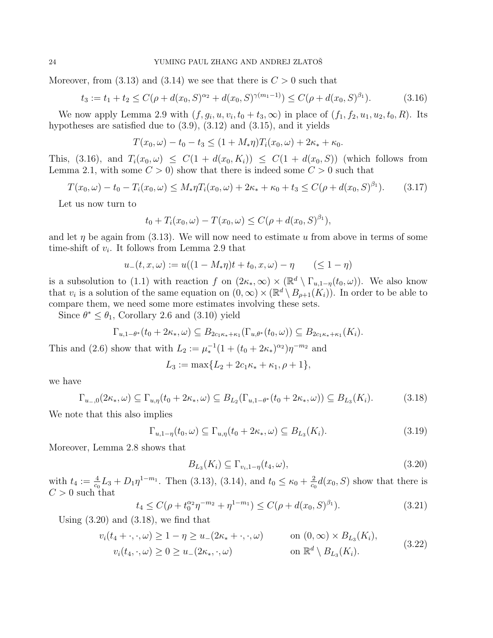Moreover, from  $(3.13)$  and  $(3.14)$  we see that there is  $C > 0$  such that

$$
t_3 := t_1 + t_2 \le C(\rho + d(x_0, S)^{\alpha_2} + d(x_0, S)^{\gamma(m_1 - 1)}) \le C(\rho + d(x_0, S)^{\beta_1}).\tag{3.16}
$$

We now apply Lemma 2.9 with  $(f, g_i, u, v_i, t_0 + t_3, \infty)$  in place of  $(f_1, f_2, u_1, u_2, t_0, R)$ . Its hypotheses are satisfied due to (3.9), (3.12) and (3.15), and it yields

$$
T(x_0, \omega) - t_0 - t_3 \le (1 + M_* \eta) T_i(x_0, \omega) + 2\kappa_* + \kappa_0.
$$

This, (3.16), and  $T_i(x_0, \omega) \leq C(1 + d(x_0, K_i)) \leq C(1 + d(x_0, S))$  (which follows from Lemma 2.1, with some  $C > 0$  show that there is indeed some  $C > 0$  such that

$$
T(x_0,\omega) - t_0 - T_i(x_0,\omega) \le M_* \eta T_i(x_0,\omega) + 2\kappa_* + \kappa_0 + t_3 \le C(\rho + d(x_0,S)^{\beta_1}).\tag{3.17}
$$

Let us now turn to

$$
t_0 + T_i(x_0, \omega) - T(x_0, \omega) \le C(\rho + d(x_0, S)^{\beta_1}),
$$

and let  $\eta$  be again from (3.13). We will now need to estimate u from above in terms of some time-shift of  $v_i$ . It follows from Lemma 2.9 that

$$
u_{-}(t, x, \omega) := u((1 - M_{*}\eta)t + t_{0}, x, \omega) - \eta \qquad (\leq 1 - \eta)
$$

is a subsolution to (1.1) with reaction f on  $(2\kappa_*, \infty) \times (\mathbb{R}^d \setminus \Gamma_{u,1-\eta}(t_0,\omega))$ . We also know that  $v_i$  is a solution of the same equation on  $(0,\infty) \times (\mathbb{R}^d \setminus B_{\rho+1}(K_i))$ . In order to be able to compare them, we need some more estimates involving these sets.

Since  $\theta^* \leq \theta_1$ , Corollary 2.6 and (3.10) yield

$$
\Gamma_{u,1-\theta^*}(t_0+2\kappa_*,\omega)\subseteq B_{2c_1\kappa_*+\kappa_1}(\Gamma_{u,\theta^*}(t_0,\omega))\subseteq B_{2c_1\kappa_*+\kappa_1}(K_i).
$$

This and (2.6) show that with  $L_2 := \mu_*^{-1} (1 + (t_0 + 2\kappa_*)^{\alpha_2}) \eta^{-m_2}$  and

$$
L_3 := \max\{L_2 + 2c_1\kappa_* + \kappa_1, \rho + 1\},\
$$

we have

$$
\Gamma_{u_-,0}(2\kappa_*,\omega) \subseteq \Gamma_{u,\eta}(t_0 + 2\kappa_*,\omega) \subseteq B_{L_2}(\Gamma_{u,1-\theta^*}(t_0 + 2\kappa_*,\omega)) \subseteq B_{L_3}(K_i). \tag{3.18}
$$

We note that this also implies

$$
\Gamma_{u,1-\eta}(t_0,\omega) \subseteq \Gamma_{u,\eta}(t_0+2\kappa_*,\omega) \subseteq B_{L_3}(K_i). \tag{3.19}
$$

Moreover, Lemma 2.8 shows that

$$
B_{L_3}(K_i) \subseteq \Gamma_{v_i, 1-\eta}(t_4, \omega), \tag{3.20}
$$

with  $t_4 := \frac{4}{c_0} L_3 + D_1 \eta^{1-m_1}$ . Then (3.13), (3.14), and  $t_0 \le \kappa_0 + \frac{2}{c_0}$  $\frac{2}{c_0}d(x_0, S)$  show that there is  $C > 0$  such that

$$
t_4 \le C(\rho + t_0^{\alpha_2} \eta^{-m_2} + \eta^{1-m_1}) \le C(\rho + d(x_0, S)^{\beta_1}).\tag{3.21}
$$

Using  $(3.20)$  and  $(3.18)$ , we find that

$$
v_i(t_4 + \cdot, \cdot, \omega) \ge 1 - \eta \ge u_-(2\kappa_* + \cdot, \cdot, \omega) \qquad \text{on } (0, \infty) \times B_{L_3}(K_i),
$$
  

$$
v_i(t_4, \cdot, \omega) \ge 0 \ge u_-(2\kappa_*, \cdot, \omega) \qquad \text{on } \mathbb{R}^d \setminus B_{L_3}(K_i).
$$
 (3.22)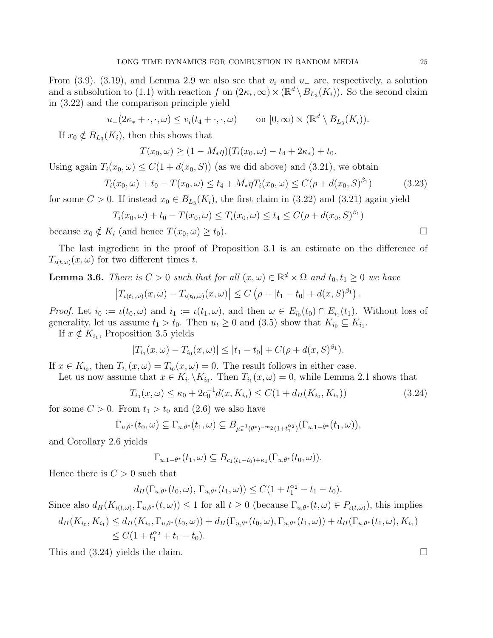From (3.9), (3.19), and Lemma 2.9 we also see that  $v_i$  and  $u_-\$ are, respectively, a solution and a subsolution to (1.1) with reaction f on  $(2\kappa_*, \infty) \times (\mathbb{R}^d \setminus B_{L_3}(K_i))$ . So the second claim in (3.22) and the comparison principle yield

 $u_-(2\kappa_* + \cdot, \cdot, \omega) \le v_i(t_4 + \cdot, \cdot, \omega)$  on  $[0, \infty) \times (\mathbb{R}^d \setminus B_{L_3}(K_i)).$ 

If  $x_0 \notin B_{L_3}(K_i)$ , then this shows that

$$
T(x_0, \omega) \ge (1 - M_* \eta)(T_i(x_0, \omega) - t_4 + 2\kappa_*) + t_0.
$$

Using again  $T_i(x_0, \omega) \leq C(1 + d(x_0, S))$  (as we did above) and (3.21), we obtain

$$
T_i(x_0, \omega) + t_0 - T(x_0, \omega) \le t_4 + M_* \eta T_i(x_0, \omega) \le C(\rho + d(x_0, S)^{\beta_1})
$$
\n(3.23)

for some  $C > 0$ . If instead  $x_0 \in B_{L_3}(K_i)$ , the first claim in (3.22) and (3.21) again yield

$$
T_i(x_0, \omega) + t_0 - T(x_0, \omega) \le T_i(x_0, \omega) \le t_4 \le C(\rho + d(x_0, S)^{\beta_1})
$$

because  $x_0 \notin K_i$  (and hence  $T(x_0, \omega) \ge t_0$ ).

The last ingredient in the proof of Proposition 3.1 is an estimate on the difference of  $T_{\iota(t,\omega)}(x,\omega)$  for two different times t.

**Lemma 3.6.** There is  $C > 0$  such that for all  $(x, \omega) \in \mathbb{R}^d \times \Omega$  and  $t_0, t_1 \geq 0$  we have

$$
\left|T_{\iota(t_1,\omega)}(x,\omega) - T_{\iota(t_0,\omega)}(x,\omega)\right| \le C\left(\rho + |t_1 - t_0| + d(x,S)^{\beta_1}\right)
$$

*Proof.* Let  $i_0 := \iota(t_0, \omega)$  and  $i_1 := \iota(t_1, \omega)$ , and then  $\omega \in E_{i_0}(t_0) \cap E_{i_1}(t_1)$ . Without loss of generality, let us assume  $t_1 > t_0$ . Then  $u_t \geq 0$  and  $(3.5)$  show that  $K_{i_0} \subseteq K_{i_1}$ .

If  $x \notin K_{i_1}$ , Proposition 3.5 yields

$$
|T_{i_1}(x,\omega)-T_{i_0}(x,\omega)|\leq |t_1-t_0|+C(\rho+d(x,S)^{\beta_1}).
$$

If  $x \in K_{i_0}$ , then  $T_{i_1}(x,\omega) = T_{i_0}(x,\omega) = 0$ . The result follows in either case.

Let us now assume that  $x \in K_{i_1} \backslash K_{i_0}$ . Then  $T_{i_1}(x,\omega) = 0$ , while Lemma 2.1 shows that

$$
T_{i_0}(x,\omega) \le \kappa_0 + 2c_0^{-1}d(x, K_{i_0}) \le C(1 + d_H(K_{i_0}, K_{i_1}))
$$
\n(3.24)

for some  $C > 0$ . From  $t_1 > t_0$  and  $(2.6)$  we also have

$$
\Gamma_{u,\theta^*}(t_0,\omega) \subseteq \Gamma_{u,\theta^*}(t_1,\omega) \subseteq B_{\mu_*^{-1}(\theta^*)^{-m_2}(1+t_1^{\alpha_2})}(\Gamma_{u,1-\theta^*}(t_1,\omega)),
$$

and Corollary 2.6 yields

 $\Gamma_{u,1-\theta^*}(t_1,\omega) \subseteq B_{c_1(t_1-t_0)+\kappa_1}(\Gamma_{u,\theta^*}(t_0,\omega)).$ 

Hence there is  $C > 0$  such that

 $d_H(\Gamma_{u,\theta^*}(t_0,\omega), \Gamma_{u,\theta^*}(t_1,\omega)) \leq C(1+t_1^{\alpha_2}+t_1-t_0).$ 

Since also  $d_H(K_{\iota(t,\omega)},\Gamma_{u,\theta^*}(t,\omega)) \leq 1$  for all  $t \geq 0$  (because  $\Gamma_{u,\theta^*}(t,\omega) \in P_{\iota(t,\omega)}$ ), this implies

$$
d_H(K_{i_0}, K_{i_1}) \le d_H(K_{i_0}, \Gamma_{u,\theta^*}(t_0,\omega)) + d_H(\Gamma_{u,\theta^*}(t_0,\omega), \Gamma_{u,\theta^*}(t_1,\omega)) + d_H(\Gamma_{u,\theta^*}(t_1,\omega), K_{i_1})
$$
  
\n
$$
\le C(1 + t_1^{\alpha_2} + t_1 - t_0).
$$

This and  $(3.24)$  yields the claim.

.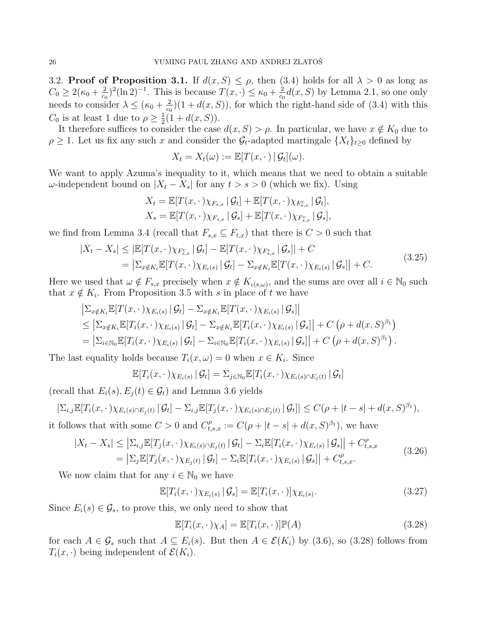3.2. Proof of Proposition 3.1. If  $d(x, S) \leq \rho$ , then (3.4) holds for all  $\lambda > 0$  as long as  $C_0 \geq 2(\kappa_0 + \frac{2}{c_0})$  $(\frac{2}{c_0})^2 (\ln 2)^{-1}$ . This is because  $T(x, \cdot) \le \kappa_0 + \frac{2}{c_0}$  $\frac{2}{c_0}d(x, S)$  by Lemma 2.1, so one only needs to consider  $\lambda \leq (\kappa_0 + \frac{2}{c \epsilon})$  $\frac{2}{c_0}$  (1 + d(x, S)), for which the right-hand side of (3.4) with this  $C_0$  is at least 1 due to  $\rho \geq \frac{1}{2}$  $\frac{1}{2}(1+d(x, S)).$ 

It therefore suffices to consider the case  $d(x, S) > \rho$ . In particular, we have  $x \notin K_0$  due to  $\rho \geq 1$ . Let us fix any such x and consider the  $\mathcal{G}_t$ -adapted martingale  $\{X_t\}_{t\geq 0}$  defined by

$$
X_t = X_t(\omega) := \mathbb{E}[T(x, \cdot) | \mathcal{G}_t](\omega).
$$

We want to apply Azuma's inequality to it, which means that we need to obtain a suitable ω-independent bound on  $|X_t - X_s|$  for any  $t > s > 0$  (which we fix). Using

$$
X_t = \mathbb{E}[T(x, \cdot)\chi_{F_{s,x}} | \mathcal{G}_t] + \mathbb{E}[T(x, \cdot)\chi_{F_{s,x}} | \mathcal{G}_t],
$$
  

$$
X_s = \mathbb{E}[T(x, \cdot)\chi_{F_{s,x}} | \mathcal{G}_s] + \mathbb{E}[T(x, \cdot)\chi_{F_{s,x}} | \mathcal{G}_s],
$$

we find from Lemma 3.4 (recall that  $F_{s,x} \subseteq F_{t,x}$ ) that there is  $C > 0$  such that

$$
|X_t - X_s| \leq |\mathbb{E}[T(x, \cdot) \chi_{F_{s,x}^c} | \mathcal{G}_t] - \mathbb{E}[T(x, \cdot) \chi_{F_{s,x}^c} | \mathcal{G}_s]| + C
$$
  
= 
$$
\left| \Sigma_{x \notin K_i} \mathbb{E}[T(x, \cdot) \chi_{E_i(s)} | \mathcal{G}_t] - \Sigma_{x \notin K_i} \mathbb{E}[T(x, \cdot) \chi_{E_i(s)} | \mathcal{G}_s] \right| + C.
$$
 (3.25)

Here we used that  $\omega \notin F_{s,x}$  precisely when  $x \notin K_{\iota(s,\omega)}$ , and the sums are over all  $i \in \mathbb{N}_0$  such that  $x \notin K_i$ . From Proposition 3.5 with s in place of t we have

$$
\begin{split}\n& \left| \Sigma_{x \notin K_i} \mathbb{E}[T(x, \cdot) \chi_{E_i(s)} \,|\, \mathcal{G}_t] - \Sigma_{x \notin K_i} \mathbb{E}[T(x, \cdot) \chi_{E_i(s)} \,|\, \mathcal{G}_s] \right| \\
& \leq \left| \Sigma_{x \notin K_i} \mathbb{E}[T_i(x, \cdot) \chi_{E_i(s)} \,|\, \mathcal{G}_t] - \Sigma_{x \notin K_i} \mathbb{E}[T_i(x, \cdot) \chi_{E_i(s)} \,|\, \mathcal{G}_s] \right| + C \left( \rho + d(x, S)^{\beta_1} \right) \\
& = \left| \Sigma_{i \in \mathbb{N}_0} \mathbb{E}[T_i(x, \cdot) \chi_{E_i(s)} \,|\, \mathcal{G}_t] - \Sigma_{i \in \mathbb{N}_0} \mathbb{E}[T_i(x, \cdot) \chi_{E_i(s)} \,|\, \mathcal{G}_s] \right| + C \left( \rho + d(x, S)^{\beta_1} \right).\n\end{split}
$$

The last equality holds because  $T_i(x, \omega) = 0$  when  $x \in K_i$ . Since

$$
\mathbb{E}[T_i(x,\cdot)\chi_{E_i(s)} | \mathcal{G}_t] = \sum_{j \in \mathbb{N}_0} \mathbb{E}[T_i(x,\cdot)\chi_{E_i(s) \cap E_j(t)} | \mathcal{G}_t]
$$

(recall that  $E_i(s), E_i(t) \in \mathcal{G}_t$ ) and Lemma 3.6 yields

$$
\left|\sum_{i,j} \mathbb{E}[T_i(x,\cdot)\chi_{E_i(s)\cap E_j(t)} | \mathcal{G}_t] - \sum_{i,j} \mathbb{E}[T_j(x,\cdot)\chi_{E_i(s)\cap E_j(t)} | \mathcal{G}_t] \right| \leq C(\rho + |t-s| + d(x,S)^{\beta_1}),
$$
 it follows that with some  $C > 0$  and  $C_{t,s,x}^{\rho} := C(\rho + |t-s| + d(x,S)^{\beta_1})$ , we have

$$
|X_t - X_s| \leq \left|\sum_{i,j} \mathbb{E}[T_j(x, \cdot) \chi_{E_i(s) \cap E_j(t)} | \mathcal{G}_t] - \sum_i \mathbb{E}[T_i(x, \cdot) \chi_{E_i(s)} | \mathcal{G}_s]\right| + C_{t,s,x}^{\rho}
$$

$$
= \left| \sum_{j} \mathbb{E}[T_j(x, \cdot) \chi_{E_j(t)} | \mathcal{G}_t] - \sum_{i} \mathbb{E}[T_i(x, \cdot) \chi_{E_i(s)} | \mathcal{G}_s] \right| + C_{t,s,x}^{\rho}.
$$
\n(3.26)

We now claim that for any  $i \in \mathbb{N}_0$  we have

$$
\mathbb{E}[T_i(x,\cdot)\chi_{E_i(s)} | \mathcal{G}_s] = \mathbb{E}[T_i(x,\cdot)]\chi_{E_i(s)}.
$$
\n(3.27)

Since  $E_i(s) \in \mathcal{G}_s$ , to prove this, we only need to show that

$$
\mathbb{E}[T_i(x,\cdot)\chi_A] = \mathbb{E}[T_i(x,\cdot)]\mathbb{P}(A)
$$
\n(3.28)

for each  $A \in \mathcal{G}_s$  such that  $A \subseteq E_i(s)$ . But then  $A \in \mathcal{E}(K_i)$  by (3.6), so (3.28) follows from  $T_i(x, \cdot)$  being independent of  $\mathcal{E}(K_i)$ .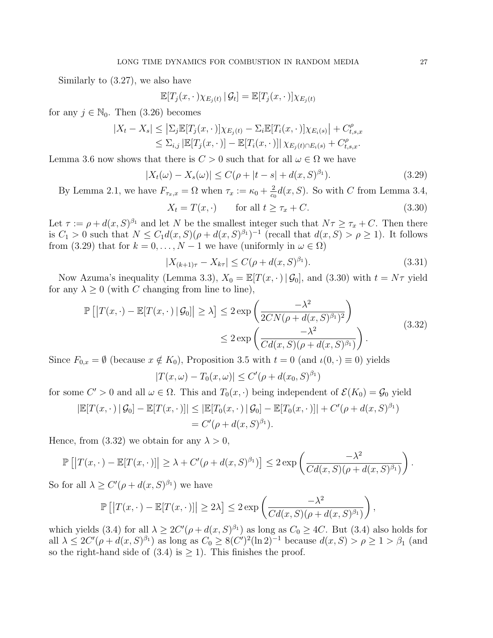Similarly to (3.27), we also have

$$
\mathbb{E}[T_j(x,\cdot\,)\chi_{E_j(t)}\,|\,\mathcal{G}_t] = \mathbb{E}[T_j(x,\cdot\,)]\chi_{E_j(t)}
$$

for any  $j \in \mathbb{N}_0$ . Then  $(3.26)$  becomes

$$
|X_t - X_s| \leq |\Sigma_j \mathbb{E}[T_j(x, \cdot)]\chi_{E_j(t)} - \Sigma_i \mathbb{E}[T_i(x, \cdot)]\chi_{E_i(s)}| + C_{t,s,x}^{\rho}
$$
  

$$
\leq \Sigma_{i,j} |\mathbb{E}[T_j(x, \cdot)] - \mathbb{E}[T_i(x, \cdot)]|\chi_{E_j(t) \cap E_i(s)} + C_{t,s,x}^{\rho}.
$$

Lemma 3.6 now shows that there is  $C > 0$  such that for all  $\omega \in \Omega$  we have

$$
|X_t(\omega) - X_s(\omega)| \le C(\rho + |t - s| + d(x, S)^{\beta_1}).\tag{3.29}
$$

By Lemma 2.1, we have  $F_{\tau_x,x} = \Omega$  when  $\tau_x := \kappa_0 + \frac{2}{c\epsilon}$  $\frac{2}{c_0}d(x, S)$ . So with C from Lemma 3.4,

$$
X_t = T(x, \cdot) \qquad \text{for all } t \ge \tau_x + C. \tag{3.30}
$$

Let  $\tau := \rho + d(x, S)^{\beta_1}$  and let N be the smallest integer such that  $N\tau \geq \tau_x + C$ . Then there is  $C_1 > 0$  such that  $N \leq C_1 d(x, S)(\rho + d(x, S)^{\beta_1})^{-1}$  (recall that  $d(x, S) > \rho \geq 1$ ). It follows from (3.29) that for  $k = 0, ..., N - 1$  we have (uniformly in  $\omega \in \Omega$ )

$$
|X_{(k+1)\tau} - X_{k\tau}| \le C(\rho + d(x, S)^{\beta_1}).\tag{3.31}
$$

Now Azuma's inequality (Lemma 3.3),  $X_0 = \mathbb{E}[T(x, \cdot) | \mathcal{G}_0]$ , and (3.30) with  $t = N\tau$  yield for any  $\lambda \geq 0$  (with C changing from line to line),

$$
\mathbb{P}\left[\left|T(x,\cdot)-\mathbb{E}[T(x,\cdot)|\mathcal{G}_0]\right|\geq \lambda\right] \leq 2 \exp\left(\frac{-\lambda^2}{2CN(\rho+d(x,S)^{\beta_1})^2}\right) \leq 2 \exp\left(\frac{-\lambda^2}{Cd(x,S)(\rho+d(x,S)^{\beta_1})}\right).
$$
\n(3.32)

Since  $F_{0,x} = \emptyset$  (because  $x \notin K_0$ ), Proposition 3.5 with  $t = 0$  (and  $\iota(0, \cdot) \equiv 0$ ) yields  $|T(x,\omega) - T_0(x,\omega)| \le C'(\rho + d(x_0, S)^{\beta_1})$ 

for some 
$$
C' > 0
$$
 and all  $\omega \in \Omega$ . This and  $T_0(x, \cdot)$  being independent of  $\mathcal{E}(K_0) = \mathcal{G}_0$  yield

$$
|\mathbb{E}[T(x,\cdot)|\mathcal{G}_0] - \mathbb{E}[T(x,\cdot)]| \leq |\mathbb{E}[T_0(x,\cdot)|\mathcal{G}_0] - \mathbb{E}[T_0(x,\cdot)]| + C'(\rho + d(x,S)^{\beta_1})
$$
  
= C'(\rho + d(x,S)^{\beta\_1}).

Hence, from (3.32) we obtain for any  $\lambda > 0$ ,

$$
\mathbb{P}\left[\left|T(x,\cdot)-\mathbb{E}[T(x,\cdot)]\right|\geq \lambda + C'(\rho+d(x,S)^{\beta_1})\right]\leq 2\exp\left(\frac{-\lambda^2}{Cd(x,S)(\rho+d(x,S)^{\beta_1})}\right).
$$

So for all  $\lambda \ge C'(\rho + d(x, S)^{\beta_1})$  we have

$$
\mathbb{P}\left[\left|T(x,\cdot)-\mathbb{E}[T(x,\cdot)]\right|\geq 2\lambda\right]\leq 2\exp\left(\frac{-\lambda^2}{Cd(x,S)(\rho+d(x,S)^{\beta_1})}\right),
$$

which yields (3.4) for all  $\lambda \geq 2C'(\rho + d(x, S)^{\beta_1})$  as long as  $C_0 \geq 4C$ . But (3.4) also holds for all  $\lambda \leq 2C'(\rho + d(x, S)^{\beta_1})$  as long as  $C_0 \geq 8(C')^2(\ln 2)^{-1}$  because  $d(x, S) > \rho \geq 1 > \beta_1$  (and so the right-hand side of (3.4) is  $\geq$  1). This finishes the proof.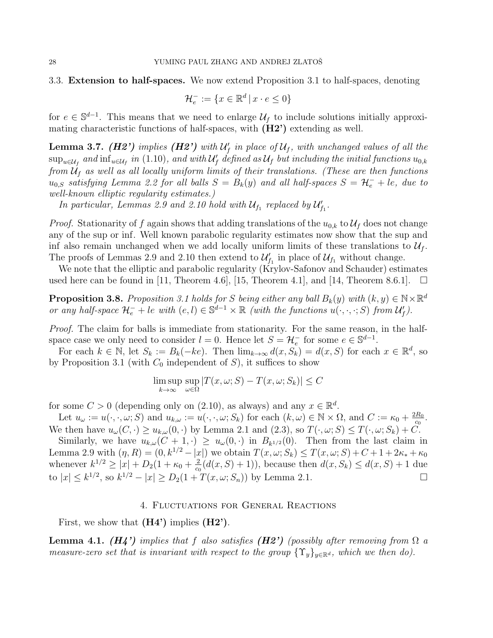### 3.3. Extension to half-spaces. We now extend Proposition 3.1 to half-spaces, denoting

$$
\mathcal{H}_e^- := \{ x \in \mathbb{R}^d \, | \, x \cdot e \le 0 \}
$$

for  $e \in \mathbb{S}^{d-1}$ . This means that we need to enlarge  $\mathcal{U}_f$  to include solutions initially approximating characteristic functions of half-spaces, with (H2') extending as well.

**Lemma 3.7.** (H2') implies (H2') with  $U_f'$  in place of  $U_f$ , with unchanged values of all the  $\sup_{u\in\mathcal{U}_f}$  and  $\inf_{u\in\mathcal{U}_f}$  in  $(1.10)$ , and with  $\mathcal{U}'_f$  defined as  $\mathcal{U}_f$  but including the initial functions  $u_{0,k}$ from  $\mathcal{U}_f$  as well as all locally uniform limits of their translations. (These are then functions  $u_{0,S}$  satisfying Lemma 2.2 for all balls  $S = B_k(y)$  and all half-spaces  $S = H_e^- + le$ , due to well-known elliptic regularity estimates.)

In particular, Lemmas 2.9 and 2.10 hold with  $\mathcal{U}_{f_1}$  replaced by  $\mathcal{U}_{f_1}'$ .

*Proof.* Stationarity of f again shows that adding translations of the  $u_{0,k}$  to  $\mathcal{U}_f$  does not change any of the sup or inf. Well known parabolic regularity estimates now show that the sup and inf also remain unchanged when we add locally uniform limits of these translations to  $\mathcal{U}_f$ . The proofs of Lemmas 2.9 and 2.10 then extend to  $\mathcal{U}_{f_1}'$  in place of  $\mathcal{U}_{f_1}$  without change.

We note that the elliptic and parabolic regularity (Krylov-Safonov and Schauder) estimates used here can be found in  $[11,$  Theorem 4.6,  $[15,$  Theorem 4.1, and  $[14,$  Theorem 8.6.1.

**Proposition 3.8.** Proposition 3.1 holds for S being either any ball  $B_k(y)$  with  $(k, y) \in \mathbb{N} \times \mathbb{R}^d$ or any half-space  $\mathcal{H}_e^- + le$  with  $(e, l) \in \mathbb{S}^{d-1} \times \mathbb{R}$  (with the functions  $u(\cdot, \cdot, \cdot; S)$  from  $\mathcal{U}_f$ ).

Proof. The claim for balls is immediate from stationarity. For the same reason, in the halfspace case we only need to consider  $l = 0$ . Hence let  $S = \mathcal{H}_e^-$  for some  $e \in \mathbb{S}^{d-1}$ .

For each  $k \in \mathbb{N}$ , let  $S_k := B_k(-ke)$ . Then  $\lim_{k \to \infty} d(x, S_k) = d(x, S)$  for each  $x \in \mathbb{R}^d$ , so by Proposition 3.1 (with  $C_0$  independent of S), it suffices to show

$$
\limsup_{k \to \infty} \sup_{\omega \in \Omega} |T(x, \omega; S) - T(x, \omega; S_k)| \le C
$$

for some  $C > 0$  (depending only on (2.10), as always) and any  $x \in \mathbb{R}^d$ .

Let  $u_{\omega} := u(\cdot, \cdot, \omega; S)$  and  $u_{k,\omega} := u(\cdot, \cdot, \omega; S_k)$  for each  $(k, \omega) \in \mathbb{N} \times \Omega$ , and  $C := \kappa_0 + \frac{2R_0}{C_0}$  $\frac{R_0}{c_0}$  . We then have  $u_{\omega}(C, \cdot) \geq u_{k,\omega}(0, \cdot)$  by Lemma 2.1 and  $(2.3)$ , so  $T(\cdot, \omega; S) \leq T(\cdot, \omega; S_k) + C$ .

Similarly, we have  $u_{k,\omega}(C+1,\cdot) \geq u_{\omega}(0,\cdot)$  in  $B_{k^{1/2}}(0)$ . Then from the last claim in Lemma 2.9 with  $(\eta, R) = (0, k^{1/2} - |x|)$  we obtain  $T(x, \omega; S_k) \leq T(x, \omega; S) + C + 1 + 2\kappa_* + \kappa_0$ whenever  $k^{1/2} \ge |x| + D_2(1 + \kappa_0 + \frac{2}{c_0})$  $\frac{2}{c_0}(d(x, S) + 1)$ , because then  $d(x, S_k) \leq d(x, S) + 1$  due to  $|x| \leq k^{1/2}$ , so  $k^{1/2} - |x| \geq D_2(1 + T(x, \omega; S_n))$  by Lemma 2.1.

## 4. Fluctuations for General Reactions

First, we show that  $(H4')$  implies  $(H2')$ .

**Lemma 4.1.** (H4') implies that f also satisfies (H2') (possibly after removing from  $\Omega$  a measure-zero set that is invariant with respect to the group  $\{\Upsilon_y\}_{y\in\mathbb{R}^d}$ , which we then do).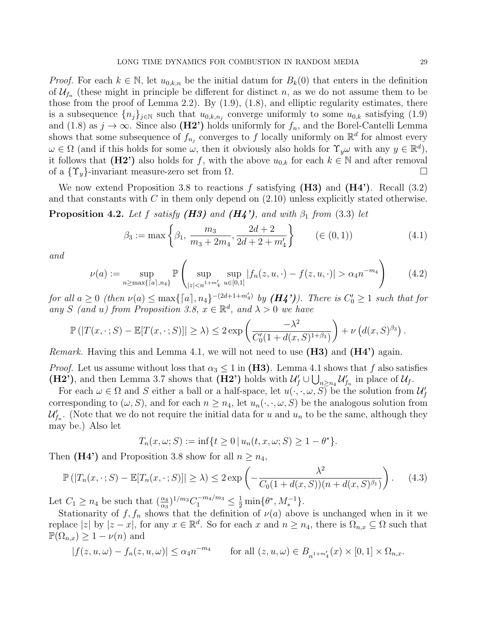*Proof.* For each  $k \in \mathbb{N}$ , let  $u_{0,k,n}$  be the initial datum for  $B_k(0)$  that enters in the definition of  $\mathcal{U}_{f_n}$  (these might in principle be different for distinct n, as we do not assume them to be those from the proof of Lemma 2.2). By (1.9), (1.8), and elliptic regularity estimates, there is a subsequence  $\{n_j\}_{j\in\mathbb{N}}$  such that  $u_{0,k,n_j}$  converge uniformly to some  $u_{0,k}$  satisfying  $(1.9)$ and (1.8) as  $j \to \infty$ . Since also (H2') holds uniformly for  $f_n$ , and the Borel-Cantelli Lemma shows that some subsequence of  $f_{n_j}$  converges to f locally uniformly on  $\mathbb{R}^d$  for almost every  $\omega \in \Omega$  (and if this holds for some  $\omega$ , then it obviously also holds for  $\Upsilon_y \omega$  with any  $y \in \mathbb{R}^d$ ), it follows that (H2') also holds for f, with the above  $u_{0,k}$  for each  $k \in \mathbb{N}$  and after removal of a  $\{\Upsilon_u\}$ -invariant measure-zero set from  $\Omega$ .

We now extend Proposition 3.8 to reactions f satisfying  $(H3)$  and  $(H4')$ . Recall  $(3.2)$ and that constants with  $C$  in them only depend on  $(2.10)$  unless explicitly stated otherwise.

**Proposition 4.2.** Let f satisfy  $(H3)$  and  $(H4')$ , and with  $\beta_1$  from (3.3) let

$$
\beta_3 := \max\left\{\beta_1, \frac{m_3}{m_3 + 2m_4}, \frac{2d + 2}{2d + 2 + m'_4}\right\} \qquad (\in (0, 1)) \tag{4.1}
$$

and

$$
\nu(a) := \sup_{n \ge \max\{|a|, n_4\}} \mathbb{P}\left(\sup_{|z| < n^{1+m'_4}} \sup_{u \in [0,1]} |f_n(z, u, \cdot) - f(z, u, \cdot)| > \alpha_4 n^{-m_4}\right) \tag{4.2}
$$

for all  $a \geq 0$  (then  $\nu(a) \leq \max\{ \lceil a \rceil, n_4 \}^{-(2d+1+m_4')}$  by  $(H_4')$ ). There is  $C'_0 \geq 1$  such that for any S (and u) from Proposition 3.8,  $x \in \mathbb{R}^d$ , and  $\lambda > 0$  we have

$$
\mathbb{P}\left(|T(x,\cdot;S)-\mathbb{E}[T(x,\cdot;S)]|\geq\lambda\right)\leq 2\exp\left(\frac{-\lambda^2}{C_0'(1+d(x,S)^{1+\beta_3})}\right)+\nu\left(d(x,S)^{\beta_3}\right).
$$

*Remark.* Having this and Lemma 4.1, we will not need to use  $(H3)$  and  $(H4')$  again.

*Proof.* Let us assume without loss that  $\alpha_3 \leq 1$  in (H3). Lemma 4.1 shows that f also satisfies (H2'), and then Lemma 3.7 shows that (H2') holds with  $\mathcal{U}'_f \cup \bigcup_{n \geq n_4} \mathcal{U}'_{f_n}$  in place of  $\mathcal{U}_f$ .

For each  $\omega \in \Omega$  and S either a ball or a half-space, let  $u(\cdot, \cdot, \omega, S)$  be the solution from  $\mathcal{U}'_f$ corresponding to  $(\omega, S)$ , and for each  $n \geq n_4$ , let  $u_n(\cdot, \cdot, \omega, S)$  be the analogous solution from  $\mathcal{U}_{f_n}^{\prime}$ . (Note that we do not require the initial data for u and  $u_n$  to be the same, although they may be.) Also let

$$
T_n(x, \omega; S) := \inf\{t \ge 0 \, | \, u_n(t, x, \omega; S) \ge 1 - \theta^*\}.
$$

Then (H4') and Proposition 3.8 show for all  $n > n_4$ ,

$$
\mathbb{P}\left(|T_n(x,\cdot;S) - \mathbb{E}[T_n(x,\cdot;S)]\right| \ge \lambda\right) \le 2 \exp\left(-\frac{\lambda^2}{C_0(1 + d(x,S))(n + d(x,S)^{\beta_1})}\right). \tag{4.3}
$$

Let  $C_1 \ge n_4$  be such that  $(\frac{\alpha_4}{\alpha_3})^{1/m_3} C_1^{-m_4/m_3} \le \frac{1}{2} \min\{\theta^*, M_*^{-1}\}.$ 

Stationarity of  $f, f_n$  shows that the definition of  $\nu(a)$  above is unchanged when in it we replace  $|z|$  by  $|z-x|$ , for any  $x \in \mathbb{R}^d$ . So for each x and  $n \geq n_4$ , there is  $\Omega_{n,x} \subseteq \Omega$  such that  $\mathbb{P}(\Omega_{n,x}) \geq 1 - \nu(n)$  and

$$
|f(z, u, \omega) - f_n(z, u, \omega)| \le \alpha_4 n^{-m_4} \qquad \text{for all } (z, u, \omega) \in B_{n^{1+m'_4}}(x) \times [0, 1] \times \Omega_{n,x}.
$$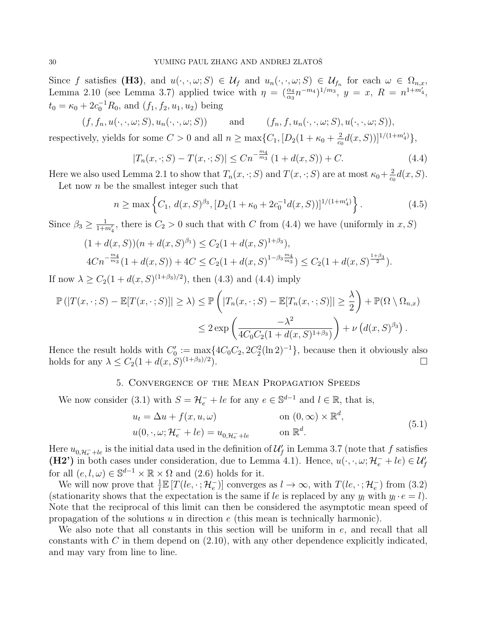Since f satisfies (H3), and  $u(\cdot,\cdot,\omega;S) \in \mathcal{U}_f$  and  $u_n(\cdot,\cdot,\omega;S) \in \mathcal{U}_{f_n}$  for each  $\omega \in \Omega_{n,x}$ , Lemma 2.10 (see Lemma 3.7) applied twice with  $\eta = (\frac{\alpha_4}{\alpha_3} n^{-m_4})^{1/m_3}$ ,  $y = x$ ,  $R = n^{1+m'_4}$ ,  $t_0 = \kappa_0 + 2c_0^{-1}R_0$ , and  $(f_1, f_2, u_1, u_2)$  being

 $(f, f_n, u(\cdot, \cdot, \omega; S), u_n(\cdot, \cdot, \omega; S))$  and  $(f_n, f, u_n(\cdot, \cdot, \omega; S), u(\cdot, \cdot, \omega; S)),$ respectively, yields for some  $C > 0$  and all  $n \ge \max\{C_1, [D_2(1 + \kappa_0 + \frac{2}{c_0})]$  $\frac{2}{c_0}d(x, S))]^{1/(1+m_4')},$ 

$$
|T_n(x,\cdot;S) - T(x,\cdot;S)| \le Cn^{-\frac{m_4}{m_3}}(1 + d(x,S)) + C.
$$
 (4.4)

Here we also used Lemma 2.1 to show that  $T_n(x, \cdot; S)$  and  $T(x, \cdot; S)$  are at most  $\kappa_0 + \frac{2}{c}$  $\frac{2}{c_0}d(x, S).$ 

Let now  $n$  be the smallest integer such that

$$
n \ge \max\left\{C_1, d(x, S)^{\beta_3}, [D_2(1 + \kappa_0 + 2c_0^{-1}d(x, S))]^{1/(1 + m_4')}\right\}.
$$
\n(4.5)

Since  $\beta_3 \ge \frac{1}{1+m'_4}$ , there is  $C_2 > 0$  such that with C from (4.4) we have (uniformly in x, S)

$$
(1 + d(x, S))(n + d(x, S)^{\beta_1}) \le C_2 (1 + d(x, S)^{1+\beta_3}),
$$
  
\n
$$
4Cn^{-\frac{m_4}{m_3}}(1 + d(x, S)) + 4C \le C_2 (1 + d(x, S)^{1-\beta_3 \frac{m_4}{m_3}}) \le C_2 (1 + d(x, S)^{\frac{1+\beta_3}{2}}).
$$

If now  $\lambda \ge C_2(1 + d(x, S)^{(1+\beta_3)/2})$ , then (4.3) and (4.4) imply

$$
\mathbb{P}(|T(x,\cdot;S) - \mathbb{E}[T(x,\cdot;S)]| \ge \lambda) \le \mathbb{P}\left(|T_n(x,\cdot;S) - \mathbb{E}[T_n(x,\cdot;S)]| \ge \frac{\lambda}{2}\right) + \mathbb{P}(\Omega \setminus \Omega_{n,x})
$$
  

$$
\le 2 \exp\left(\frac{-\lambda^2}{4C_0C_2(1 + d(x,S)^{1+\beta_3})}\right) + \nu\left(d(x,S)^{\beta_3}\right).
$$

Hence the result holds with  $C'_0 := \max\{4C_0C_2, 2C_2^2(\ln 2)^{-1}\}\$ , because then it obviously also holds for any  $\lambda \leq C_2(1+d(x,S)^{(1+\beta_3)/2})$ ).  $\Box$ 

# 5. Convergence of the Mean Propagation Speeds

We now consider (3.1) with  $S = H_e^- + le$  for any  $e \in \mathbb{S}^{d-1}$  and  $l \in \mathbb{R}$ , that is,

$$
u_t = \Delta u + f(x, u, \omega) \qquad \text{on } (0, \infty) \times \mathbb{R}^d,
$$
  

$$
u(0, \cdot, \omega; \mathcal{H}_e^- + le) = u_{0, \mathcal{H}_e^- + le} \qquad \text{on } \mathbb{R}^d.
$$
 (5.1)

Here  $u_{0,\mathcal{H}_e^-+le}$  is the initial data used in the definition of  $\mathcal{U}'_f$  in Lemma 3.7 (note that f satisfies (H2') in both cases under consideration, due to Lemma 4.1). Hence,  $u(\cdot, \cdot, \omega; \mathcal{H}_e^- + le) \in \mathcal{U}_f'$ for all  $(e, l, \omega) \in \mathbb{S}^{d-1} \times \mathbb{R} \times \Omega$  and  $(2.6)$  holds for it.

We will now prove that  $\frac{1}{l} \mathbb{E}[T(l_e, \cdot; \mathcal{H}_e)]$  converges as  $l \to \infty$ , with  $T(l_e, \cdot; \mathcal{H}_e)$  from (3.2) (stationarity shows that the expectation is the same if le is replaced by any  $y_l$  with  $y_l \cdot e = l$ ). Note that the reciprocal of this limit can then be considered the asymptotic mean speed of propagation of the solutions  $u$  in direction  $e$  (this mean is technically harmonic).

We also note that all constants in this section will be uniform in e, and recall that all constants with C in them depend on  $(2.10)$ , with any other dependence explicitly indicated, and may vary from line to line.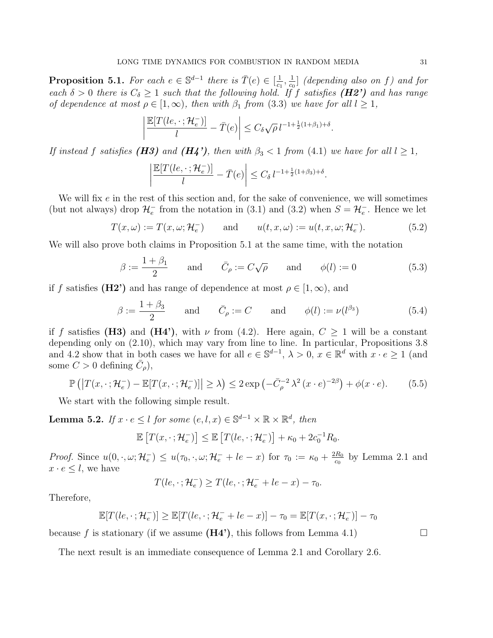**Proposition 5.1.** For each  $e \in \mathbb{S}^{d-1}$  there is  $\overline{T}(e) \in [\frac{1}{\alpha}]$  $\frac{1}{c_1}, \frac{1}{c_0}$  $\frac{1}{c_0}$  (depending also on f) and for each  $\delta > 0$  there is  $C_{\delta} \geq 1$  such that the following hold. If f satisfies (**H2')** and has range of dependence at most  $\rho \in [1,\infty)$ , then with  $\beta_1$  from (3.3) we have for all  $l \geq 1$ ,

$$
\left|\frac{\mathbb{E}[T(l\mathscr{e}, \cdot; \mathcal{H}_{\mathscr{e}}^{-})]}{l} - \bar{T}(e)\right| \leq C_{\delta} \sqrt{\rho} \, l^{-1 + \frac{1}{2}(1+\beta_1) + \delta}.
$$

If instead f satisfies (H3) and (H4'), then with  $\beta_3 < 1$  from (4.1) we have for all  $l \geq 1$ ,

$$
\left|\frac{\mathbb{E}[T(l\mathscr{e}, \cdot; \mathcal{H}_e^{-})]}{l} - \bar{T}(e)\right| \leq C_{\delta} \, l^{-1 + \frac{1}{2}(1+\beta_3) + \delta}.
$$

We will fix  $e$  in the rest of this section and, for the sake of convenience, we will sometimes (but not always) drop  $\mathcal{H}_e^-$  from the notation in (3.1) and (3.2) when  $S = \mathcal{H}_e^-$ . Hence we let

$$
T(x,\omega) := T(x,\omega;\mathcal{H}_e^-) \quad \text{and} \quad u(t,x,\omega) := u(t,x,\omega;\mathcal{H}_e^-). \tag{5.2}
$$

We will also prove both claims in Proposition 5.1 at the same time, with the notation

$$
\beta := \frac{1 + \beta_1}{2} \quad \text{and} \quad \bar{C}_{\rho} := C\sqrt{\rho} \quad \text{and} \quad \phi(l) := 0 \tag{5.3}
$$

if f satisfies (H2') and has range of dependence at most  $\rho \in [1,\infty)$ , and

$$
\beta := \frac{1 + \beta_3}{2} \quad \text{and} \quad \bar{C}_{\rho} := C \quad \text{and} \quad \phi(l) := \nu(l^{\beta_3}) \tag{5.4}
$$

if f satisfies (H3) and (H4'), with  $\nu$  from (4.2). Here again,  $C \geq 1$  will be a constant depending only on (2.10), which may vary from line to line. In particular, Propositions 3.8 and 4.2 show that in both cases we have for all  $e \in \mathbb{S}^{d-1}$ ,  $\lambda > 0$ ,  $x \in \mathbb{R}^d$  with  $x \cdot e \ge 1$  (and some  $C > 0$  defining  $\overline{C}_{\rho}$ ),

$$
\mathbb{P}\left(\left|T(x,\cdot;\mathcal{H}_e^-) - \mathbb{E}[T(x,\cdot;\mathcal{H}_e^-)]\right| \geq \lambda\right) \leq 2\exp\left(-\bar{C}_{\rho}^{-2}\lambda^2(x\cdot e)^{-2\beta}\right) + \phi(x\cdot e). \tag{5.5}
$$

We start with the following simple result.

**Lemma 5.2.** If  $x \cdot e \leq l$  for some  $(e, l, x) \in \mathbb{S}^{d-1} \times \mathbb{R} \times \mathbb{R}^d$ , then

$$
\mathbb{E}\left[T(x,\cdot\,;\mathcal{H}_e^-\right]\right] \leq \mathbb{E}\left[T(l\mathscr{e},\cdot\,;\mathcal{H}_e^-\right] + \kappa_0 + 2c_0^{-1}R_0.
$$

Proof. Since  $u(0, \cdot, \omega; \mathcal{H}_e^-) \leq u(\tau_0, \cdot, \omega; \mathcal{H}_e^- + le - x)$  for  $\tau_0 := \kappa_0 + \frac{2R_0}{c_0}$  $rac{R_0}{c_0}$  by Lemma 2.1 and  $x \cdot e \leq l$ , we have

$$
T(le, \cdot; \mathcal{H}_e^-) \ge T(le, \cdot; \mathcal{H}_e^- + le - x) - \tau_0.
$$

Therefore,

$$
\mathbb{E}[T(le,\cdot;\mathcal{H}_e^-)] \geq \mathbb{E}[T(le,\cdot;\mathcal{H}_e^- + l e - x)] - \tau_0 = \mathbb{E}[T(x,\cdot;\mathcal{H}_e^-)] - \tau_0
$$

because f is stationary (if we assume  $(H4')$ , this follows from Lemma 4.1)

The next result is an immediate consequence of Lemma 2.1 and Corollary 2.6.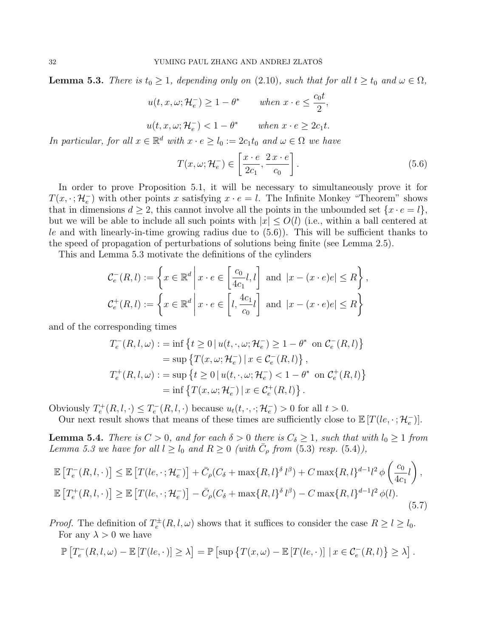**Lemma 5.3.** There is  $t_0 \geq 1$ , depending only on (2.10), such that for all  $t \geq t_0$  and  $\omega \in \Omega$ ,

$$
u(t, x, \omega; \mathcal{H}_e^-) \ge 1 - \theta^*
$$
 when  $x \cdot e \le \frac{c_0 t}{2}$ ,  

$$
u(t, x, \omega; \mathcal{H}_e^-) < 1 - \theta^*
$$
 when  $x \cdot e \ge 2c_1 t$ .

In particular, for all  $x \in \mathbb{R}^d$  with  $x \cdot e \ge l_0 := 2c_1t_0$  and  $\omega \in \Omega$  we have

$$
T(x,\omega;\mathcal{H}_e^-) \in \left[\frac{x \cdot e}{2c_1}, \frac{2x \cdot e}{c_0}\right].\tag{5.6}
$$

In order to prove Proposition 5.1, it will be necessary to simultaneously prove it for  $T(x, \cdot; \mathcal{H}_e^-)$  with other points x satisfying  $x \cdot e = l$ . The Infinite Monkey "Theorem" shows that in dimensions  $d \geq 2$ , this cannot involve all the points in the unbounded set  $\{x \cdot e = l\}$ , but we will be able to include all such points with  $|x| \le O(l)$  (i.e., within a ball centered at le and with linearly-in-time growing radius due to  $(5.6)$ ). This will be sufficient thanks to the speed of propagation of perturbations of solutions being finite (see Lemma 2.5).

This and Lemma 5.3 motivate the definitions of the cylinders

$$
\mathcal{C}_e^-(R,l) := \left\{ x \in \mathbb{R}^d \, \middle| \, x \cdot e \in \left[ \frac{c_0}{4c_1} l, l \right] \text{ and } |x - (x \cdot e)e| \le R \right\},\
$$
  

$$
\mathcal{C}_e^+(R,l) := \left\{ x \in \mathbb{R}^d \, \middle| \, x \cdot e \in \left[ l, \frac{4c_1}{c_0} l \right] \text{ and } |x - (x \cdot e)e| \le R \right\}
$$

and of the corresponding times

$$
T_e^-(R, l, \omega) := \inf \{ t \ge 0 \mid u(t, \cdot, \omega; \mathcal{H}_e^-) \ge 1 - \theta^* \text{ on } C_e^-(R, l) \}
$$
  
= 
$$
\sup \{ T(x, \omega; \mathcal{H}_e^-) \mid x \in C_e^-(R, l) \},
$$
  

$$
T_e^+(R, l, \omega) := \sup \{ t \ge 0 \mid u(t, \cdot, \omega; \mathcal{H}_e^-) < 1 - \theta^* \text{ on } C_e^+(R, l) \}
$$
  
= 
$$
\inf \{ T(x, \omega; \mathcal{H}_e^-) \mid x \in C_e^+(R, l) \}.
$$

Obviously  $T_e^+(R, l, \cdot) \leq T_e^-(R, l, \cdot)$  because  $u_t(t, \cdot, \cdot; \mathcal{H}_e^-) > 0$  for all  $t > 0$ .

Our next result shows that means of these times are sufficiently close to  $\mathbb{E}[T(le, \cdot; \mathcal{H}_e)]$ .

**Lemma 5.4.** There is  $C > 0$ , and for each  $\delta > 0$  there is  $C_{\delta} \geq 1$ , such that with  $l_0 \geq 1$  from Lemma 5.3 we have for all  $l \geq l_0$  and  $R \geq 0$  (with  $\overline{C}_{\rho}$  from (5.3) resp. (5.4)),

$$
\mathbb{E}\left[T_e^-(R,l,\cdot)\right] \leq \mathbb{E}\left[T(le,\cdot;\mathcal{H}_e^-\right] + \bar{C}_\rho(C_\delta + \max\{R,l\}^\delta l^\beta) + C\max\{R,l\}^{d-1}l^2\phi\left(\frac{c_0}{4c_1}l\right),
$$
  

$$
\mathbb{E}\left[T_e^+(R,l,\cdot)\right] \geq \mathbb{E}\left[T(le,\cdot;\mathcal{H}_e^-\right] - \bar{C}_\rho(C_\delta + \max\{R,l\}^\delta l^\beta) - C\max\{R,l\}^{d-1}l^2\phi(l).
$$
\n(5.7)

*Proof.* The definition of  $T_e^{\pm}(R, l, \omega)$  shows that it suffices to consider the case  $R \ge l \ge l_0$ . For any  $\lambda > 0$  we have

$$
\mathbb{P}\left[T_e^-(R,l,\omega)-\mathbb{E}\left[T(le,\cdot)\right]\geq\lambda\right]=\mathbb{P}\left[\sup\left\{T(x,\omega)-\mathbb{E}\left[T(le,\cdot)\right]\mid x\in\mathcal{C}_e^-(R,l)\right\}\geq\lambda\right].
$$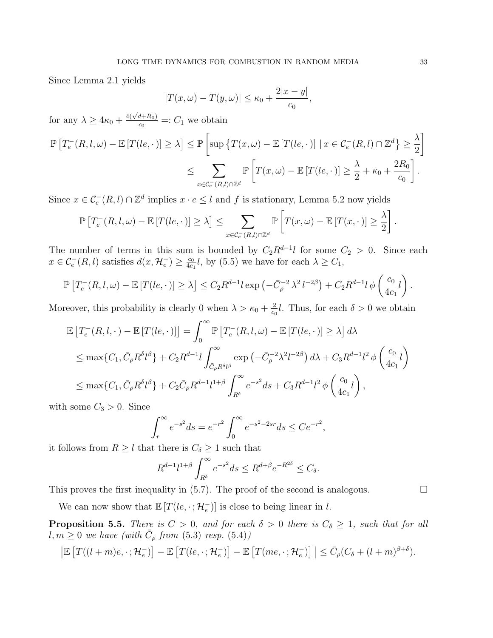Since Lemma 2.1 yields

$$
|T(x,\omega) - T(y,\omega)| \le \kappa_0 + \frac{2|x-y|}{c_0},
$$

for any  $\lambda \geq 4\kappa_0 + \frac{4(\sqrt{d}+R_0)}{c_0}$  $\frac{d+R_0}{c_0}$  =:  $C_1$  we obtain

$$
\mathbb{P}\left[T_e^-(R,l,\omega) - \mathbb{E}\left[T(le,\cdot)\right] \ge \lambda\right] \le \mathbb{P}\left[\sup\left\{T(x,\omega) - \mathbb{E}\left[T(le,\cdot)\right] \mid x \in \mathcal{C}_e^-(R,l) \cap \mathbb{Z}^d\right\} \ge \frac{\lambda}{2}\right]
$$

$$
\le \sum_{x \in \mathcal{C}_e^-(R,l) \cap \mathbb{Z}^d} \mathbb{P}\left[T(x,\omega) - \mathbb{E}\left[T(le,\cdot)\right] \ge \frac{\lambda}{2} + \kappa_0 + \frac{2R_0}{c_0}\right].
$$

Since  $x \in \mathcal{C}_e^-(R, l) \cap \mathbb{Z}^d$  implies  $x \cdot e \leq l$  and f is stationary, Lemma 5.2 now yields

$$
\mathbb{P}\left[T_e^-(R,l,\omega)-\mathbb{E}\left[T(l e,\cdot)\right]\geq\lambda\right]\leq \sum_{x\in\mathcal{C}_e^-(R,l)\cap\mathbb{Z}^d}\mathbb{P}\left[T(x,\omega)-\mathbb{E}\left[T(x,\cdot)\right]\geq\frac{\lambda}{2}\right].
$$

The number of terms in this sum is bounded by  $C_2R^{d-1}l$  for some  $C_2 > 0$ . Since each  $x \in \mathcal{C}_e^-(R, l)$  satisfies  $d(x, \mathcal{H}_e^-) \geq \frac{c_0}{4c}$  $\frac{c_0}{4c_1}l$ , by (5.5) we have for each  $\lambda \ge C_1$ ,

$$
\mathbb{P}\left[T_e^-(R,l,\omega)-\mathbb{E}\left[T(le,\cdot)\right]\geq\lambda\right]\leq C_2R^{d-1}l\exp\left(-\bar{C}_{\rho}^{-2}\lambda^2l^{-2\beta}\right)+C_2R^{d-1}l\,\phi\left(\frac{c_0}{4c_1}l\right).
$$

Moreover, this probability is clearly 0 when  $\lambda > \kappa_0 + \frac{2}{c}$  $\frac{2}{c_0}l$ . Thus, for each  $\delta > 0$  we obtain

$$
\mathbb{E}\left[T_e^-(R,l,\cdot)-\mathbb{E}\left[T(le,\cdot)\right]\right]=\int_0^\infty \mathbb{P}\left[T_e^-(R,l,\omega)-\mathbb{E}\left[T(le,\cdot)\right]\geq \lambda\right]d\lambda
$$
\n
$$
\leq \max\{C_1,\bar{C}_\rho R^\delta l^\beta\}+C_2R^{d-1}l\int_{\bar{C}_\rho R^\delta l^\beta}^\infty \exp\left(-\bar{C}_\rho^{-2}\lambda^2l^{-2\beta}\right)d\lambda+C_3R^{d-1}l^2\phi\left(\frac{c_0}{4c_1}l\right)
$$
\n
$$
\leq \max\{C_1,\bar{C}_\rho R^\delta l^\beta\}+C_2\bar{C}_\rho R^{d-1}l^{1+\beta}\int_{R^\delta}^\infty e^{-s^2}ds+C_3R^{d-1}l^2\phi\left(\frac{c_0}{4c_1}l\right),
$$
\nwhere  $C_1>0$ . Since

with some  $C_3 > 0$ . Since

$$
\int_{r}^{\infty} e^{-s^2} ds = e^{-r^2} \int_{0}^{\infty} e^{-s^2 - 2sr} ds \le Ce^{-r^2},
$$

it follows from  $R \geq l$  that there is  $C_{\delta} \geq 1$  such that

$$
R^{d-1}l^{1+\beta}\int_{R^{\delta}}^{\infty}e^{-s^2}ds\leq R^{d+\beta}e^{-R^{2\delta}}\leq C_{\delta}.
$$

This proves the first inequality in  $(5.7)$ . The proof of the second is analogous.

We can now show that  $\mathbb{E}[T(le, \cdot; \mathcal{H}_e)]$  is close to being linear in l.

**Proposition 5.5.** There is  $C > 0$ , and for each  $\delta > 0$  there is  $C_{\delta} \geq 1$ , such that for all  $l, m \geq 0$  we have (with  $\bar{C}_{\rho}$  from (5.3) resp. (5.4))

$$
\left| \mathbb{E}\left[T((l+m)e,\cdot\,;\mathcal{H}_{e}^{-})\right] - \mathbb{E}\left[T(le,\cdot\,;\mathcal{H}_{e}^{-})\right] - \mathbb{E}\left[T(me,\cdot\,;\mathcal{H}_{e}^{-})\right] \right| \leq \bar{C}_{\rho}(C_{\delta} + (l+m)^{\beta+\delta}).
$$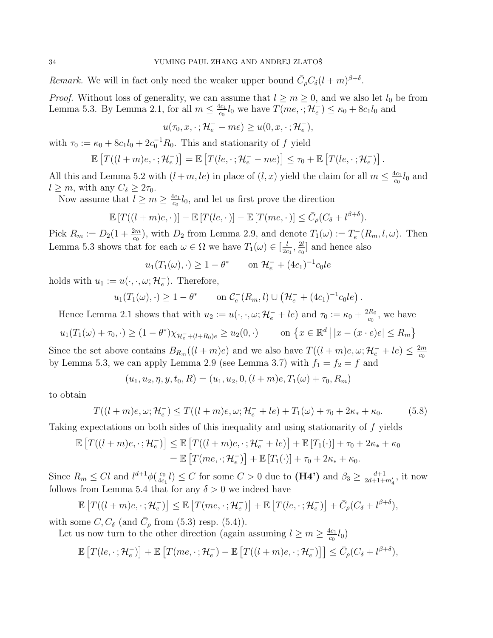Remark. We will in fact only need the weaker upper bound  $\bar{C}_{\rho}C_{\delta}(l+m)^{\beta+\delta}$ .

*Proof.* Without loss of generality, we can assume that  $l \geq m \geq 0$ , and we also let  $l_0$  be from Lemma 5.3. By Lemma 2.1, for all  $m \leq \frac{4c_1}{c_0}$  $\frac{dc_1}{c_0}l_0$  we have  $T(me,\cdot;\mathcal{H}_e^-)\leq \kappa_0+8c_1l_0$  and

$$
u(\tau_0, x, \cdot; \mathcal{H}_e^- - me) \ge u(0, x, \cdot; \mathcal{H}_e^-),
$$

with  $\tau_0 := \kappa_0 + 8c_1l_0 + 2c_0^{-1}R_0$ . This and stationarity of f yield

$$
\mathbb{E}\left[T((l+m)e,\cdot;\mathcal{H}_e^-\right] = \mathbb{E}\left[T(le,\cdot;\mathcal{H}_e^- - me)\right] \leq \tau_0 + \mathbb{E}\left[T(le,\cdot;\mathcal{H}_e^-\right]\right).
$$

All this and Lemma 5.2 with  $(l+m, le)$  in place of  $(l, x)$  yield the claim for all  $m \leq \frac{4c_1}{c_0}$  $rac{\mathrm{d}c_1}{c_0}l_0$  and  $l \geq m$ , with any  $C_{\delta} \geq 2\tau_0$ .

Now assume that  $l \geq m \geq \frac{4c_1}{c_2}$  $\frac{dc_1}{c_0}l_0$ , and let us first prove the direction

$$
\mathbb{E}\left[T((l+m)e,\cdot\,\right]-\mathbb{E}\left[T(le,\cdot\,\right]-\mathbb{E}\left[T(me,\cdot\,\right]\right]\leq\bar{C}_{\rho}(C_{\delta}+l^{\beta+\delta}).
$$

Pick  $R_m := D_2(1 + \frac{2m}{c_0})$ , with  $D_2$  from Lemma 2.9, and denote  $T_1(\omega) := T_e^{-}(R_m, l, \omega)$ . Then Lemma 5.3 shows that for each  $\omega \in \Omega$  we have  $T_1(\omega) \in \left[\frac{l}{2c}\right]$  $\frac{l}{2c_1}, \frac{2l}{c_0}$  $\frac{2l}{c_0}$  and hence also

$$
u_1(T_1(\omega), \cdot) \ge 1 - \theta^*
$$
 on  $\mathcal{H}_e^- + (4c_1)^{-1}c_0le$ 

holds with  $u_1 := u(\cdot, \cdot, \omega; \mathcal{H}_e^-)$ . Therefore,

$$
u_1(T_1(\omega),\cdot) \geq 1-\theta^*
$$
 on  $\mathcal{C}_e^-(R_m,l) \cup (\mathcal{H}_e^+ + (4c_1)^{-1}c_0le)$ .

Hence Lemma 2.1 shows that with  $u_2 := u(\cdot, \cdot, \omega; \mathcal{H}_e^- + le)$  and  $\tau_0 := \kappa_0 + \frac{2R_0}{c_0}$  $\frac{dR_0}{c_0}$ , we have

$$
u_1(T_1(\omega) + \tau_0, \cdot) \ge (1 - \theta^*) \chi_{\mathcal{H}_e - (l + R_0)e} \ge u_2(0, \cdot) \qquad \text{on } \left\{ x \in \mathbb{R}^d \, \big| \, |x - (x \cdot e)e| \le R_m \right\}
$$

Since the set above contains  $B_{R_m}((l+m)e)$  and we also have  $T((l+m)e,\omega;\mathcal{H}_e^{-}+l e) \leq \frac{2m}{c_0}$  $c_0$ by Lemma 5.3, we can apply Lemma 2.9 (see Lemma 3.7) with  $f_1 = f_2 = f$  and

$$
(u_1, u_2, \eta, y, t_0, R) = (u_1, u_2, 0, (l+m)e, T_1(\omega) + \tau_0, R_m)
$$

to obtain

$$
T((l+m)e,\omega;\mathcal{H}_e^-) \leq T((l+m)e,\omega;\mathcal{H}_e^- + le) + T_1(\omega) + \tau_0 + 2\kappa_* + \kappa_0. \tag{5.8}
$$

Taking expectations on both sides of this inequality and using stationarity of f yields

$$
\mathbb{E}\left[T((l+m)e,\cdot;\mathcal{H}_e^-\right]\leq \mathbb{E}\left[T((l+m)e,\cdot;\mathcal{H}_e^-+le)\right]+\mathbb{E}\left[T_1(\cdot)\right]+\tau_0+2\kappa_*+\kappa_0
$$

$$
=\mathbb{E}\left[T(me,\cdot;\mathcal{H}_e^-\right]+\mathbb{E}\left[T_1(\cdot)\right]+\tau_0+2\kappa_*+\kappa_0.
$$

Since  $R_m \leq Cl$  and  $l^{d+1}\phi(\frac{c_0}{4c})$  $\frac{c_0}{4c_1}l$   $\leq C$  for some  $C > 0$  due to  $(H4')$  and  $\beta_3 \geq \frac{d+1}{2d+1+m'_4}$ , it now follows from Lemma 5.4 that for any  $\delta > 0$  we indeed have

$$
\mathbb{E}\left[T((l+m)e,\cdot;\mathcal{H}_e^{-})\right] \leq \mathbb{E}\left[T(me,\cdot;\mathcal{H}_e^{-})\right] + \mathbb{E}\left[T(le,\cdot;\mathcal{H}_e^{-})\right] + \bar{C}_{\rho}(C_{\delta} + l^{\beta+\delta}),
$$

with some  $C, C_{\delta}$  (and  $\bar{C}_{\rho}$  from (5.3) resp. (5.4)).

Let us now turn to the other direction (again assuming  $l \geq m \geq \frac{4c_1}{c_2}$  $\frac{1}{c_0}l_0)$ 

$$
\mathbb{E}\left[T(le,\cdot;\mathcal{H}_e^-\right]+\mathbb{E}\left[T(me,\cdot;\mathcal{H}_e^-\right)-\mathbb{E}\left[T((l+m)e,\cdot;\mathcal{H}_e^-\right]\right]\leq \bar{C}_{\rho}(C_{\delta}+l^{\beta+\delta}),
$$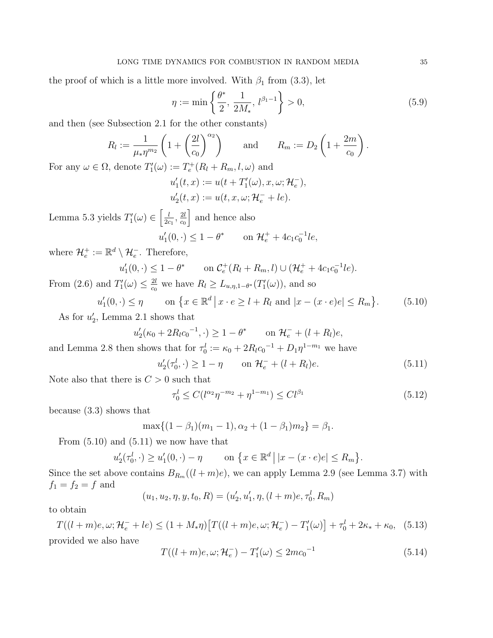the proof of which is a little more involved. With  $\beta_1$  from (3.3), let

$$
\eta := \min\left\{\frac{\theta^*}{2}, \frac{1}{2M_*}, l^{\beta_1 - 1}\right\} > 0,
$$
\n(5.9)

and then (see Subsection 2.1 for the other constants)

$$
R_l := \frac{1}{\mu_* \eta^{m_2}} \left( 1 + \left( \frac{2l}{c_0} \right)^{\alpha_2} \right) \quad \text{and} \quad R_m := D_2 \left( 1 + \frac{2m}{c_0} \right).
$$
  
denote  $T'(\alpha) := T^+(P_1 + P_2 \cup \alpha)$  and

For any  $\omega \in \Omega$ , denote  $T'_{1}(\omega) := T_{e}^{+}(R_{l} + R_{m}, l, \omega)$  and

$$
u'_1(t,x) := u(t + T'_1(\omega), x, \omega; \mathcal{H}_e^-),
$$
  

$$
u'_2(t,x) := u(t, x, \omega; \mathcal{H}_e^- + le).
$$

Lemma 5.3 yields  $T'_{1}(\omega) \in \left[\frac{l}{2c}\right]$  $\frac{l}{2c_1}$ ,  $\frac{2l}{c_0}$  $c_0$ | and hence also  $u'_1(0, \cdot) \leq 1 - \theta^*$  on  $\mathcal{H}_e^+ + 4c_1c_0^{-1}le,$ 

where  $\mathcal{H}_e^+ := \mathbb{R}^d \setminus \mathcal{H}_e^-$ . Therefore,

$$
u'_1(0,\cdot) \le 1 - \theta^* \qquad \text{on } \mathcal{C}_e^+(R_l + R_m, l) \cup (\mathcal{H}_e^+ + 4c_1c_0^{-1}le).
$$

From (2.6) and  $T'_{1}(\omega) \leq \frac{2l}{c_0}$  $\frac{2l}{c_0}$  we have  $R_l \ge L_{u,\eta,1-\theta^*}(T'_1(\omega))$ , and so

$$
u'_1(0, \cdot) \le \eta \qquad \text{on } \{x \in \mathbb{R}^d \mid x \cdot e \ge l + R_l \text{ and } |x - (x \cdot e)e| \le R_m \}. \tag{5.10}
$$

As for  $u_2'$ , Lemma 2.1 shows that

$$
u'_2(\kappa_0 + 2R_l c_0^{-1}, \cdot) \ge 1 - \theta^*
$$
 on  $\mathcal{H}_e^- + (l + R_l)e$ ,

and Lemma 2.8 then shows that for  $\tau_0^l := \kappa_0 + 2R_l c_0^{-1} + D_1 \eta^{1-m_1}$  we have

$$
u_2'(\tau_0^l, \cdot) \ge 1 - \eta \qquad \text{on } \mathcal{H}_e^- + (l + R_l)e. \tag{5.11}
$$

Note also that there is  $C > 0$  such that

$$
\tau_0^l \le C(l^{\alpha_2} \eta^{-m_2} + \eta^{1-m_1}) \le C l^{\beta_1} \tag{5.12}
$$

because (3.3) shows that

$$
\max\{(1-\beta_1)(m_1-1), \alpha_2+(1-\beta_1)m_2\}=\beta_1.
$$

From  $(5.10)$  and  $(5.11)$  we now have that

$$
u_2'(\tau_0^l, \cdot) \ge u_1'(0, \cdot) - \eta \quad \text{on } \{x \in \mathbb{R}^d \, \big| \, |x - (x \cdot e)e| \le R_m \}.
$$

Since the set above contains  $B_{R_m}((l+m)e)$ , we can apply Lemma 2.9 (see Lemma 3.7) with  $f_1 = f_2 = f$  and

$$
(u_1, u_2, \eta, y, t_0, R) = (u'_2, u'_1, \eta, (l+m)e, \tau_0^l, R_m)
$$

to obtain

$$
T((l+m)e,\omega;\mathcal{H}_e^-+le) \le (1+M_*\eta)\big[T((l+m)e,\omega;\mathcal{H}_e^-) - T'_1(\omega)\big] + \tau_0^l + 2\kappa_* + \kappa_0,\tag{5.13}
$$
 provided we also have

$$
T((l+m)e,\omega;\mathcal{H}_e^-) - T'_1(\omega) \le 2mc_0^{-1}
$$
\n(5.14)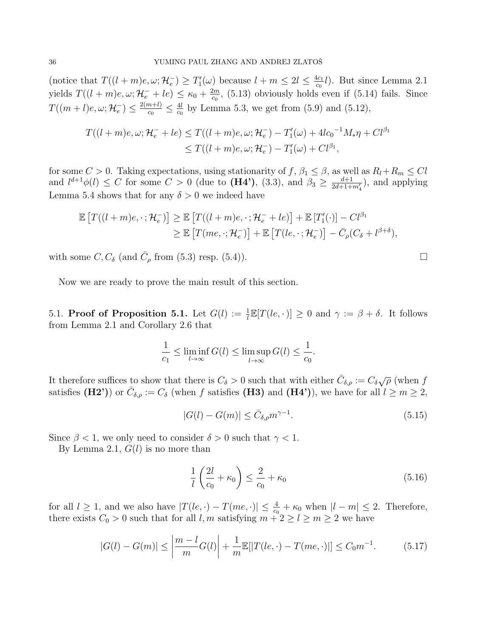(notice that  $T((l+m)e, \omega; \mathcal{H}_e^-) \geq T'_1(\omega)$  because  $l+m \leq 2l \leq \frac{4c_1}{c_0}$  $\frac{dc_1}{dc_0}l$ ). But since Lemma 2.1 yields  $T((l+m)e, \omega; \mathcal{H}_e^- + le) \leq \kappa_0 + \frac{2m}{c_0}$  $\frac{2m}{c_0}$ , (5.13) obviously holds even if (5.14) fails. Since  $T((m+l)e,\omega;\mathcal{H}_e^-)\leq \frac{2(m+l)}{c_0}$  $\frac{n+l)}{c_0} \leq \frac{4l}{c_0}$  $\frac{4l}{c_0}$  by Lemma 5.3, we get from (5.9) and (5.12),

$$
T((l+m)e, \omega; \mathcal{H}_e^- + le) \le T((l+m)e, \omega; \mathcal{H}_e^-) - T'_1(\omega) + 4lc_0^{-1}M_*\eta + Cl^{\beta_1} \le T((l+m)e, \omega; \mathcal{H}_e^-) - T'_1(\omega) + Cl^{\beta_1},
$$

for some  $C > 0$ . Taking expectations, using stationarity of  $f, \beta_1 \leq \beta$ , as well as  $R_l + R_m \leq Cl$ and  $l^{d+1}\phi(l) \leq C$  for some  $C > 0$  (due to (**H4'**), (3.3), and  $\beta_3 \geq \frac{d+1}{2d+1+m'_4}$ , and applying Lemma 5.4 shows that for any  $\delta > 0$  we indeed have

$$
\mathbb{E}\left[T((l+m)e,\cdot;\mathcal{H}_e^{-})\right] \geq \mathbb{E}\left[T((l+m)e,\cdot;\mathcal{H}_e^{-}+le)\right]+\mathbb{E}\left[T'_{1}(\cdot)\right]-Cl^{\beta_1}
$$
  

$$
\geq \mathbb{E}\left[T(me,\cdot;\mathcal{H}_e^{-})\right]+\mathbb{E}\left[T(le,\cdot;\mathcal{H}_e^{-})\right]-\bar{C}_{\rho}(C_{\delta}+l^{\beta+\delta}),
$$

with some  $C, C_{\delta}$  (and  $\bar{C}_{\rho}$  from (5.3) resp. (5.4)).

Now we are ready to prove the main result of this section.

5.1. **Proof of Proposition 5.1.** Let  $G(l) := \frac{1}{l} \mathbb{E}[T(le, \cdot)] \ge 0$  and  $\gamma := \beta + \delta$ . It follows from Lemma 2.1 and Corollary 2.6 that

$$
\frac{1}{c_1} \le \liminf_{l \to \infty} G(l) \le \limsup_{l \to \infty} G(l) \le \frac{1}{c_0}.
$$

It therefore suffices to show that there is  $C_{\delta} > 0$  such that with either  $\bar{C}_{\delta,\rho} := C_{\delta} \sqrt{\rho}$  (when f satisfies (H2')) or  $\bar{C}_{\delta,\rho} := C_{\delta}$  (when f satisfies (H3) and (H4')), we have for all  $l \geq m \geq 2$ ,

$$
|G(l) - G(m)| \le \bar{C}_{\delta,\rho} m^{\gamma - 1}.
$$
\n(5.15)

Since  $\beta$  < 1, we only need to consider  $\delta > 0$  such that  $\gamma$  < 1.

By Lemma 2.1,  $G(l)$  is no more than

$$
\frac{1}{l}\left(\frac{2l}{c_0} + \kappa_0\right) \le \frac{2}{c_0} + \kappa_0\tag{5.16}
$$

for all  $l \geq 1$ , and we also have  $|T(le, \cdot) - T(me, \cdot)| \leq \frac{4}{c_0} + \kappa_0$  when  $|l - m| \leq 2$ . Therefore, there exists  $C_0 > 0$  such that for all l, m satisfying  $m + 2 \ge l \ge m \ge 2$  we have

$$
|G(l) - G(m)| \le \left| \frac{m - l}{m} G(l) \right| + \frac{1}{m} \mathbb{E}[|T(le, \cdot) - T(me, \cdot)|] \le C_0 m^{-1}.
$$
 (5.17)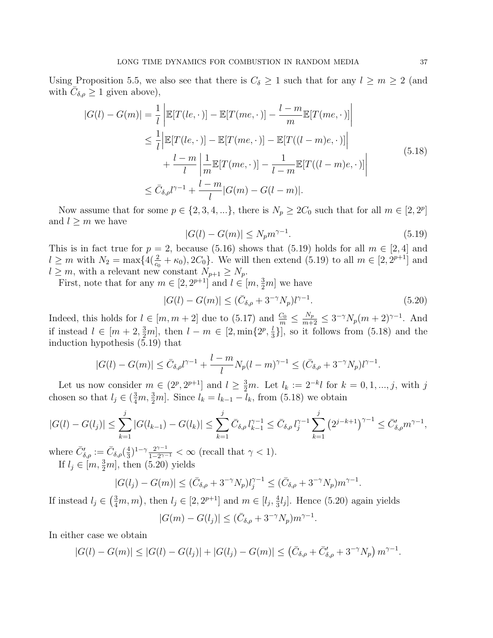Using Proposition 5.5, we also see that there is  $C_{\delta} \geq 1$  such that for any  $l \geq m \geq 2$  (and with  $\overline{C}_{\delta,\rho} \geq 1$  given above),

$$
|G(l) - G(m)| = \frac{1}{l} \left| \mathbb{E}[T(le, \cdot)] - \mathbb{E}[T(me, \cdot)] - \frac{l - m}{m} \mathbb{E}[T(me, \cdot)] \right|
$$
  
\n
$$
\leq \frac{1}{l} \left| \mathbb{E}[T(le, \cdot)] - \mathbb{E}[T(me, \cdot)] - \mathbb{E}[T((l - m)e, \cdot)] \right|
$$
  
\n
$$
+ \frac{l - m}{l} \left| \frac{1}{m} \mathbb{E}[T(me, \cdot)] - \frac{1}{l - m} \mathbb{E}[T((l - m)e, \cdot)] \right|
$$
  
\n
$$
\leq \bar{C}_{\delta, \rho} l^{\gamma - 1} + \frac{l - m}{l} |G(m) - G(l - m)|.
$$
\n(5.18)

Now assume that for some  $p \in \{2, 3, 4, ...\}$ , there is  $N_p \geq 2C_0$  such that for all  $m \in [2, 2^p]$ and  $l \geq m$  we have

$$
|G(l) - G(m)| \le N_p m^{\gamma - 1}.
$$
\n(5.19)

This is in fact true for  $p = 2$ , because (5.16) shows that (5.19) holds for all  $m \in [2, 4]$  and  $l \geq m$  with  $N_2 = \max\{4(\frac{2}{c_0} + \kappa_0), 2C_0\}$ . We will then extend (5.19) to all  $m \in [2, 2^{p+1}]$  and  $l \geq m$ , with a relevant new constant  $N_{p+1} \geq N_p$ .

First, note that for any  $m \in [2, 2^{p+1}]$  and  $l \in [m, \frac{3}{2}m]$  we have

$$
|G(l) - G(m)| \le (\bar{C}_{\delta,\rho} + 3^{-\gamma} N_p) l^{\gamma - 1}.
$$
\n(5.20)

Indeed, this holds for  $l \in [m, m+2]$  due to  $(5.17)$  and  $\frac{C_0}{m} \leq \frac{N_p}{m+2} \leq 3^{-\gamma} N_p(m+2)^{\gamma-1}$ . And if instead  $l \in [m+2, \frac{3}{2}m]$ , then  $l - m \in [2, \min\{2^p, \frac{1}{3}, \frac{1}{2^p}\}]$  $\frac{l}{3}$ ], so it follows from (5.18) and the induction hypothesis (5.19) that

$$
|G(l) - G(m)| \le \bar{C}_{\delta,\rho} l^{\gamma - 1} + \frac{l - m}{l} N_p (l - m)^{\gamma - 1} \le (\bar{C}_{\delta,\rho} + 3^{-\gamma} N_p) l^{\gamma - 1}.
$$

Let us now consider  $m \in (2^p, 2^{p+1}]$  and  $l \geq \frac{3}{2}m$ . Let  $l_k := 2^{-k}l$  for  $k = 0, 1, ..., j$ , with j chosen so that  $l_j \in \left(\frac{3}{4}m, \frac{3}{2}m\right]$ . Since  $l_k = l_{k-1} - l_k$ , from (5.18) we obtain

$$
|G(l) - G(l_j)| \le \sum_{k=1}^j |G(l_{k-1}) - G(l_k)| \le \sum_{k=1}^j \bar{C}_{\delta,\rho} l_{k-1}^{\gamma - 1} \le \bar{C}_{\delta,\rho} l_j^{\gamma - 1} \sum_{k=1}^j (2^{j-k+1})^{\gamma - 1} \le \bar{C}'_{\delta,\rho} m^{\gamma - 1},
$$

where  $\bar{C}'_{\delta,\rho} := \bar{C}_{\delta,\rho}(\frac{4}{3})$  $\frac{4}{3}$ )<sup>1-γ</sup> $\frac{2^{\gamma-1}}{1-2^{\gamma-1}}$  $\frac{2^{\gamma-1}}{1-2^{\gamma-1}} < \infty$  (recall that  $\gamma < 1$ ). If  $l_j \in [m, \frac{3}{2}m]$ , then (5.20) yields

$$
|G(l_j) - G(m)| \le (\bar{C}_{\delta,\rho} + 3^{-\gamma} N_p) l_j^{\gamma - 1} \le (\bar{C}_{\delta,\rho} + 3^{-\gamma} N_p) m^{\gamma - 1}.
$$

If instead  $l_j \in \left(\frac{3}{4}m, m\right)$ , then  $l_j \in [2, 2^{p+1}]$  and  $m \in [l_j, \frac{4}{3}]$  $\frac{4}{3}l_j$ . Hence (5.20) again yields  $|G(m) - G(l_j)| \leq (\bar{C}_{\delta,\rho} + 3^{-\gamma} N_p) m^{\gamma - 1}.$ 

In either case we obtain

$$
|G(l) - G(m)| \leq |G(l) - G(l_j)| + |G(l_j) - G(m)| \leq (\bar{C}_{\delta,\rho} + \bar{C}'_{\delta,\rho} + 3^{-\gamma} N_p) m^{\gamma - 1}.
$$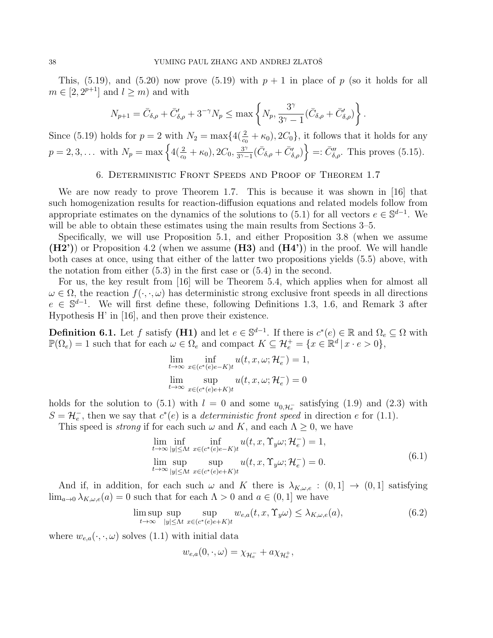This, (5.19), and (5.20) now prove (5.19) with  $p + 1$  in place of p (so it holds for all  $m \in [2, 2^{p+1}]$  and  $l \geq m$ ) and with

$$
N_{p+1} = \bar{C}_{\delta,\rho} + \bar{C}'_{\delta,\rho} + 3^{-\gamma} N_p \le \max\left\{ N_p, \frac{3^{\gamma}}{3^{\gamma}-1} (\bar{C}_{\delta,\rho} + \bar{C}'_{\delta,\rho}) \right\}.
$$

Since (5.19) holds for  $p = 2$  with  $N_2 = \max\{4(\frac{2}{c_0} + \kappa_0), 2C_0\}$ , it follows that it holds for any  $p = 2, 3, \ldots$  with  $N_p = \max\left\{4(\frac{2}{c_0} + \kappa_0), 2C_0, \frac{3}{3\gamma - 1}\right\}$  $\left\{\frac{3^{\gamma}}{3^{\gamma}-1}(\bar{C}_{\delta,\rho}+\bar{C}'_{\delta,\rho})\right\}=: \bar{C}''_{\delta,\rho}.$  This proves (5.15).

6. Deterministic Front Speeds and Proof of Theorem 1.7

We are now ready to prove Theorem 1.7. This is because it was shown in [16] that such homogenization results for reaction-diffusion equations and related models follow from appropriate estimates on the dynamics of the solutions to (5.1) for all vectors  $e \in \mathbb{S}^{d-1}$ . We will be able to obtain these estimates using the main results from Sections 3–5.

Specifically, we will use Proposition 5.1, and either Proposition 3.8 (when we assume  $(H2')$  or Proposition 4.2 (when we assume  $(H3)$  and  $(H4')$ ) in the proof. We will handle both cases at once, using that either of the latter two propositions yields (5.5) above, with the notation from either (5.3) in the first case or (5.4) in the second.

For us, the key result from [16] will be Theorem 5.4, which applies when for almost all  $\omega \in \Omega$ , the reaction  $f(\cdot, \cdot, \omega)$  has deterministic strong exclusive front speeds in all directions  $e \in \mathbb{S}^{d-1}$ . We will first define these, following Definitions 1.3, 1.6, and Remark 3 after Hypothesis H' in [16], and then prove their existence.

**Definition 6.1.** Let f satisfy (**H1**) and let  $e \in \mathbb{S}^{d-1}$ . If there is  $c^*(e) \in \mathbb{R}$  and  $\Omega_e \subseteq \Omega$  with  $\mathbb{P}(\Omega_e) = 1$  such that for each  $\omega \in \Omega_e$  and compact  $K \subseteq \mathcal{H}_e^+ = \{x \in \mathbb{R}^d \mid x \cdot e > 0\},$ 

$$
\lim_{t \to \infty} \inf_{x \in (c^*(e)e - K)t} u(t, x, \omega; \mathcal{H}_e^-) = 1,
$$
  

$$
\lim_{t \to \infty} \sup_{x \in (c^*(e)e + K)t} u(t, x, \omega; \mathcal{H}_e^-) = 0
$$

holds for the solution to (5.1) with  $l = 0$  and some  $u_{0,\mathcal{H}_{\epsilon}^-}$  satisfying (1.9) and (2.3) with  $S = \mathcal{H}_e^-$ , then we say that  $c^*(e)$  is a *deterministic front speed* in direction e for (1.1).

This speed is *strong* if for each such  $\omega$  and K, and each  $\Lambda > 0$ , we have

$$
\lim_{t \to \infty} \inf_{|y| \le \Lambda t} \inf_{x \in (c^*(e)e - K)t} u(t, x, \Upsilon_y \omega; \mathcal{H}_e^-) = 1,
$$
\n
$$
\lim_{t \to \infty} \sup_{|y| \le \Lambda t} \sup_{x \in (c^*(e)e + K)t} u(t, x, \Upsilon_y \omega; \mathcal{H}_e^-) = 0.
$$
\n(6.1)

And if, in addition, for each such  $\omega$  and K there is  $\lambda_{K,\omega,e} : (0,1] \rightarrow (0,1]$  satisfying  $\lim_{a\to 0} \lambda_{K,\omega,e}(a) = 0$  such that for each  $\Lambda > 0$  and  $a \in (0,1]$  we have

$$
\limsup_{t \to \infty} \sup_{|y| \le \Lambda t} \sup_{x \in (c^*(e)e + K)t} w_{e,a}(t, x, \Upsilon_y \omega) \le \lambda_{K, \omega, e}(a),
$$
\n(6.2)

where  $w_{e,a}(\cdot,\cdot,\omega)$  solves (1.1) with initial data

$$
w_{e,a}(0,\cdot,\omega)=\chi_{\mathcal{H}_e^-}+a\chi_{\mathcal{H}_e^+},
$$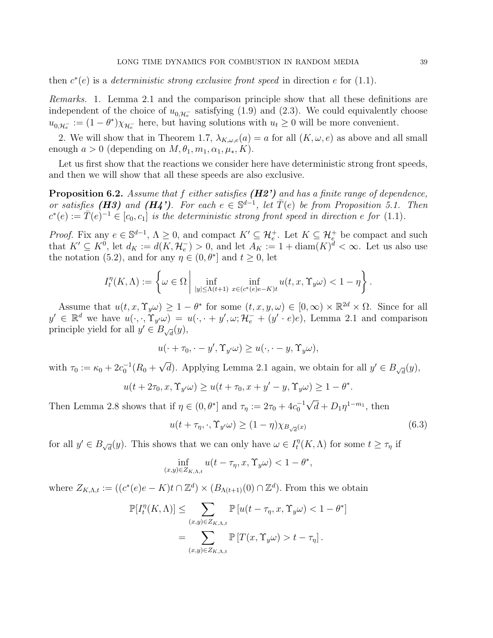then  $c^*(e)$  is a *deterministic strong exclusive front speed* in direction e for (1.1).

Remarks. 1. Lemma 2.1 and the comparison principle show that all these definitions are independent of the choice of  $u_{0,\mathcal{H}_{\epsilon}^-}$  satisfying (1.9) and (2.3). We could equivalently choose  $u_{0,\mathcal{H}_{e}^{-}} := (1-\theta^{*})\chi_{\mathcal{H}_{e}^{-}}$  here, but having solutions with  $u_t \geq 0$  will be more convenient.

2. We will show that in Theorem 1.7,  $\lambda_{K,\omega,e}(a) = a$  for all  $(K,\omega,e)$  as above and all small enough  $a > 0$  (depending on  $M, \theta_1, m_1, \alpha_1, \mu_*, K$ ).

Let us first show that the reactions we consider here have deterministic strong front speeds, and then we will show that all these speeds are also exclusive.

**Proposition 6.2.** Assume that f either satisfies  $(H2')$  and has a finite range of dependence, or satisfies (H3) and (H4'). For each  $e \in \mathbb{S}^{d-1}$ , let  $\overline{T}(e)$  be from Proposition 5.1. Then  $c^*(e) := \overline{T}(e)^{-1} \in [c_0, c_1]$  is the deterministic strong front speed in direction e for (1.1).

*Proof.* Fix any  $e \in \mathbb{S}^{d-1}$ ,  $\Lambda \geq 0$ , and compact  $K' \subseteq \mathcal{H}_e^+$ . Let  $K \subseteq \mathcal{H}_e^+$  be compact and such that  $K' \subseteq K^0$ , let  $d_K := d(K, \mathcal{H}_e^-) > 0$ , and let  $A_K := 1 + \text{diam}(K)^d < \infty$ . Let us also use the notation (5.2), and for any  $\eta \in (0, \theta^*]$  and  $t \geq 0$ , let

$$
I_t^n(K,\Lambda) := \left\{ \omega \in \Omega \, \middle| \, \inf_{|y| \le \Lambda(t+1)} \inf_{x \in (c^*(e)e - K)t} u(t,x,\Upsilon_y \omega) < 1 - \eta \right\}.
$$

Assume that  $u(t, x, \Upsilon_y \omega) \geq 1 - \theta^*$  for some  $(t, x, y, \omega) \in [0, \infty) \times \mathbb{R}^{2d} \times \Omega$ . Since for all  $y' \in \mathbb{R}^d$  we have  $u(\cdot, \cdot, \mathring{\Upsilon}_{y'}\omega) = u(\cdot, \cdot + y', \omega; \mathcal{H}_e^- + (y' \cdot e)e)$ , Lemma 2.1 and comparison principle yield for all  $y' \in B_{\sqrt{d}}(y)$ ,

$$
u(\cdot + \tau_0, \cdot - y', \Upsilon_{y'}\omega) \ge u(\cdot, \cdot - y, \Upsilon_{y}\omega),
$$

with  $\tau_0 := \kappa_0 + 2c_0^{-1}(R_0 +$ √ d). Applying Lemma 2.1 again, we obtain for all  $y' \in B_{\sqrt{d}}(y)$ ,

$$
u(t + 2\tau_0, x, \Upsilon_{y'}\omega) \ge u(t + \tau_0, x + y' - y, \Upsilon_{y}\omega) \ge 1 - \theta^*.
$$

Then Lemma 2.8 shows that if  $\eta \in (0, \theta^*]$  and  $\tau_{\eta} := 2\tau_0 + 4c_0^{-1}$  $\overline{d} + D_1 \eta^{1-m_1}$ , then

$$
u(t + \tau_{\eta}, \cdot, \Upsilon_{y'}\omega) \ge (1 - \eta) \chi_{B_{\sqrt{d}}(x)}
$$
\n(6.3)

for all  $y' \in B_{\sqrt{d}}(y)$ . This shows that we can only have  $\omega \in I_t^n$  $t_t^{\eta}(K,\Lambda)$  for some  $t \geq \tau_{\eta}$  if

$$
\inf_{(x,y)\in Z_{K,\Lambda,t}} u(t-\tau_\eta,x,\Upsilon_y\omega) < 1-\theta^*,
$$

where  $Z_{K,\Lambda,t} := ((c^*(e)e - K)t \cap \mathbb{Z}^d) \times (B_{\Lambda(t+1)}(0) \cap \mathbb{Z}^d)$ . From this we obtain

$$
\mathbb{P}[I_t^\eta(K,\Lambda)] \le \sum_{(x,y)\in Z_{K,\Lambda,t}} \mathbb{P}[u(t-\tau_\eta, x, \Upsilon_y \omega) < 1-\theta^*]
$$
  
= 
$$
\sum_{(x,y)\in Z_{K,\Lambda,t}} \mathbb{P}[T(x, \Upsilon_y \omega) > t-\tau_\eta].
$$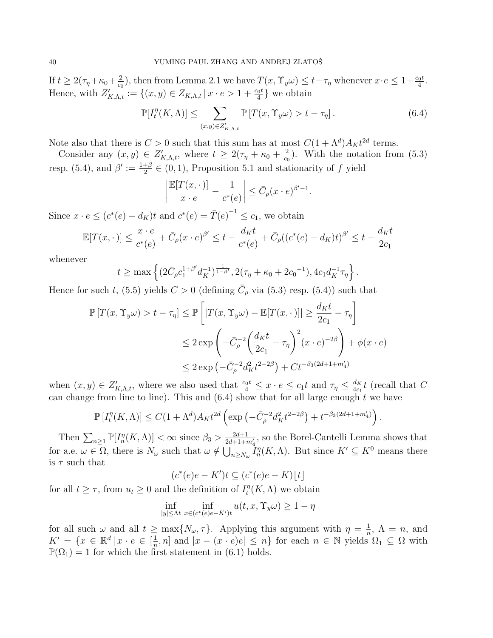If  $t \geq 2(\tau_\eta + \kappa_0 + \frac{2}{c\epsilon})$  $(\frac{2}{c_0})$ , then from Lemma 2.1 we have  $T(x, \Upsilon_y \omega) \leq t - \tau_\eta$  whenever  $x \cdot e \leq 1 + \frac{c_0 t}{4}$ . Hence, with  $Z'_{K,\Lambda,t} := \{(x,y) \in Z_{K,\Lambda,t} \mid x \cdot e > 1 + \frac{c_0 t}{4}\}\$  we obtain

$$
\mathbb{P}[I_t^{\eta}(K,\Lambda)] \le \sum_{(x,y)\in Z'_{K,\Lambda,t}} \mathbb{P}[T(x,\Upsilon_y\omega) > t - \tau_{\eta}]. \tag{6.4}
$$

Note also that there is  $C > 0$  such that this sum has at most  $C(1 + \Lambda^d)A_K t^{2d}$  terms.

Consider any  $(x, y) \in Z'_{K,\Lambda,t}$ , where  $t \geq 2(\tau_{\eta} + \kappa_0 + \frac{2}{c\sigma})$  $\frac{2}{c_0}$ ). With the notation from (5.3) resp. (5.4), and  $\beta' := \frac{1+\beta}{2}$  $\frac{+ \beta}{2} \in (0, 1)$ , Proposition 5.1 and stationarity of f yield

$$
\left| \frac{\mathbb{E}[T(x, \cdot \,)]}{x \cdot e} - \frac{1}{c^*(e)} \right| \leq \bar{C}_{\rho}(x \cdot e)^{\beta'-1}.
$$

Since  $x \cdot e \le (c^*(e) - d_K)t$  and  $c^*(e) = \overline{T}(e)^{-1} \le c_1$ , we obtain

$$
\mathbb{E}[T(x,\cdot)] \le \frac{x \cdot e}{c^*(e)} + \bar{C}_{\rho}(x \cdot e)^{\beta'} \le t - \frac{d_K t}{c^*(e)} + \bar{C}_{\rho}((c^*(e) - d_K)t)^{\beta'} \le t - \frac{d_K t}{2c_1}
$$

whenever

$$
t \ge \max\left\{ (2\bar{C}_{\rho}c_1^{1+\beta'}d_K^{-1})^{\frac{1}{1-\beta'}}, 2(\tau_{\eta}+\kappa_0+2c_0^{-1}), 4c_1d_K^{-1}\tau_{\eta} \right\}.
$$

Hence for such t, (5.5) yields  $C > 0$  (defining  $\overline{C}_{\rho}$  via (5.3) resp. (5.4)) such that

$$
\mathbb{P}\left[T(x,\Upsilon_y\omega) > t - \tau_\eta\right] \le \mathbb{P}\left[\left|T(x,\Upsilon_y\omega) - \mathbb{E}[T(x,\cdot)]\right| \ge \frac{d_K t}{2c_1} - \tau_\eta\right]
$$
  

$$
\le 2 \exp\left(-\bar{C}_\rho^{-2} \left(\frac{d_K t}{2c_1} - \tau_\eta\right)^2 (x \cdot e)^{-2\beta}\right) + \phi(x \cdot e)
$$
  

$$
\le 2 \exp\left(-\bar{C}_\rho^{-2} d_K^2 t^{2-2\beta}\right) + Ct^{-\beta_3(2d+1+m_4')}
$$

when  $(x, y) \in Z'_{K,\Lambda,t}$ , where we also used that  $\frac{c_0t}{4} \leq x \cdot e \leq c_1t$  and  $\tau_{\eta} \leq \frac{d_K}{4c_1}$  $\frac{d_K}{4c_1}t$  (recall that C can change from line to line). This and  $(6.4)$  show that for all large enough t we have

$$
\mathbb{P}\left[I_t^{\eta}(K,\Lambda)\right] \le C(1+\Lambda^d)A_K t^{2d} \left(\exp\left(-\bar{C}_{\rho}^{-2}d_K^2 t^{2-2\beta}\right) + t^{-\beta_3(2d+1+m'_4)}\right).
$$

Then  $\sum_{n\geq 1} \mathbb{P}[I_n(n+1/n)] < \infty$  since  $\beta_3 > \frac{2d+1}{2d+1+m'_4}$ , so the Borel-Cantelli Lemma shows that for a.e.  $\omega \in \Omega$ , there is  $N_{\omega}$  such that  $\omega \notin \bigcup_{n \geq N_{\omega}} I_n^n(K, \Lambda)$ . But since  $K' \subseteq K^0$  means there is  $\tau$  such that

$$
(c^*(e)e - K')t \subseteq (c^*(e)e - K)[t]
$$

for all  $t \geq \tau$ , from  $u_t \geq 0$  and the definition of  $I_t^n$  $t^{\eta}(K,\Lambda)$  we obtain

$$
\inf_{|y| \le \Lambda t} \inf_{x \in (c^*(e)e - K')t} u(t, x, \Upsilon_y \omega) \ge 1 - \eta
$$

for all such  $\omega$  and all  $t \geq \max\{N_{\omega}, \tau\}$ . Applying this argument with  $\eta = \frac{1}{n}$  $\frac{1}{n}$ ,  $\Lambda = n$ , and  $K' = \{x \in \mathbb{R}^d \, | \, x \cdot e \in \left[\frac{1}{n}\right]$  $\frac{1}{n}$ , n] and  $|x - (x \cdot e)e| \leq n$  for each  $n \in \mathbb{N}$  yields  $\Omega_1 \subseteq \Omega$  with  $\mathbb{P}(\Omega_1) = 1$  for which the first statement in (6.1) holds.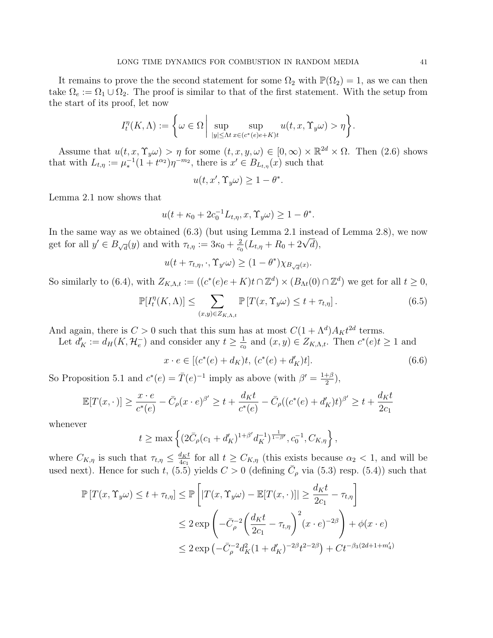It remains to prove the the second statement for some  $\Omega_2$  with  $\mathbb{P}(\Omega_2) = 1$ , as we can then take  $\Omega_e := \Omega_1 \cup \Omega_2$ . The proof is similar to that of the first statement. With the setup from the start of its proof, let now

$$
I_t^{\eta}(K,\Lambda) := \left\{ \omega \in \Omega \, \middle| \, \sup_{|y| \le \Lambda t} \sup_{x \in (c^*(e)e + K)t} u(t,x,\Upsilon_y \omega) > \eta \right\}.
$$

Assume that  $u(t, x, \Upsilon_y \omega) > \eta$  for some  $(t, x, y, \omega) \in [0, \infty) \times \mathbb{R}^{2d} \times \Omega$ . Then  $(2.6)$  shows that with  $L_{t,\eta} := \mu_*^{-1}(1+t^{\alpha_2})\eta^{-m_2}$ , there is  $x' \in B_{L_{t,\eta}}(x)$  such that

$$
u(t, x', \Upsilon_y \omega) \ge 1 - \theta^*.
$$

Lemma 2.1 now shows that

$$
u(t + \kappa_0 + 2c_0^{-1}L_{t,\eta}, x, \Upsilon_y \omega) \ge 1 - \theta^*.
$$

In the same way as we obtained (6.3) (but using Lemma 2.1 instead of Lemma 2.8), we now get for all  $y' \in B_{\sqrt{d}}(y)$  and with  $\tau_{t,\eta} := 3\kappa_0 + \frac{2}{c_0}$ ng Lemma 2.1 mstea<br>  $\frac{2}{c_0}(L_{t,\eta} + R_0 + 2\sqrt{d}),$ 

$$
u(t + \tau_{t,\eta}, \cdot, \Upsilon_{y'}\omega) \ge (1 - \theta^*) \chi_{B_{\sqrt{d}}(x)}.
$$

So similarly to (6.4), with  $Z_{K,\Lambda,t} := ((c^*(e)e + K)t \cap \mathbb{Z}^d) \times (B_{\Lambda t}(0) \cap \mathbb{Z}^d)$  we get for all  $t \geq 0$ ,

$$
\mathbb{P}[I_t^{\eta}(K,\Lambda)] \le \sum_{(x,y)\in Z_{K,\Lambda,t}} \mathbb{P}[T(x,\Upsilon_y\omega) \le t + \tau_{t,\eta}]. \tag{6.5}
$$

And again, there is  $C > 0$  such that this sum has at most  $C(1 + \Lambda^d)A_K t^{2d}$  terms.

Let  $d'_{K} := d_{H}(K, \mathcal{H}_{e}^{-})$  and consider any  $t \geq \frac{1}{c_{c}}$  $\frac{1}{c_0}$  and  $(x, y) \in Z_{K,\Lambda,t}$ . Then  $c^*(e)t \geq 1$  and

$$
x \cdot e \in [(c^*(e) + d_K)t, (c^*(e) + d'_K)t]. \tag{6.6}
$$

So Proposition 5.1 and  $c^*(e) = \overline{T}(e)^{-1}$  imply as above (with  $\beta' = \frac{1+\beta}{2}$  $\frac{+\beta}{2}),$ 

$$
\mathbb{E}[T(x,\cdot)] \ge \frac{x \cdot e}{c^*(e)} - \bar{C}_{\rho}(x \cdot e)^{\beta'} \ge t + \frac{d_K t}{c^*(e)} - \bar{C}_{\rho}((c^*(e) + d_K')t)^{\beta'} \ge t + \frac{d_K t}{2c_1}
$$

whenever

$$
t \ge \max \left\{ (2\bar{C}_{\rho}(c_1 + d'_{K})^{1+\beta'} d_{K}^{-1})^{\frac{1}{1-\beta'}}, c_0^{-1}, C_{K,\eta} \right\},\,
$$

where  $C_{K,\eta}$  is such that  $\tau_{t,\eta} \leq \frac{d_K t}{4c_1}$  $\frac{d_K t}{4c_1}$  for all  $t \geq C_{K,\eta}$  (this exists because  $\alpha_2 < 1$ , and will be used next). Hence for such t,  $(5.5)$  yields  $C > 0$  (defining  $\overline{C}_{\rho}$  via  $(5.3)$  resp.  $(5.4)$ ) such that

$$
\mathbb{P}\left[T(x,\Upsilon_y\omega) \le t + \tau_{t,\eta}\right] \le \mathbb{P}\left[\left|T(x,\Upsilon_y\omega) - \mathbb{E}[T(x,\cdot)]\right| \ge \frac{d_K t}{2c_1} - \tau_{t,\eta}\right]
$$
  

$$
\le 2 \exp\left(-\bar{C}_{\rho}^{-2}\left(\frac{d_K t}{2c_1} - \tau_{t,\eta}\right)^2 (x \cdot e)^{-2\beta}\right) + \phi(x \cdot e)
$$
  

$$
\le 2 \exp\left(-\bar{C}_{\rho}^{-2}d_K^2(1+d_K')^{-2\beta}t^{2-2\beta}\right) + Ct^{-\beta_3(2d+1+m_4')}
$$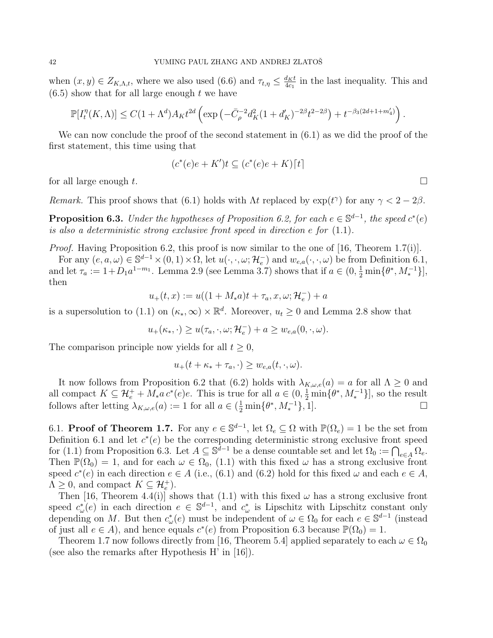when  $(x, y) \in Z_{K,\Lambda,t}$ , where we also used  $(6.6)$  and  $\tau_{t,\eta} \leq \frac{d_K t}{4c_1}$  $\frac{d_K t}{4c_1}$  in the last inequality. This and  $(6.5)$  show that for all large enough t we have

$$
\mathbb{P}[I_t^{\eta}(K,\Lambda)] \le C(1+\Lambda^d)A_K t^{2d} \left(\exp\left(-\bar{C}_{\rho}^{-2}d_K^2(1+d_K')^{-2\beta}t^{2-2\beta}\right) + t^{-\beta_3(2d+1+m_4')}\right).
$$

We can now conclude the proof of the second statement in (6.1) as we did the proof of the first statement, this time using that

$$
(c^*(e)e + K')t \subseteq (c^*(e)e + K)[t]
$$

for all large enough  $t$ .

Remark. This proof shows that (6.1) holds with  $\Lambda t$  replaced by  $\exp(t^{\gamma})$  for any  $\gamma < 2 - 2\beta$ .

**Proposition 6.3.** Under the hypotheses of Proposition 6.2, for each  $e \in \mathbb{S}^{d-1}$ , the speed  $c^*(e)$ is also a deterministic strong exclusive front speed in direction e for (1.1).

Proof. Having Proposition 6.2, this proof is now similar to the one of [16, Theorem 1.7(i)].

For any  $(e, a, \omega) \in \mathbb{S}^{d-1} \times (0, 1) \times \overline{\Omega}$ , let  $u(\cdot, \cdot, \omega; \mathcal{H}_e^-)$  and  $w_{e,a}(\cdot, \cdot, \omega)$  be from Definition 6.1, and let  $\tau_a := 1 + D_1 a^{1-m_1}$ . Lemma 2.9 (see Lemma 3.7) shows that if  $a \in (0, \frac{1}{2} \min\{\theta^*, M_*^{-1}\}],$ then

$$
u_{+}(t,x) := u((1 + M_{*}a)t + \tau_{a}, x, \omega; \mathcal{H}_{e}^{-}) + a
$$

is a supersolution to (1.1) on  $(\kappa_*, \infty) \times \mathbb{R}^d$ . Moreover,  $u_t \geq 0$  and Lemma 2.8 show that

$$
u_{+}(\kappa_*, \cdot) \ge u(\tau_a, \cdot, \omega; \mathcal{H}_e^{-}) + a \ge w_{e,a}(0, \cdot, \omega).
$$

The comparison principle now yields for all  $t \geq 0$ ,

$$
u_{+}(t+\kappa_{*}+\tau_{a},\cdot)\geq w_{e,a}(t,\cdot,\omega).
$$

It now follows from Proposition 6.2 that (6.2) holds with  $\lambda_{K,\omega,e}(a) = a$  for all  $\Lambda \geq 0$  and all compact  $K \subseteq \mathcal{H}_e^+ + M_* a c^*(e)e$ . This is true for all  $a \in (0, \frac{1}{2} \min\{\theta^*, M_*^{-1}\}]$ , so the result follows after letting  $\lambda_{K,\omega,e}(a) := 1$  for all  $a \in (\frac{1}{2} \min\{\theta^*, M_*^{-1}\}, 1].$ 

6.1. **Proof of Theorem 1.7.** For any  $e \in \mathbb{S}^{d-1}$ , let  $\Omega_e \subseteq \Omega$  with  $\mathbb{P}(\Omega_e) = 1$  be the set from Definition 6.1 and let  $c^*(e)$  be the corresponding deterministic strong exclusive front speed for (1.1) from Proposition 6.3. Let  $A \subseteq \mathbb{S}^{d-1}$  be a dense countable set and let  $\Omega_0 := \bigcap_{e \in A} \Omega_e$ . Then  $\mathbb{P}(\Omega_0) = 1$ , and for each  $\omega \in \Omega_0$ , (1.1) with this fixed  $\omega$  has a strong exclusive front speed  $c^*(e)$  in each direction  $e \in A$  (i.e., (6.1) and (6.2) hold for this fixed  $\omega$  and each  $e \in A$ ,  $\Lambda \geq 0$ , and compact  $K \subseteq \mathcal{H}_e^+$ .

Then [16, Theorem 4.4(i)] shows that (1.1) with this fixed  $\omega$  has a strong exclusive front speed  $c^*_{\omega}(e)$  in each direction  $e \in \mathbb{S}^{d-1}$ , and  $c^*_{\omega}$  is Lipschitz with Lipschitz constant only depending on M. But then  $c^*_{\omega}(e)$  must be independent of  $\omega \in \Omega_0$  for each  $e \in \mathbb{S}^{d-1}$  (instead of just all  $e \in A$ ), and hence equals  $c^*(e)$  from Proposition 6.3 because  $\mathbb{P}(\Omega_0) = 1$ .

Theorem 1.7 now follows directly from [16, Theorem 5.4] applied separately to each  $\omega \in \Omega_0$ (see also the remarks after Hypothesis H' in [16]).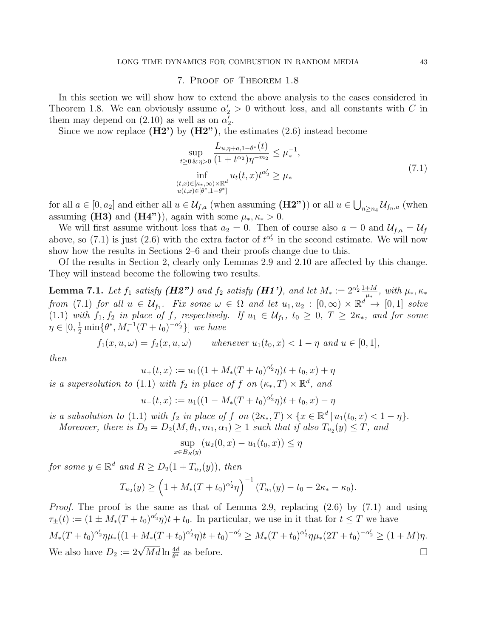### 7. Proof of Theorem 1.8

In this section we will show how to extend the above analysis to the cases considered in Theorem 1.8. We can obviously assume  $\alpha'_2 > 0$  without loss, and all constants with C in them may depend on (2.10) as well as on  $\alpha'_2$ .

Since we now replace  $(H2')$  by  $(H2'')$ , the estimates  $(2.6)$  instead become

$$
\sup_{t \ge 0 \& \eta > 0} \frac{L_{u, \eta + a, 1 - \theta^*}(t)}{(1 + t^{\alpha_2})\eta^{-m_2}} \le \mu_*^{-1},
$$
\n
$$
\inf_{\substack{(t, x) \in [\kappa_*, \infty) \times \mathbb{R}^d \\ u(t, x) \in [\theta^*, 1 - \theta^*]}} u_t(t, x) t^{\alpha_2'} \ge \mu_* \tag{7.1}
$$

for all  $a \in [0, a_2]$  and either all  $u \in \mathcal{U}_{f,a}$  (when assuming  $(\mathbf{H2^n})$ ) or all  $u \in \bigcup_{n \geq n_4} \mathcal{U}_{f_n,a}$  (when assuming (H3) and (H4")), again with some  $\mu_*, \kappa_* > 0$ .

We will first assume without loss that  $a_2 = 0$ . Then of course also  $a = 0$  and  $\mathcal{U}_{f,a} = \mathcal{U}_f$ above, so (7.1) is just (2.6) with the extra factor of  $t^{\alpha'_2}$  in the second estimate. We will now show how the results in Sections 2–6 and their proofs change due to this.

Of the results in Section 2, clearly only Lemmas 2.9 and 2.10 are affected by this change. They will instead become the following two results.

**Lemma 7.1.** Let  $f_1$  satisfy (**H2**") and  $f_2$  satisfy (**H1**'), and let  $M_* := 2^{\alpha'_2} \frac{1+M}{\mu_*}$  $\frac{+M}{\mu_*}, \ with \ \mu_*, \kappa_*$ from (7.1) for all  $u \in \mathcal{U}_{f_1}$ . Fix some  $\omega \in \Omega$  and let  $u_1, u_2 : [0, \infty) \times \mathbb{R}^d \to [0, 1]$  solve (1.1) with  $f_1, f_2$  in place of f, respectively. If  $u_1 \in \mathcal{U}_{f_1}$ ,  $t_0 \geq 0$ ,  $T \geq 2\kappa_*$ , and for some  $\eta \in [0, \frac{1}{2} \min \{ \theta^*, M_*^{-1} (T + t_0)^{-\alpha_2'} \}]$  we have

$$
f_1(x, u, \omega) = f_2(x, u, \omega)
$$
 whenever  $u_1(t_0, x) < 1 - \eta$  and  $u \in [0, 1]$ ,

then

$$
u_{+}(t,x) := u_{1}((1 + M_{*}(T + t_{0})^{\alpha'_{2}}\eta)t + t_{0}, x) + \eta
$$

is a supersolution to (1.1) with  $f_2$  in place of f on  $(\kappa_*, T) \times \mathbb{R}^d$ , and

$$
u_{-}(t,x) := u_{1}((1 - M_{*}(T + t_{0})^{\alpha'_{2}}\eta)t + t_{0}, x) - \eta
$$

is a subsolution to (1.1) with  $f_2$  in place of  $f$  on  $(2\kappa_*, T) \times \{x \in \mathbb{R}^d \mid u_1(t_0, x) < 1 - \eta\}.$ Moreover, there is  $D_2 = D_2(M, \theta_1, m_1, \alpha_1) \geq 1$  such that if also  $T_{u_2}(y) \leq T$ , and

$$
\sup_{x \in B_R(y)} (u_2(0, x) - u_1(t_0, x)) \le \eta
$$

for some  $y \in \mathbb{R}^d$  and  $R \ge D_2(1 + T_{u_2}(y))$ , then

$$
T_{u_2}(y) \ge \left(1 + M_*(T+t_0)^{\alpha'_2}\eta\right)^{-1}(T_{u_1}(y) - t_0 - 2\kappa_* - \kappa_0).
$$

Proof. The proof is the same as that of Lemma 2.9, replacing (2.6) by (7.1) and using  $\tau_{\pm}(t) := (1 \pm M_*(T+t_0)^{\alpha'_2}\eta)t + t_0.$  In particular, we use in it that for  $t \leq T$  we have  $M_*(T+t_0)^{\alpha'_2}\eta\mu_*((1+M_*(T+t_0)^{\alpha'_2}\eta)t+t_0)^{-\alpha'_2} \geq M_*(T+t_0)^{\alpha'_2}\eta\mu_*(2T+t_0)^{-\alpha'_2} \geq (1+M)\eta.$ We also have  $D_2 := 2\sqrt{Md} \ln \frac{4d}{\theta^*}$  as before.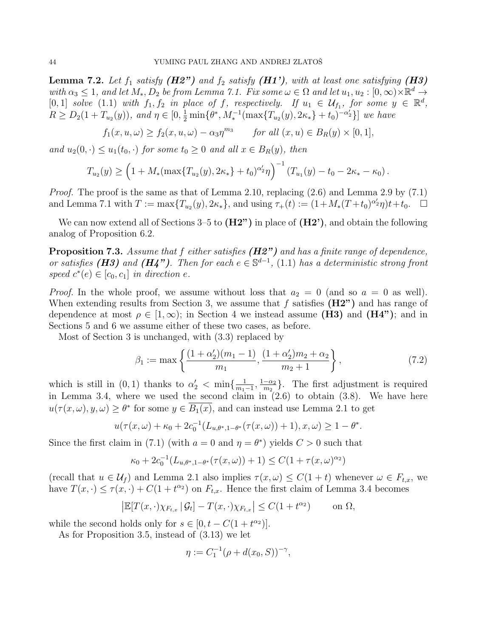**Lemma 7.2.** Let  $f_1$  satisfy  $(H2")$  and  $f_2$  satisfy  $(H1')$ , with at least one satisfying  $(H3)$ with  $\alpha_3 \leq 1$ , and let  $M_*, D_2$  be from Lemma 7.1. Fix some  $\omega \in \Omega$  and let  $u_1, u_2 : [0, \infty) \times \mathbb{R}^d \to$ [0, 1] solve (1.1) with  $f_1, f_2$  in place of f, respectively. If  $u_1 \in \mathcal{U}_{f_1}$ , for some  $y \in \mathbb{R}^d$ ,  $R \ge D_2(1+T_{u_2}(y)),$  and  $\eta \in [0, \frac{1}{2} \min{\lbrace \theta^*, M_*^{-1}(\max{\lbrace T_{u_2}(y), 2\kappa_* \rbrace} + t_0 \rbrace^{-\alpha'_2} } ]$  we have

$$
f_1(x, u, \omega) \ge f_2(x, u, \omega) - \alpha_3 \eta^{m_3} \quad \text{for all } (x, u) \in B_R(y) \times [0, 1],
$$

and  $u_2(0,.) \leq u_1(t_0,.)$  for some  $t_0 \geq 0$  and all  $x \in B_R(y)$ , then

$$
T_{u_2}(y) \ge \left(1 + M_* \left(\max\{T_{u_2}(y), 2\kappa_*\} + t_0\right)^{\alpha'_2} \eta\right)^{-1} \left(T_{u_1}(y) - t_0 - 2\kappa_* - \kappa_0\right).
$$

*Proof.* The proof is the same as that of Lemma 2.10, replacing  $(2.6)$  and Lemma 2.9 by  $(7.1)$ and Lemma 7.1 with  $T := \max\{T_{u_2}(y), 2\kappa_*\}$ , and using  $\tau_+(t) := (1 + M_*(T + t_0)^{\alpha'_2}\eta)t + t_0$ .

We can now extend all of Sections  $3-5$  to  $(H2'')$  in place of  $(H2')$ , and obtain the following analog of Proposition 6.2.

Proposition 7.3. Assume that f either satisfies (H2") and has a finite range of dependence, or satisfies (H3) and (H4"). Then for each  $e \in \mathbb{S}^{d-1}$ , (1.1) has a deterministic strong front speed  $c^*(e) \in [c_0, c_1]$  in direction e.

*Proof.* In the whole proof, we assume without loss that  $a_2 = 0$  (and so  $a = 0$  as well). When extending results from Section 3, we assume that f satisfies  $(H2")$  and has range of dependence at most  $\rho \in [1,\infty)$ ; in Section 4 we instead assume (H3) and (H4"); and in Sections 5 and 6 we assume either of these two cases, as before.

Most of Section 3 is unchanged, with (3.3) replaced by

$$
\beta_1 := \max\left\{ \frac{(1+\alpha'_2)(m_1 - 1)}{m_1}, \frac{(1+\alpha'_2)m_2 + \alpha_2}{m_2 + 1} \right\},\tag{7.2}
$$

which is still in  $(0,1)$  thanks to  $\alpha'_2 < \min\{\frac{1}{m_1}\}$  $\frac{1}{m_1-1}, \frac{1-\alpha_2}{m_2}$  $\frac{-\alpha_2}{m_2}$ . The first adjustment is required in Lemma 3.4, where we used the second claim in  $(2.6)$  to obtain  $(3.8)$ . We have here  $u(\tau(x,\omega), y, \omega) \geq \theta^*$  for some  $y \in \overline{B_1(x)}$ , and can instead use Lemma 2.1 to get

$$
u(\tau(x,\omega)+\kappa_0+2c_0^{-1}(L_{u,\theta^*,1-\theta^*}(\tau(x,\omega))+1),x,\omega) \geq 1-\theta^*.
$$

Since the first claim in (7.1) (with  $a = 0$  and  $\eta = \theta^*$ ) yields  $C > 0$  such that

$$
\kappa_0 + 2c_0^{-1}(L_{u,\theta^*,1-\theta^*}(\tau(x,\omega)) + 1) \le C(1 + \tau(x,\omega)^{\alpha_2})
$$

(recall that  $u \in \mathcal{U}_f$ ) and Lemma 2.1 also implies  $\tau(x,\omega) \leq C(1+t)$  whenever  $\omega \in F_{t,x}$ , we have  $T(x, \cdot) \leq \tau(x, \cdot) + C(1 + t^{\alpha_2})$  on  $F_{t,x}$ . Hence the first claim of Lemma 3.4 becomes

$$
\left| \mathbb{E}[T(x,\cdot)\chi_{F_{t,x}} | \mathcal{G}_t] - T(x,\cdot)\chi_{F_{t,x}} \right| \le C(1+t^{\alpha_2}) \quad \text{on } \Omega,
$$

while the second holds only for  $s \in [0, t - C(1 + t^{\alpha_2})].$ 

As for Proposition 3.5, instead of (3.13) we let

$$
\eta := C_1^{-1}(\rho + d(x_0, S))^{-\gamma},
$$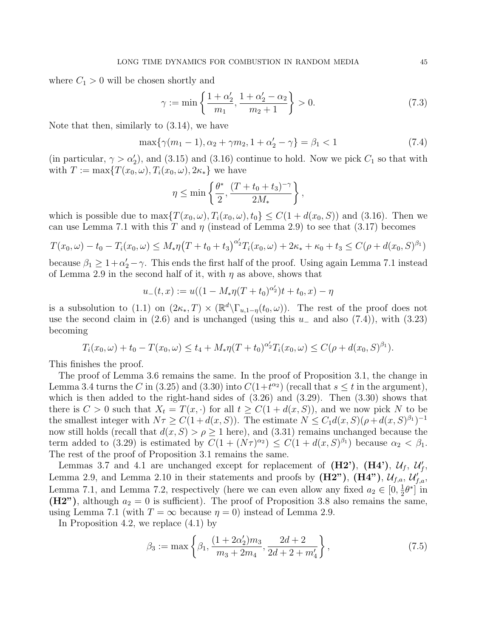where  $C_1 > 0$  will be chosen shortly and

$$
\gamma := \min\left\{\frac{1+\alpha_2'}{m_1}, \frac{1+\alpha_2'-\alpha_2}{m_2+1}\right\} > 0.
$$
\n(7.3)

Note that then, similarly to (3.14), we have

$$
\max\{\gamma(m_1 - 1), \alpha_2 + \gamma m_2, 1 + \alpha'_2 - \gamma\} = \beta_1 < 1\tag{7.4}
$$

(in particular,  $\gamma > \alpha_2'$ ), and (3.15) and (3.16) continue to hold. Now we pick  $C_1$  so that with with  $T := \max\{T(x_0, \omega), T_i(x_0, \omega), 2\kappa_*\}$  we have

$$
\eta \le \min\left\{\frac{\theta^*}{2}, \frac{(T+t_0+t_3)^{-\gamma}}{2M_*}\right\},\,
$$

which is possible due to  $\max\{T(x_0,\omega), T_i(x_0,\omega), t_0\} \leq C(1+d(x_0, S))$  and (3.16). Then we can use Lemma 7.1 with this T and  $\eta$  (instead of Lemma 2.9) to see that (3.17) becomes

$$
T(x_0, \omega) - t_0 - T_i(x_0, \omega) \le M_* \eta (T + t_0 + t_3)^{\alpha'_2} T_i(x_0, \omega) + 2\kappa_* + \kappa_0 + t_3 \le C(\rho + d(x_0, S)^{\beta_1})
$$

because  $\beta_1 \geq 1 + \alpha_2' - \gamma$ . This ends the first half of the proof. Using again Lemma 7.1 instead of Lemma 2.9 in the second half of it, with  $\eta$  as above, shows that

$$
u_{-}(t,x) := u((1 - M_{*}\eta(T+t_0)^{\alpha'_2})t + t_0, x) - \eta
$$

is a subsolution to (1.1) on  $(2\kappa_*, T) \times (\mathbb{R}^d \setminus \Gamma_{u,1-\eta}(t_0,\omega))$ . The rest of the proof does not use the second claim in  $(2.6)$  and is unchanged (using this  $u_-\,$  and also  $(7.4)$ ), with  $(3.23)$ becoming

$$
T_i(x_0,\omega)+t_0-T(x_0,\omega)\leq t_4+M_*\eta(T+t_0)^{\alpha'_2}T_i(x_0,\omega)\leq C(\rho+d(x_0,S)^{\beta_1}).
$$

This finishes the proof.

The proof of Lemma 3.6 remains the same. In the proof of Proposition 3.1, the change in Lemma 3.4 turns the C in (3.25) and (3.30) into  $C(1+t^{\alpha_2})$  (recall that  $s \leq t$  in the argument), which is then added to the right-hand sides of  $(3.26)$  and  $(3.29)$ . Then  $(3.30)$  shows that there is  $C > 0$  such that  $X_t = T(x, \cdot)$  for all  $t \ge C(1 + d(x, S))$ , and we now pick N to be the smallest integer with  $N\tau \geq C(1+d(x, S))$ . The estimate  $N \leq C_1 d(x, S)(\rho+d(x, S)^{\beta_1})^{-1}$ now still holds (recall that  $d(x, S) > \rho \ge 1$  here), and (3.31) remains unchanged because the term added to (3.29) is estimated by  $C(1 + (N\tau)^{\alpha_2}) \leq C(1 + d(x, S)^{\beta_1})$  because  $\alpha_2 < \beta_1$ . The rest of the proof of Proposition 3.1 remains the same.

Lemmas 3.7 and 4.1 are unchanged except for replacement of  $(H2')$ ,  $(H4')$ ,  $\mathcal{U}_f$ ,  $\mathcal{U}_f'$ , Lemma 2.9, and Lemma 2.10 in their statements and proofs by  $(H2")$ ,  $(H4")$ ,  $\mathcal{U}_{f,a}$ ,  $\mathcal{U}_{f,a}$ , Lemma 7.1, and Lemma 7.2, respectively (here we can even allow any fixed  $a_2 \in [0, \frac{1}{2}]$  $\frac{1}{2}\theta^*$  in  $(H2")$ , although  $a_2 = 0$  is sufficient). The proof of Proposition 3.8 also remains the same, using Lemma 7.1 (with  $T = \infty$  because  $\eta = 0$ ) instead of Lemma 2.9.

In Proposition 4.2, we replace (4.1) by

$$
\beta_3 := \max\left\{\beta_1, \frac{(1+2\alpha_2)m_3}{m_3+2m_4}, \frac{2d+2}{2d+2+m_4'}\right\},\tag{7.5}
$$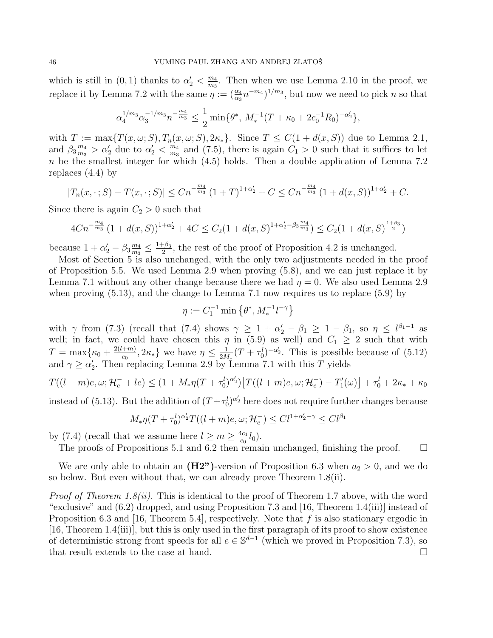which is still in  $(0, 1)$  thanks to  $\alpha'_2 < \frac{m_4}{m_3}$  $\frac{m_4}{m_3}$ . Then when we use Lemma 2.10 in the proof, we replace it by Lemma 7.2 with the same  $\eta := (\frac{\alpha_4}{\alpha_3} n^{-m_4})^{1/m_3}$ , but now we need to pick n so that

$$
\alpha_4^{1/m_3} \alpha_3^{-1/m_3} n^{-\frac{m_4}{m_3}} \le \frac{1}{2} \min \{ \theta^*, M_*^{-1} (T + \kappa_0 + 2c_0^{-1} R_0)^{-\alpha_2'} \},
$$

with  $T := \max\{T(x,\omega;S), T_n(x,\omega;S), 2\kappa\}.$  Since  $T \leq C(1 + d(x,S))$  due to Lemma 2.1, and  $\beta_3 \frac{m_4}{m_3}$  $\frac{m_4}{m_3} > \alpha'_2$  due to  $\alpha'_2 < \frac{m_4}{m_3}$  $\frac{m_4}{m_3}$  and (7.5), there is again  $C_1 > 0$  such that it suffices to let  $n$  be the smallest integer for which  $(4.5)$  holds. Then a double application of Lemma 7.2 replaces  $(4.4)$  by

$$
|T_n(x,\cdot;S) - T(x,\cdot;S)| \leq Cn^{-\frac{m_4}{m_3}} \left(1+T\right)^{1+\alpha'_2} + C \leq Cn^{-\frac{m_4}{m_3}} \left(1+d(x,S)\right)^{1+\alpha'_2} + C.
$$

Since there is again  $C_2 > 0$  such that

$$
4Cn^{-\frac{m_4}{m_3}}(1+d(x,S))^{1+\alpha'_2}+4C \leq C_2(1+d(x,S)^{1+\alpha'_2-\beta_3\frac{m_4}{m_3}}) \leq C_2(1+d(x,S)^{\frac{1+\beta_3}{2}})
$$

because  $1 + \alpha'_2 - \beta_3 \frac{m_4}{m_3}$  $\frac{m_4}{m_3}\leq\frac{1+\beta_3}{2}$  $\frac{1-\beta_3}{2}$ , the rest of the proof of Proposition 4.2 is unchanged.

Most of Section 5 is also unchanged, with the only two adjustments needed in the proof of Proposition 5.5. We used Lemma 2.9 when proving (5.8), and we can just replace it by Lemma 7.1 without any other change because there we had  $\eta = 0$ . We also used Lemma 2.9 when proving  $(5.13)$ , and the change to Lemma 7.1 now requires us to replace  $(5.9)$  by

$$
\eta:=C_1^{-1}\min\left\{\theta^*,M_*^{-1}l^{-\gamma}\right\}
$$

with  $\gamma$  from (7.3) (recall that (7.4) shows  $\gamma \geq 1 + \alpha'_2 - \beta_1 \geq 1 - \beta_1$ , so  $\eta \leq l^{\beta_1 - 1}$  as well; in fact, we could have chosen this  $\eta$  in (5.9) as well) and  $C_1 \geq 2$  such that with  $T = \max\{\kappa_0 + \frac{2(l+m)}{c_0}\}$  $\frac{(-m)}{c_0}, 2\kappa_*\}$  we have  $\eta \leq \frac{1}{2M}$  $\frac{1}{2M_*}(T+\tau_0^l)^{-\alpha'_2}$ . This is possible because of  $(5.12)$ and  $\gamma \ge \alpha_2'$ . Then replacing Lemma 2.9 by Lemma 7.1 with this T yields

$$
T((l+m)e, \omega; \mathcal{H}_e^- + le) \le (1 + M_* \eta (T + \tau_0^l)^{\alpha_2'}) \left[ T((l+m)e, \omega; \mathcal{H}_e^-) - T'_1(\omega) \right] + \tau_0^l + 2\kappa_* + \kappa_0
$$

instead of (5.13). But the addition of  $(T + \tau_0^l)^{\alpha_2}$  here does not require further changes because

$$
M_{\ast}\eta(T+\tau_0^l)^{\alpha'_2}T((l+m)e,\omega;\mathcal{H}_e^-) \leq C l^{1+\alpha'_2-\gamma} \leq C l^{\beta_1}
$$

by (7.4) (recall that we assume here  $l \geq m \geq \frac{4c_1}{c_0}$  $\frac{1}{c_0}l_0$ .

The proofs of Propositions 5.1 and 6.2 then remain unchanged, finishing the proof.  $\square$ 

We are only able to obtain an  $(H2")$ -version of Proposition 6.3 when  $a_2 > 0$ , and we do so below. But even without that, we can already prove Theorem 1.8(ii).

*Proof of Theorem 1.8(ii).* This is identical to the proof of Theorem 1.7 above, with the word "exclusive" and (6.2) dropped, and using Proposition 7.3 and [16, Theorem 1.4(iii)] instead of Proposition 6.3 and [16, Theorem 5.4], respectively. Note that  $f$  is also stationary ergodic in [16, Theorem 1.4(iii)], but this is only used in the first paragraph of its proof to show existence of deterministic strong front speeds for all  $e \in \mathbb{S}^{d-1}$  (which we proved in Proposition 7.3), so that result extends to the case at hand.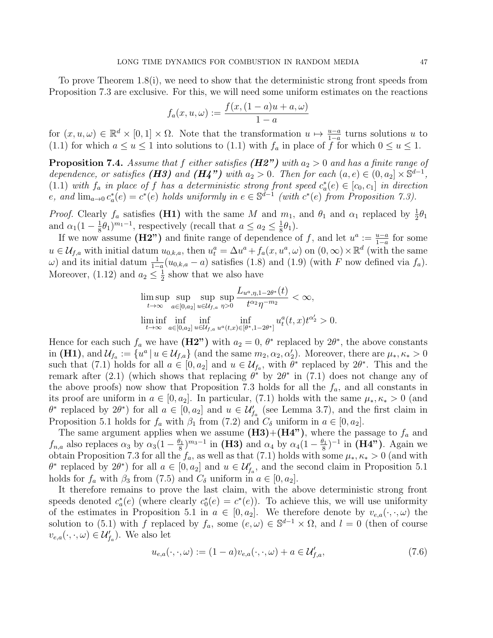To prove Theorem 1.8(i), we need to show that the deterministic strong front speeds from Proposition 7.3 are exclusive. For this, we will need some uniform estimates on the reactions

$$
f_a(x, u, \omega) := \frac{f(x, (1-a)u + a, \omega)}{1 - a}
$$

for  $(x, u, \omega) \in \mathbb{R}^d \times [0, 1] \times \Omega$ . Note that the transformation  $u \mapsto \frac{u-a}{1-a}$  turns solutions u to (1.1) for which  $a \le u \le 1$  into solutions to (1.1) with  $f_a$  in place of f for which  $0 \le u \le 1$ .

**Proposition 7.4.** Assume that f either satisfies  $(H2")$  with  $a_2 > 0$  and has a finite range of dependence, or satisfies (H3) and (H4") with  $a_2 > 0$ . Then for each  $(a, e) \in (0, a_2] \times \mathbb{S}^{d-1}$ , (1.1) with  $f_a$  in place of f has a deterministic strong front speed  $c_a^*(e) \in [c_0, c_1]$  in direction e, and  $\lim_{a\to 0} c_a^*(e) = c^*(e)$  holds uniformly in  $e \in \mathbb{S}^{d-1}$  (with  $c^*(e)$  from Proposition 7.3).

*Proof.* Clearly  $f_a$  satisfies (**H1**) with the same M and  $m_1$ , and  $\theta_1$  and  $\alpha_1$  replaced by  $\frac{1}{2}\theta_1$ and  $\alpha_1(1-\frac{1}{8})$  $(\frac{1}{8}\theta_1)^{m_1-1}$ , respectively (recall that  $a \le a_2 \le \frac{1}{8}$  $\frac{1}{8}\theta_1$ .

If we now assume (H2") and finite range of dependence of f, and let  $u^a := \frac{u-a}{1-a}$  for some  $u \in \mathcal{U}_{f,a}$  with initial datum  $u_{0,k,a}$ , then  $u_t^a = \Delta u^a + f_a(x, u^a, \omega)$  on  $(0, \infty) \times \mathbb{R}^d$  (with the same  $\omega$ ) and its initial datum  $\frac{1}{1-a}(u_{0,k,a}-a)$  satisfies (1.8) and (1.9) (with F now defined via  $f_a$ ). Moreover, (1.12) and  $a_2 \leq \frac{1}{2}$  $\frac{1}{2}$  show that we also have

$$
\limsup_{t\to\infty}\sup_{a\in[0,a_2]}\sup_{u\in\mathcal{U}_{f,a}}\sup_{\eta>0}\frac{L_{u^a,\eta,1-2\theta^*}(t)}{t^{\alpha_2}\eta^{-m_2}}<\infty,
$$
  

$$
\liminf_{t\to\infty}\inf_{a\in[0,a_2]}\inf_{u\in\mathcal{U}_{f,a}}\inf_{u^a(t,x)\in[\theta^*,1-2\theta^*]}u^a_t(t,x)t^{\alpha_2'}>0.
$$

Hence for each such  $f_a$  we have  $(H2'')$  with  $a_2 = 0$ ,  $\theta^*$  replaced by  $2\theta^*$ , the above constants in (H1), and  $\mathcal{U}_{f_a} := \{u^a | u \in \mathcal{U}_{f,a}\}\$  (and the same  $m_2, \alpha_2, \alpha_2'$ ). Moreover, there are  $\mu_*, \kappa_* > 0$ such that (7.1) holds for all  $a \in [0, a_2]$  and  $u \in \mathcal{U}_{f_a}$ , with  $\theta^*$  replaced by  $2\theta^*$ . This and the remark after (2.1) (which shows that replacing  $\theta^*$  by  $2\theta^*$  in (7.1) does not change any of the above proofs) now show that Proposition 7.3 holds for all the  $f_a$ , and all constants in its proof are uniform in  $a \in [0, a_2]$ . In particular, (7.1) holds with the same  $\mu_*, \kappa_* > 0$  (and  $\theta^*$  replaced by  $2\theta^*$ ) for all  $a \in [0, a_2]$  and  $u \in \mathcal{U}'_{f_a}$  (see Lemma 3.7), and the first claim in Proposition 5.1 holds for  $f_a$  with  $\beta_1$  from (7.2) and  $C_\delta$  uniform in  $a \in [0, a_2]$ .

The same argument applies when we assume  $(H3)+(H4")$ , where the passage to  $f_a$  and  $f_{n,a}$  also replaces  $\alpha_3$  by  $\alpha_3(1-\frac{\theta_1}{8})$  $(\mathbf{H3})$  and  $\alpha_4$  by  $\alpha_4(1-\frac{\theta_1}{8})$  $(\frac{\theta_1}{8})^{-1}$  in (**H4**"). Again we obtain Proposition 7.3 for all the  $f_a$ , as well as that (7.1) holds with some  $\mu_*, \kappa_* > 0$  (and with  $\theta^*$  replaced by  $2\theta^*$ ) for all  $a \in [0, a_2]$  and  $u \in \mathcal{U}_{f_a}$ , and the second claim in Proposition 5.1 holds for  $f_a$  with  $\beta_3$  from (7.5) and  $C_\delta$  uniform in  $a \in [0, a_2]$ .

It therefore remains to prove the last claim, with the above deterministic strong front speeds denoted  $c_a^*(e)$  (where clearly  $c_0^*(e) = c^*(e)$ ). To achieve this, we will use uniformity of the estimates in Proposition 5.1 in  $a \in [0, a_2]$ . We therefore denote by  $v_{e,a}(\cdot, \cdot, \omega)$  the solution to (5.1) with f replaced by  $f_a$ , some  $(e, \omega) \in \mathbb{S}^{d-1} \times \Omega$ , and  $l = 0$  (then of course  $v_{e,a}(\cdot,\cdot,\omega) \in \mathcal{U}_{f_a}^{\prime}$ ). We also let

$$
u_{e,a}(\cdot,\cdot,\omega) := (1-a)v_{e,a}(\cdot,\cdot,\omega) + a \in \mathcal{U}'_{f,a},\tag{7.6}
$$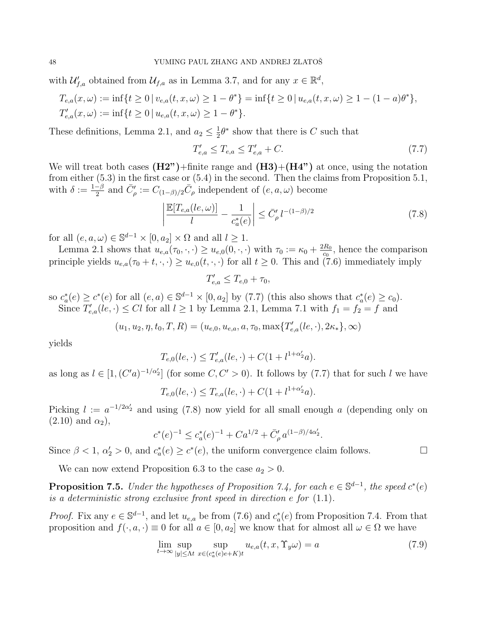with  $\mathcal{U}_{f,a}'$  obtained from  $\mathcal{U}_{f,a}$  as in Lemma 3.7, and for any  $x \in \mathbb{R}^d$ ,

$$
T_{e,a}(x,\omega) := \inf\{t \ge 0 \mid v_{e,a}(t,x,\omega) \ge 1 - \theta^*\} = \inf\{t \ge 0 \mid u_{e,a}(t,x,\omega) \ge 1 - (1 - a)\theta^*\},
$$
  

$$
T'_{e,a}(x,\omega) := \inf\{t \ge 0 \mid u_{e,a}(t,x,\omega) \ge 1 - \theta^*\}.
$$

These definitions, Lemma 2.1, and  $a_2 \n\t\leq \frac{1}{2}$  $\frac{1}{2}\theta^*$  show that there is C such that

$$
T'_{e,a} \le T_{e,a} \le T'_{e,a} + C. \tag{7.7}
$$

We will treat both cases  $(H2")$ +finite range and  $(H3)+(H4")$  at once, using the notation from either (5.3) in the first case or (5.4) in the second. Then the claims from Proposition 5.1, with  $\delta := \frac{1-\beta}{2}$  $\frac{\overline{C}_{\beta}^{\beta}}{2}$  and  $\overline{C}_{\rho}^{\prime} := C_{(1-\beta)/2} \overline{C}_{\rho}$  independent of  $(e, a, \omega)$  become

$$
\left|\frac{\mathbb{E}[T_{e,a}(le,\omega)]}{l} - \frac{1}{c_a^*(e)}\right| \le \bar{C}'_\rho l^{-(1-\beta)/2} \tag{7.8}
$$

for all  $(e, a, \omega) \in \mathbb{S}^{d-1} \times [0, a_2] \times \Omega$  and all  $l \geq 1$ .

Lemma 2.1 shows that  $u_{e,a}(\tau_0, \cdot, \cdot) \geq u_{e,0}(0, \cdot, \cdot)$  with  $\tau_0 := \kappa_0 + \frac{2R_0}{c_0}$  $\frac{dR_0}{c_0}$ , hence the comparison principle yields  $u_{e,a}(\tau_0 + t, \cdot, \cdot) \geq u_{e,0}(t, \cdot, \cdot)$  for all  $t \geq 0$ . This and (7.6) immediately imply

$$
T'_{e,a} \leq T_{e,0} + \tau_0,
$$

so  $c_a^*(e) \ge c^*(e)$  for all  $(e, a) \in \mathbb{S}^{d-1} \times [0, a_2]$  by (7.7) (this also shows that  $c_a^*(e) \ge c_0$ ). Since  $T'_{e,a}(le,\cdot) \leq Cl$  for all  $l \geq 1$  by Lemma 2.1, Lemma 7.1 with  $f_1 = f_2 = f$  and

$$
(u_1, u_2, \eta, t_0, T, R) = (u_{e,0}, u_{e,a}, a, \tau_0, \max\{T'_{e,a}(le, \cdot), 2\kappa_*\}, \infty)
$$

yields

$$
T_{e,0}(le,\cdot) \le T'_{e,a}(le,\cdot) + C(1 + l^{1+\alpha'_{2}}a).
$$

as long as  $l \in [1, (C'a)^{-1/\alpha_2}]$  (for some  $C, C' > 0$ ). It follows by (7.7) that for such l we have

$$
T_{e,0}(le,\cdot) \le T_{e,a}(le,\cdot) + C(1 + l^{1+\alpha'_{2}}a).
$$

Picking  $l := a^{-1/2\alpha'_{2}}$  and using (7.8) now yield for all small enough a (depending only on  $(2.10)$  and  $\alpha_2$ ),

$$
c^*(e)^{-1} \le c_a^*(e)^{-1} + Ca^{1/2} + \bar{C}'_\rho a^{(1-\beta)/4\alpha'_2}.
$$

Since  $\beta < 1$ ,  $\alpha'_2 > 0$ , and  $c_a^*(e) \ge c^*(e)$ , the uniform convergence claim follows.

We can now extend Proposition 6.3 to the case  $a_2 > 0$ .

**Proposition 7.5.** Under the hypotheses of Proposition 7.4, for each  $e \in \mathbb{S}^{d-1}$ , the speed  $c^*(e)$ is a deterministic strong exclusive front speed in direction e for (1.1).

*Proof.* Fix any  $e \in \mathbb{S}^{d-1}$ , and let  $u_{e,a}$  be from (7.6) and  $c_a^*(e)$  from Proposition 7.4. From that proposition and  $f(\cdot, a, \cdot) \equiv 0$  for all  $a \in [0, a_2]$  we know that for almost all  $\omega \in \Omega$  we have

$$
\lim_{t \to \infty} \sup_{|y| \le \Lambda t} \sup_{x \in (c_a^*(e)e + K)t} u_{e,a}(t, x, \Upsilon_y \omega) = a \tag{7.9}
$$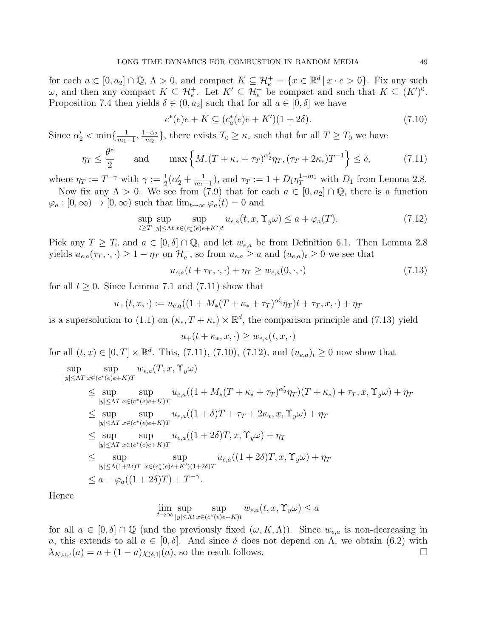for each  $a \in [0, a_2] \cap \mathbb{Q}$ ,  $\Lambda > 0$ , and compact  $K \subseteq \mathcal{H}_e^+ = \{x \in \mathbb{R}^d \mid x \cdot e > 0\}$ . Fix any such  $\omega$ , and then any compact  $K \subseteq \mathcal{H}_e^+$ . Let  $K' \subseteq \mathcal{H}_e^+$  be compact and such that  $K \subseteq (K')^0$ . Proposition 7.4 then yields  $\delta \in (0, a_2]$  such that for all  $a \in [0, \delta]$  we have

$$
c^*(e)e + K \subseteq (c_a^*(e)e + K')(1+2\delta). \tag{7.10}
$$

Since  $\alpha'_2 < \min\{\frac{1}{m_1}\}$  $\frac{1}{m_1-1}, \frac{1-\alpha_2}{m_2}$  $\frac{-\alpha_2}{m_2}$ , there exists  $T_0 \ge \kappa_*$  such that for all  $T \ge T_0$  we have

$$
\eta_T \le \frac{\theta^*}{2} \quad \text{and} \quad \max\left\{ M_*(T + \kappa_* + \tau_T)^{\alpha'_2} \eta_T, (\tau_T + 2\kappa_*)T^{-1} \right\} \le \delta,\tag{7.11}
$$

where  $\eta_T := T^{-\gamma}$  with  $\gamma := \frac{1}{2}(\alpha'_2 + \frac{1}{m_1})$  $\frac{1}{m_1-1}$ , and  $\tau_T := 1 + D_1 \eta_T^{1-m_1}$  with  $D_1$  from Lemma 2.8. Now fix any  $\Lambda > 0$ . We see from (7.9) that for each  $a \in [0, a_2] \cap \mathbb{Q}$ , there is a function

 $\varphi_a : [0, \infty) \to [0, \infty)$  such that  $\lim_{t \to \infty} \varphi_a(t) = 0$  and

$$
\sup_{t \ge T} \sup_{|y| \le \Lambda t} \sup_{x \in (c_a^*(e)e + K')t} u_{e,a}(t, x, \Upsilon_y \omega) \le a + \varphi_a(T). \tag{7.12}
$$

Pick any  $T \geq T_0$  and  $a \in [0, \delta] \cap \mathbb{Q}$ , and let  $w_{e,a}$  be from Definition 6.1. Then Lemma 2.8 yields  $u_{e,a}(\tau_T, \cdot, \cdot) \geq 1 - \eta_T$  on  $\mathcal{H}_e^-$ , so from  $u_{e,a} \geq a$  and  $(u_{e,a})_t \geq 0$  we see that

$$
u_{e,a}(t + \tau_T, \cdot, \cdot) + \eta_T \ge w_{e,a}(0, \cdot, \cdot) \tag{7.13}
$$

for all  $t \geq 0$ . Since Lemma 7.1 and (7.11) show that

$$
u_{+}(t,x,\cdot) := u_{e,a}((1 + M_{*}(T + \kappa_{*} + \tau_{T})^{\alpha_{2}'}\eta_{T})t + \tau_{T}, x, \cdot) + \eta_{T}
$$

is a supersolution to (1.1) on  $(\kappa_*, T + \kappa_*) \times \mathbb{R}^d$ , the comparison principle and (7.13) yield

$$
u_+(t+\kappa_*,x,\cdot)\geq w_{e,a}(t,x,\cdot)
$$

for all  $(t, x) \in [0, T] \times \mathbb{R}^d$ . This, (7.11), (7.10), (7.12), and  $(u_{e,a})_t \ge 0$  now show that

$$
\sup_{|y| \leq \Lambda T} \sup_{x \in (c^*(e)e+K)T} w_{e,a}(T, x, \Upsilon_y \omega)
$$
\n
$$
\leq \sup_{|y| \leq \Lambda T} \sup_{x \in (c^*(e)e+K)T} u_{e,a}((1 + M_*(T + \kappa_* + \tau_T)^{\alpha'_2} \eta_T)(T + \kappa_*) + \tau_T, x, \Upsilon_y \omega) + \eta_T
$$
\n
$$
\leq \sup_{|y| \leq \Lambda T} \sup_{x \in (c^*(e)e+K)T} u_{e,a}((1 + \delta)T + \tau_T + 2\kappa_*, x, \Upsilon_y \omega) + \eta_T
$$
\n
$$
\leq \sup_{|y| \leq \Lambda T} \sup_{x \in (c^*(e)e+K)T} u_{e,a}((1 + 2\delta)T, x, \Upsilon_y \omega) + \eta_T
$$
\n
$$
\leq \sup_{|y| \leq \Lambda T} \sup_{x \in (c^*(e)e+K)T} u_{e,a}((1 + 2\delta)T, x, \Upsilon_y \omega) + \eta_T
$$
\n
$$
\leq a + \varphi_a((1 + 2\delta)T) + T^{-\gamma}.
$$

Hence

$$
\lim_{t \to \infty} \sup_{|y| \le \Lambda t} \sup_{x \in (c^*(e)e + K)t} w_{e,a}(t, x, \Upsilon_y \omega) \le a
$$

for all  $a \in [0, \delta] \cap \mathbb{Q}$  (and the previously fixed  $(\omega, K, \Lambda)$ ). Since  $w_{e,a}$  is non-decreasing in a, this extends to all  $a \in [0, \delta]$ . And since  $\delta$  does not depend on  $\Lambda$ , we obtain (6.2) with  $\lambda_{K,\omega,e}(a) = a + (1-a)\chi_{(\delta,1]}(a)$ , so the result follows.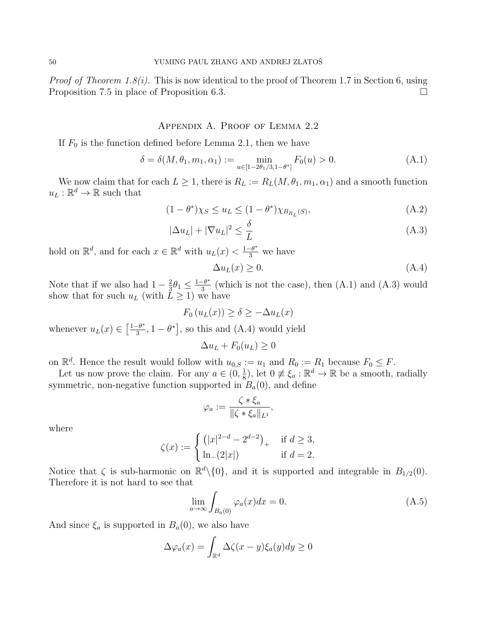*Proof of Theorem 1.8(i).* This is now identical to the proof of Theorem 1.7 in Section 6, using Proposition 7.5 in place of Proposition 6.3.

## Appendix A. Proof of Lemma 2.2

If  $F_0$  is the function defined before Lemma 2.1, then we have

$$
\delta = \delta(M, \theta_1, m_1, \alpha_1) := \min_{u \in [1 - 2\theta_1/3, 1 - \theta^*]} F_0(u) > 0.
$$
 (A.1)

We now claim that for each  $L \geq 1$ , there is  $R_L := R_L(M, \theta_1, m_1, \alpha_1)$  and a smooth function  $u_L : \mathbb{R}^d \to \mathbb{R}$  such that

$$
(1 - \theta^*) \chi_S \le u_L \le (1 - \theta^*) \chi_{B_{R_L}(S)}, \tag{A.2}
$$

$$
|\Delta u_L| + |\nabla u_L|^2 \le \frac{\delta}{L} \tag{A.3}
$$

hold on  $\mathbb{R}^d$ , and for each  $x \in \mathbb{R}^d$  with  $u_L(x) < \frac{1-\theta^*}{3}$  we have

$$
\Delta u_L(x) \ge 0. \tag{A.4}
$$

Note that if we also had  $1-\frac{2}{3}$  $\frac{2}{3}\theta_1 \leq \frac{1-\theta^*}{3}$  $\frac{-\theta^*}{3}$  (which is not the case), then  $(A.1)$  and  $(A.3)$  would show that for such  $u_L$  (with  $\tilde{L} \geq 1$ ) we have

$$
F_0(u_L(x)) \ge \delta \ge -\Delta u_L(x)
$$

whenever  $u_L(x) \in \left[\frac{1-\theta^*}{3}\right]$  $\left[\frac{-\theta^*}{3}, 1-\theta^*\right]$ , so this and (A.4) would yield

 $\Delta u_L + F_0(u_L) \geq 0$ 

on  $\mathbb{R}^d$ . Hence the result would follow with  $u_{0,S} := u_1$  and  $R_0 := R_1$  because  $F_0 \leq F$ .

Let us now prove the claim. For any  $a \in (0, \frac{1}{8})$  $\frac{1}{8}$ ), let  $0 \neq \xi_a : \mathbb{R}^d \to \mathbb{R}$  be a smooth, radially symmetric, non-negative function supported in  $B_a(0)$ , and define

$$
\varphi_a := \frac{\zeta * \xi_a}{\|\zeta * \xi_a\|_{L^1}},
$$

where

$$
\zeta(x) := \begin{cases} (|x|^{2-d} - 2^{d-2})_+ & \text{if } d \ge 3, \\ \ln_-(2|x|) & \text{if } d = 2. \end{cases}
$$

Notice that  $\zeta$  is sub-harmonic on  $\mathbb{R}^d \setminus \{0\}$ , and it is supported and integrable in  $B_{1/2}(0)$ . Therefore it is not hard to see that

$$
\lim_{a \to \infty} \int_{B_a(0)} \varphi_a(x) dx = 0.
$$
\n(A.5)

And since  $\xi_a$  is supported in  $B_a(0)$ , we also have

$$
\Delta \varphi_a(x) = \int_{\mathbb{R}^d} \Delta \zeta(x - y) \xi_a(y) dy \ge 0
$$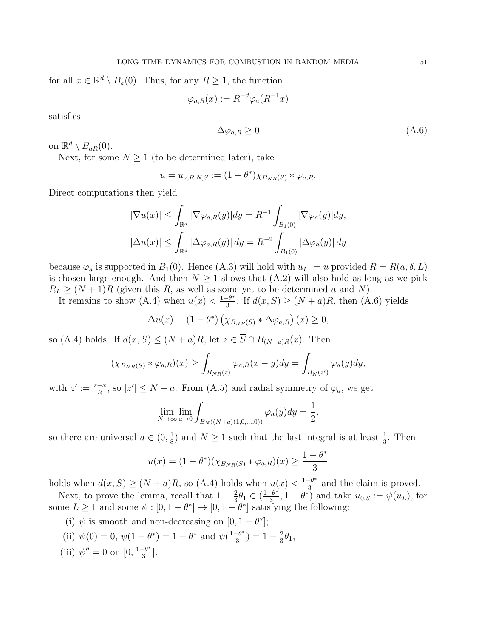for all  $x \in \mathbb{R}^d \setminus B_a(0)$ . Thus, for any  $R \ge 1$ , the function

$$
\varphi_{a,R}(x) := R^{-d} \varphi_a(R^{-1}x)
$$

satisfies

$$
\Delta \varphi_{a,R} \ge 0 \tag{A.6}
$$

on  $\mathbb{R}^d \setminus B_{aR}(0)$ .

Next, for some  $N \geq 1$  (to be determined later), take

$$
u = u_{a,R,N,S} := (1 - \theta^*) \chi_{B_{NR}(S)} * \varphi_{a,R}.
$$

Direct computations then yield

$$
|\nabla u(x)| \le \int_{\mathbb{R}^d} |\nabla \varphi_{a,R}(y)| dy = R^{-1} \int_{B_1(0)} |\nabla \varphi_a(y)| dy,
$$
  

$$
|\Delta u(x)| \le \int_{\mathbb{R}^d} |\Delta \varphi_{a,R}(y)| dy = R^{-2} \int_{B_1(0)} |\Delta \varphi_a(y)| dy
$$

because  $\varphi_a$  is supported in  $B_1(0)$ . Hence (A.3) will hold with  $u_L := u$  provided  $R = R(a, \delta, L)$ is chosen large enough. And then  $N \geq 1$  shows that  $(A.2)$  will also hold as long as we pick  $R_L \geq (N+1)R$  (given this R, as well as some yet to be determined a and N).

It remains to show (A.4) when  $u(x) < \frac{1-\theta^*}{3}$  $\frac{-\theta^*}{3}$ . If  $d(x, S) \ge (N + a)R$ , then  $(A.6)$  yields

$$
\Delta u(x) = (1 - \theta^*) \left( \chi_{B_{NR}(S)} * \Delta \varphi_{a,R} \right)(x) \ge 0,
$$

so (A.4) holds. If  $d(x, S) \leq (N+a)R$ , let  $z \in \overline{S} \cap \overline{B_{(N+a)R}(x)}$ . Then

$$
(\chi_{B_{NR}(S)} * \varphi_{a,R})(x) \ge \int_{B_{NR}(z)} \varphi_{a,R}(x-y) dy = \int_{B_N(z')} \varphi_a(y) dy,
$$

with  $z' := \frac{z-x}{R}$ , so  $|z'| \leq N + a$ . From (A.5) and radial symmetry of  $\varphi_a$ , we get

$$
\lim_{N \to \infty} \lim_{a \to 0} \int_{B_N((N+a)(1,0,...,0))} \varphi_a(y) dy = \frac{1}{2},
$$

so there are universal  $a \in (0, \frac{1}{8})$  $\frac{1}{8}$  and  $N \geq 1$  such that the last integral is at least  $\frac{1}{3}$ . Then

$$
u(x) = (1 - \theta^*)(\chi_{B_{NR}(S)} * \varphi_{a,R})(x) \ge \frac{1 - \theta^*}{3}
$$

holds when  $d(x, S) \ge (N + a)R$ , so (A.4) holds when  $u(x) < \frac{1-\theta^*}{3}$  $\frac{-\theta^*}{3}$  and the claim is proved.

Next, to prove the lemma, recall that  $1-\frac{2}{3}$  $\frac{2}{3}\theta_1 \in \left(\frac{1-\theta^*}{3}\right)$  $\frac{-\theta^*}{3}, 1 - \theta^*$  and take  $u_{0,S} := \psi(u_L)$ , for some  $L \geq 1$  and some  $\psi : [0, 1 - \theta^*] \to [0, 1 - \theta^*]$  satisfying the following:

- (i)  $\psi$  is smooth and non-decreasing on [0, 1  $\theta^*$ ];
- (ii)  $\psi(0) = 0, \psi(1 \theta^*) = 1 \theta^*$  and  $\psi(\frac{1 \theta^*}{2})$  $\frac{-\theta^*}{3}$ ) = 1 –  $\frac{2}{3}$  $rac{2}{3}\theta_1,$
- (iii)  $\psi'' = 0$  on  $[0, \frac{1-\theta^*}{3}]$  $\frac{-\theta^*}{3}$ .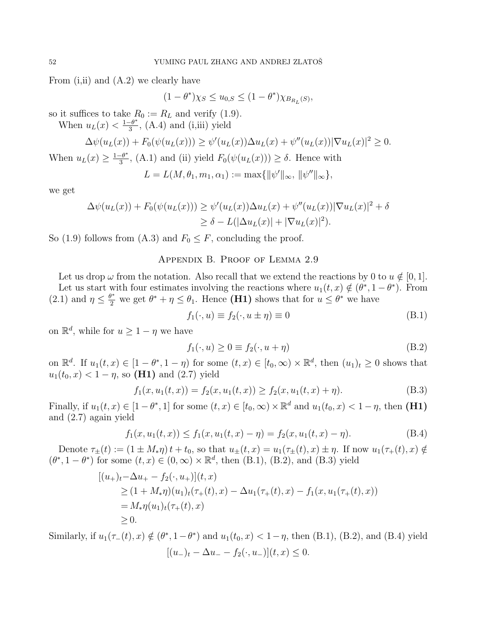From (i,ii) and (A.2) we clearly have

$$
(1-\theta^*)\chi_S\leq u_{0,S}\leq (1-\theta^*)\chi_{B_{R_L}(S)},
$$

so it suffices to take  $R_0 := R_L$  and verify (1.9).

When  $u_L(x) < \frac{1-\theta^*}{3}$  $\frac{-\theta^*}{3}$ , (A.4) and (i,iii) yield

$$
\Delta \psi(u_L(x)) + F_0(\psi(u_L(x))) \ge \psi'(u_L(x))\Delta u_L(x) + \psi''(u_L(x))|\nabla u_L(x)|^2 \ge 0.
$$

When  $u_L(x) \geq \frac{1-\theta^*}{3}$  $\frac{-\theta^*}{3}$ , (A.1) and (ii) yield  $F_0(\psi(u_L(x))) \geq \delta$ . Hence with

$$
L = L(M, \theta_1, m_1, \alpha_1) := \max{\{\|\psi'\|_{\infty}, \|\psi''\|_{\infty}\}},
$$

we get

$$
\Delta \psi(u_L(x)) + F_0(\psi(u_L(x))) \ge \psi'(u_L(x))\Delta u_L(x) + \psi''(u_L(x))|\nabla u_L(x)|^2 + \delta
$$
  
\n
$$
\ge \delta - L(|\Delta u_L(x)| + |\nabla u_L(x)|^2).
$$

So (1.9) follows from (A.3) and  $F_0 \leq F$ , concluding the proof.

### Appendix B. Proof of Lemma 2.9

Let us drop  $\omega$  from the notation. Also recall that we extend the reactions by 0 to  $u \notin [0, 1]$ . Let us start with four estimates involving the reactions where  $u_1(t, x) \notin (\theta^*, 1 - \theta^*)$ . From (2.1) and  $\eta \leq \frac{\theta^*}{2}$  we get  $\theta^* + \eta \leq \theta_1$ . Hence (**H1**) shows that for  $u \leq \theta^*$  we have

$$
f_1(\cdot, u) \equiv f_2(\cdot, u \pm \eta) \equiv 0 \tag{B.1}
$$

on  $\mathbb{R}^d$ , while for  $u \geq 1 - \eta$  we have

$$
f_1(\cdot, u) \ge 0 \equiv f_2(\cdot, u + \eta) \tag{B.2}
$$

on  $\mathbb{R}^d$ . If  $u_1(t,x) \in [1-\theta^*, 1-\eta)$  for some  $(t,x) \in [t_0,\infty) \times \mathbb{R}^d$ , then  $(u_1)_t \geq 0$  shows that  $u_1(t_0, x) < 1 - \eta$ , so (**H1**) and (2.7) yield

$$
f_1(x, u_1(t, x)) = f_2(x, u_1(t, x)) \ge f_2(x, u_1(t, x) + \eta).
$$
 (B.3)

Finally, if  $u_1(t, x) \in [1 - \theta^*, 1]$  for some  $(t, x) \in [t_0, \infty) \times \mathbb{R}^d$  and  $u_1(t_0, x) < 1 - \eta$ , then  $(H1)$ and (2.7) again yield

$$
f_1(x, u_1(t, x)) \le f_1(x, u_1(t, x) - \eta) = f_2(x, u_1(t, x) - \eta). \tag{B.4}
$$

Denote  $\tau_{\pm}(t) := (1 \pm M_{*} \eta) t + t_{0}$ , so that  $u_{\pm}(t, x) = u_{1}(\tau_{\pm}(t), x) \pm \eta$ . If now  $u_{1}(\tau_{+}(t), x) \notin$  $(\theta^*, 1 - \theta^*)$  for some  $(t, x) \in (0, \infty) \times \mathbb{R}^d$ , then  $(B.1)$ ,  $(B.2)$ , and  $(B.3)$  yield

$$
[(u_+)_t - \Delta u_+ - f_2(\cdot, u_+)](t, x)
$$
  
\n
$$
\geq (1 + M_* \eta)(u_1)_t(\tau_+(t), x) - \Delta u_1(\tau_+(t), x) - f_1(x, u_1(\tau_+(t), x))
$$
  
\n
$$
= M_* \eta(u_1)_t(\tau_+(t), x)
$$
  
\n
$$
\geq 0.
$$

Similarly, if  $u_1(\tau_-(t), x) \notin (\theta^*, 1-\theta^*)$  and  $u_1(t_0, x) < 1-\eta$ , then (B.1), (B.2), and (B.4) yield  $[(u_{-})_{t} - \Delta u_{-} - f_{2}(\cdot, u_{-})](t, x) \leq 0.$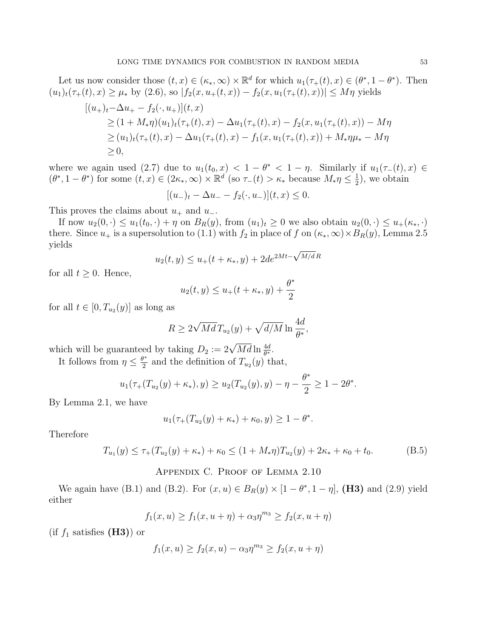Let us now consider those  $(t, x) \in (\kappa_*, \infty) \times \mathbb{R}^d$  for which  $u_1(\tau_+(t), x) \in (\theta^*, 1 - \theta^*)$ . Then  $(u_1)_t(\tau_+(t),x) \geq \mu_*$  by  $(2.6)$ , so  $|f_2(x, u_+(t,x)) - f_2(x, u_1(\tau_+(t),x))| \leq M\eta$  yields

$$
[(u_+)_t - \Delta u_+ - f_2(\cdot, u_+)](t, x)
$$
  
\n
$$
\geq (1 + M_* \eta)(u_1)_t(\tau_+(t), x) - \Delta u_1(\tau_+(t), x) - f_2(x, u_1(\tau_+(t), x)) - M\eta
$$
  
\n
$$
\geq (u_1)_t(\tau_+(t), x) - \Delta u_1(\tau_+(t), x) - f_1(x, u_1(\tau_+(t), x)) + M_* \eta \mu_* - M\eta
$$
  
\n
$$
\geq 0,
$$

where we again used (2.7) due to  $u_1(t_0, x) < 1 - \theta^* < 1 - \eta$ . Similarly if  $u_1(\tau_-(t), x) \in$  $(\theta^*, 1 - \theta^*)$  for some  $(t, x) \in (2\kappa_*, \infty) \times \mathbb{R}^d$  (so  $\tau_-(t) > \kappa_*$  because  $M_*\eta \leq \frac{1}{2}$  $(\frac{1}{2})$ , we obtain

$$
[(u_-)_t - \Delta u_- - f_2(\cdot, u_-)](t, x) \le 0.
$$

This proves the claims about  $u_+$  and  $u_-$ .

If now  $u_2(0, \cdot) \leq u_1(t_0, \cdot) + \eta$  on  $B_R(y)$ , from  $(u_1)_t \geq 0$  we also obtain  $u_2(0, \cdot) \leq u_+(\kappa_*, \cdot)$ there. Since  $u_+$  is a supersolution to (1.1) with  $f_2$  in place of f on  $(\kappa_*,\infty) \times B_R(y)$ , Lemma 2.5 yields √

$$
u_2(t, y) \le u_+(t + \kappa_*, y) + 2de^{2Mt - \sqrt{M/dR}}
$$

for all  $t \geq 0$ . Hence,

$$
u_2(t, y) \le u_+(t + \kappa_*, y) + \frac{\theta^*}{2}
$$

for all  $t \in [0, T_{u_2}(y)]$  as long as

$$
R \ge 2\sqrt{Md}T_{u_2}(y) + \sqrt{d/M} \ln\frac{4d}{\theta^*},
$$

which will be guaranteed by taking  $D_2 := 2\sqrt{Md} \ln \frac{4d}{\theta^*}$ .

It follows from  $\eta \leq \frac{\theta^*}{2}$  $\frac{y^*}{2}$  and the definition of  $T_{u_2}(y)$  that,

$$
u_1(\tau_+(T_{u_2}(y)+\kappa_*),y) \ge u_2(T_{u_2}(y),y) - \eta - \frac{\theta^*}{2} \ge 1 - 2\theta^*.
$$

By Lemma 2.1, we have

$$
u_1(\tau_+(T_{u_2}(y)+\kappa_*)+\kappa_0,y)\geq 1-\theta^*.
$$

Therefore

$$
T_{u_1}(y) \le \tau_+(T_{u_2}(y) + \kappa_*) + \kappa_0 \le (1 + M_* \eta)T_{u_2}(y) + 2\kappa_* + \kappa_0 + t_0.
$$
 (B.5)

Appendix C. Proof of Lemma 2.10

We again have (B.1) and (B.2). For  $(x, u) \in B_R(y) \times [1 - \theta^*, 1 - \eta]$ , (H3) and (2.9) yield either

$$
f_1(x, u) \ge f_1(x, u + \eta) + \alpha_3 \eta^{m_3} \ge f_2(x, u + \eta)
$$

(if  $f_1$  satisfies (**H3**)) or

$$
f_1(x, u) \ge f_2(x, u) - \alpha_3 \eta^{m_3} \ge f_2(x, u + \eta)
$$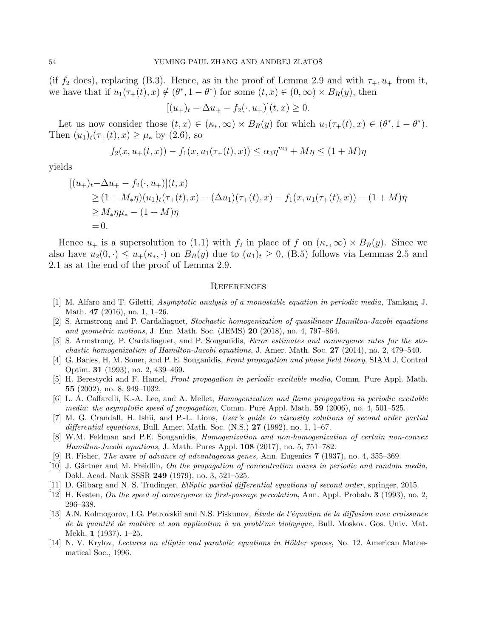(if  $f_2$  does), replacing (B.3). Hence, as in the proof of Lemma 2.9 and with  $\tau_+, u_+$  from it, we have that if  $u_1(\tau_+(t), x) \notin (\theta^*, 1 - \theta^*)$  for some  $(t, x) \in (0, \infty) \times B_R(y)$ , then

$$
[(u_+)_t - \Delta u_+ - f_2(\cdot, u_+)](t, x) \ge 0.
$$

Let us now consider those  $(t, x) \in (\kappa_*, \infty) \times B_R(y)$  for which  $u_1(\tau_+(t), x) \in (\theta^*, 1 - \theta^*).$ Then  $(u_1)_t(\tau_+(t), x) \geq \mu_*$  by  $(2.6)$ , so

$$
f_2(x, u_+(t, x)) - f_1(x, u_1(\tau_+(t), x)) \le \alpha_3 \eta^{m_3} + M\eta \le (1 + M)\eta
$$

yields

$$
[(u_{+})_{t} - \Delta u_{+} - f_{2}(\cdot, u_{+})](t, x)
$$
  
\n
$$
\geq (1 + M_{*}\eta)(u_{1})_{t}(\tau_{+}(t), x) - (\Delta u_{1})(\tau_{+}(t), x) - f_{1}(x, u_{1}(\tau_{+}(t), x)) - (1 + M)\eta
$$
  
\n
$$
\geq M_{*}\eta\mu_{*} - (1 + M)\eta
$$
  
\n= 0.

Hence  $u_+$  is a supersolution to (1.1) with  $f_2$  in place of f on  $(\kappa_*,\infty) \times B_R(y)$ . Since we also have  $u_2(0, \cdot) \leq u_+(\kappa_*, \cdot)$  on  $B_R(y)$  due to  $(u_1)_t \geq 0$ , (B.5) follows via Lemmas 2.5 and 2.1 as at the end of the proof of Lemma 2.9.

#### **REFERENCES**

- [1] M. Alfaro and T. Giletti, Asymptotic analysis of a monostable equation in periodic media, Tamkang J. Math. 47 (2016), no. 1, 1–26.
- [2] S. Armstrong and P. Cardaliaguet, Stochastic homogenization of quasilinear Hamilton-Jacobi equations and geometric motions, J. Eur. Math. Soc. (JEMS) 20 (2018), no. 4, 797–864.
- [3] S. Armstrong, P. Cardaliaguet, and P. Souganidis, Error estimates and convergence rates for the sto*chastic homogenization of Hamilton-Jacobi equations, J. Amer. Math. Soc.*  $27$  (2014), no. 2, 479–540.
- [4] G. Barles, H. M. Soner, and P. E. Souganidis, Front propagation and phase field theory, SIAM J. Control Optim. 31 (1993), no. 2, 439–469.
- [5] H. Berestycki and F. Hamel, Front propagation in periodic excitable media, Comm. Pure Appl. Math. 55 (2002), no. 8, 949–1032.
- [6] L. A. Caffarelli, K.-A. Lee, and A. Mellet, Homogenization and flame propagation in periodic excitable media: the asymptotic speed of propagation, Comm. Pure Appl. Math.  $59$  (2006), no. 4, 501–525.
- [7] M. G. Crandall, H. Ishii, and P.-L. Lions, User's guide to viscosity solutions of second order partial differential equations, Bull. Amer. Math. Soc.  $(N.S.)$  27 (1992), no. 1, 1–67.
- [8] W.M. Feldman and P.E. Souganidis, Homogenization and non-homogenization of certain non-convex Hamilton-Jacobi equations, J. Math. Pures Appl. 108 (2017), no. 5, 751-782.
- [9] R. Fisher, The wave of advance of advantageous genes, Ann. Eugenics 7 (1937), no. 4, 355–369.
- [10] J. Gärtner and M. Freidlin, On the propagation of concentration waves in periodic and random media, Dokl. Acad. Nauk SSSR 249 (1979), no. 3, 521–525.
- [11] D. Gilbarg and N. S. Trudinger, Elliptic partial differential equations of second order, springer, 2015.
- [12] H. Kesten, On the speed of convergence in first-passage percolation, Ann. Appl. Probab. 3 (1993), no. 2, 296–338.
- [13] A.N. Kolmogorov, I.G. Petrovskii and N.S. Piskunov, Étude de l'équation de la diffusion avec croissance de la quantité de matière et son application à un problème biologique, Bull. Moskov. Gos. Univ. Mat. Mekh. 1 (1937), 1–25.
- [14] N. V. Krylov, Lectures on elliptic and parabolic equations in Hölder spaces, No. 12. American Mathematical Soc., 1996.